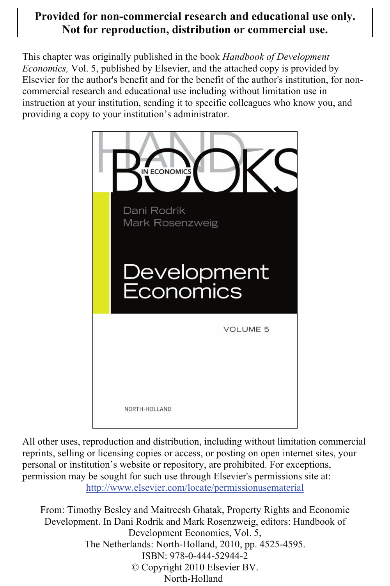# **Provided for non-commercial research and educational use only. Not for reproduction, distribution or commercial use.**

This chapter was originally published in the book *Handbook of Development Economics,* Vol. 5, published by Elsevier, and the attached copy is provided by Elsevier for the author's benefit and for the benefit of the author's institution, for noncommercial research and educational use including without limitation use in instruction at your institution, sending it to specific colleagues who know you, and providing a copy to your institution's administrator.



All other uses, reproduction and distribution, including without limitation commercial reprints, selling or licensing copies or access, or posting on open internet sites, your personal or institution's website or repository, are prohibited. For exceptions, permission may be sought for such use through Elsevier's permissions site at: http://www.elsevier.com/locate/permissionusematerial

From: Timothy Besley and Maitreesh Ghatak, Property Rights and Economic Development. In Dani Rodrik and Mark Rosenzweig, editors: Handbook of Development Economics, Vol. 5, The Netherlands: North-Holland, 2010, pp. 4525-4595. ISBN: 978-0-444-52944-2 © Copyright 2010 Elsevier BV. North-Holland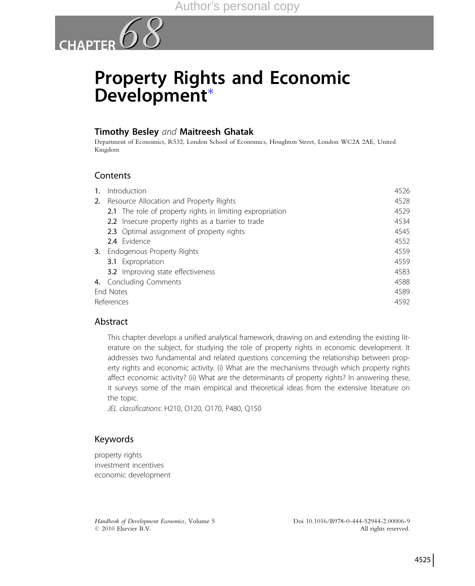

# Property Rig[ht](#page-65-0)s and Economic Development<sup>\*</sup>

# Timothy Besley and Maitreesh Ghatak

Department of Economics, R532, London School of Economics, Houghton Street, London WC2A 2AE, United Kingdom

# **Contents**

| Introduction                                              | 4526 |
|-----------------------------------------------------------|------|
| Resource Allocation and Property Rights                   | 4528 |
| 2.1 The role of property rights in limiting expropriation | 4529 |
| 2.2 Insecure property rights as a barrier to trade        | 4534 |
| 2.3 Optimal assignment of property rights                 | 4545 |
| 2.4 Fvidence                                              | 4552 |
| <b>3.</b> Endogenous Property Rights                      | 4559 |
| 3.1 Expropriation                                         | 4559 |
| <b>3.2</b> Improving state effectiveness                  | 4583 |
| 4. Concluding Comments                                    | 4588 |
| <b>Fnd Notes</b>                                          | 4589 |
| References                                                | 4592 |
|                                                           |      |

# Abstract

This chapter develops a unified analytical framework, drawing on and extending the existing literature on the subject, for studying the role of property rights in economic development. It addresses two fundamental and related questions concerning the relationship between property rights and economic activity. (i) What are the mechanisms through which property rights affect economic activity? (ii) What are the determinants of property rights? In answering these, it surveys some of the main empirical and theoretical ideas from the extensive literature on the topic.

JEL classifications: H210, O120, O170, P480, Q150

# Keywords

property rights investment incentives economic development

Handbook of Development Economics, Volume 5 Doi 10.1016/B978-0-444-52944-2.00006-9  $\oslash$  2010 Elsevier B.V. All rights reserved.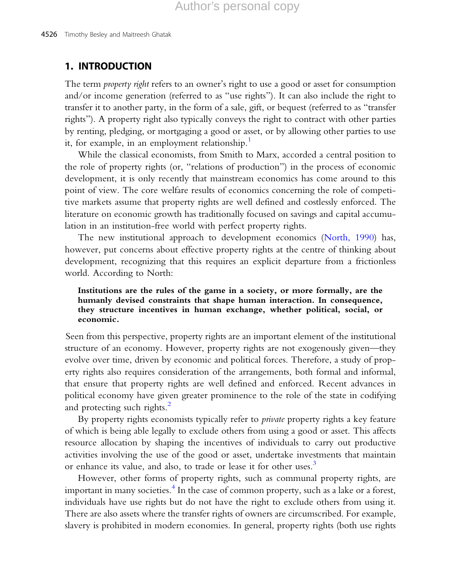# 1. INTRODUCTION

The term *property right* refers to an owner's right to use a good or asset for consumption and/or income generation (referred to as "use rights"). It can also include the right to transfer it to another party, in the form of a sale, gift, or bequest (referred to as "transfer rights"). A property right also typically conveys the right to contract with other parties by renting, pledging, or mortgaging a good or asset, or by allowing other parties to use it, for example, in an employment relationship.<sup>[1](#page-65-0)</sup>

While the classical economists, from Smith to Marx, accorded a central position to the role of property rights (or, "relations of production") in the process of economic development, it is only recently that mainstream economics has come around to this point of view. The core welfare results of economics concerning the role of competitive markets assume that property rights are well defined and costlessly enforced. The literature on economic growth has traditionally focused on savings and capital accumulation in an institution-free world with perfect property rights.

The new institutional approach to development economics ([North, 1990](#page-71-0)) has, however, put concerns about effective property rights at the centre of thinking about development, recognizing that this requires an explicit departure from a frictionless world. According to North:

## Institutions are the rules of the game in a society, or more formally, are the humanly devised constraints that shape human interaction. In consequence, they structure incentives in human exchange, whether political, social, or economic.

Seen from this perspective, property rights are an important element of the institutional structure of an economy. However, property rights are not exogenously given—they evolve over time, driven by economic and political forces. Therefore, a study of property rights also requires consideration of the arrangements, both formal and informal, that ensure that property rights are well defined and enforced. Recent advances in political economy have given greater prominence to the role of the state in codifying and protecting such rights.<sup>[2](#page-65-0)</sup>

By property rights economists typically refer to *private* property rights a key feature of which is being able legally to exclude others from using a good or asset. This affects resource allocation by shaping the incentives of individuals to carry out productive activities involving the use of the good or asset, undertake investments that maintain or enhance its value, and also, to trade or lease it for other uses.<sup>[3](#page-65-0)</sup>

However, other forms of property rights, such as communal property rights, are important in many societies.<sup>[4](#page-65-0)</sup> In the case of common property, such as a lake or a forest, individuals have use rights but do not have the right to exclude others from using it. There are also assets where the transfer rights of owners are circumscribed. For example, slavery is prohibited in modern economies. In general, property rights (both use rights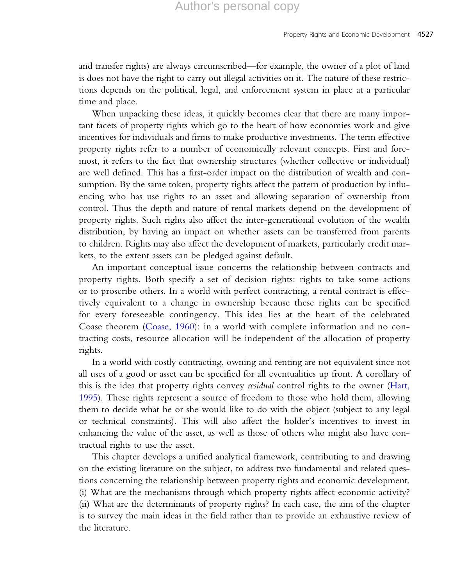and transfer rights) are always circumscribed—for example, the owner of a plot of land is does not have the right to carry out illegal activities on it. The nature of these restrictions depends on the political, legal, and enforcement system in place at a particular time and place.

When unpacking these ideas, it quickly becomes clear that there are many important facets of property rights which go to the heart of how economies work and give incentives for individuals and firms to make productive investments. The term effective property rights refer to a number of economically relevant concepts. First and foremost, it refers to the fact that ownership structures (whether collective or individual) are well defined. This has a first-order impact on the distribution of wealth and consumption. By the same token, property rights affect the pattern of production by influencing who has use rights to an asset and allowing separation of ownership from control. Thus the depth and nature of rental markets depend on the development of property rights. Such rights also affect the inter-generational evolution of the wealth distribution, by having an impact on whether assets can be transferred from parents to children. Rights may also affect the development of markets, particularly credit markets, to the extent assets can be pledged against default.

An important conceptual issue concerns the relationship between contracts and property rights. Both specify a set of decision rights: rights to take some actions or to proscribe others. In a world with perfect contracting, a rental contract is effectively equivalent to a change in ownership because these rights can be specified for every foreseeable contingency. This idea lies at the heart of the celebrated Coase theorem [\(Coase, 1960](#page-69-0)): in a world with complete information and no contracting costs, resource allocation will be independent of the allocation of property rights.

In a world with costly contracting, owning and renting are not equivalent since not all uses of a good or asset can be specified for all eventualities up front. A corollary of this is the idea that property rights convey residual control rights to the owner ([Hart,](#page-70-0) [1995](#page-70-0)). These rights represent a source of freedom to those who hold them, allowing them to decide what he or she would like to do with the object (subject to any legal or technical constraints). This will also affect the holder's incentives to invest in enhancing the value of the asset, as well as those of others who might also have contractual rights to use the asset.

This chapter develops a unified analytical framework, contributing to and drawing on the existing literature on the subject, to address two fundamental and related questions concerning the relationship between property rights and economic development. (i) What are the mechanisms through which property rights affect economic activity? (ii) What are the determinants of property rights? In each case, the aim of the chapter is to survey the main ideas in the field rather than to provide an exhaustive review of the literature.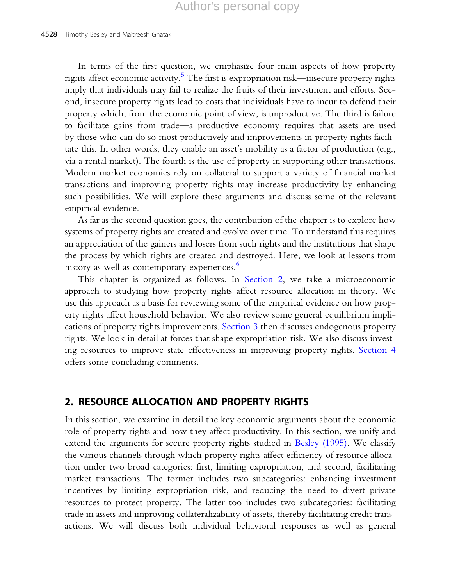In terms of the first question, we emphasize four main aspects of how property rights affect economic activity.<sup>[5](#page-65-0)</sup> The first is expropriation risk—insecure property rights imply that individuals may fail to realize the fruits of their investment and efforts. Second, insecure property rights lead to costs that individuals have to incur to defend their property which, from the economic point of view, is unproductive. The third is failure to facilitate gains from trade—a productive economy requires that assets are used by those who can do so most productively and improvements in property rights facilitate this. In other words, they enable an asset's mobility as a factor of production (e.g., via a rental market). The fourth is the use of property in supporting other transactions. Modern market economies rely on collateral to support a variety of financial market transactions and improving property rights may increase productivity by enhancing such possibilities. We will explore these arguments and discuss some of the relevant empirical evidence.

As far as the second question goes, the contribution of the chapter is to explore how systems of property rights are created and evolve over time. To understand this requires an appreciation of the gainers and losers from such rights and the institutions that shape the process by which rights are created and destroyed. Here, we look at lessons from history as well as contemporary experiences.<sup>6</sup>

This chapter is organized as follows. In Section 2, we take a microeconomic approach to studying how property rights affect resource allocation in theory. We use this approach as a basis for reviewing some of the empirical evidence on how property rights affect household behavior. We also review some general equilibrium implications of property rights improvements. [Section 3](#page-35-0) then discusses endogenous property rights. We look in detail at forces that shape expropriation risk. We also discuss investing resources to improve state effectiveness in improving property rights. [Section 4](#page-64-0) offers some concluding comments.

# 2. RESOURCE ALLOCATION AND PROPERTY RIGHTS

In this section, we examine in detail the key economic arguments about the economic role of property rights and how they affect productivity. In this section, we unify and extend the arguments for secure property rights studied in [Besley \(1995\).](#page-69-0) We classify the various channels through which property rights affect efficiency of resource allocation under two broad categories: first, limiting expropriation, and second, facilitating market transactions. The former includes two subcategories: enhancing investment incentives by limiting expropriation risk, and reducing the need to divert private resources to protect property. The latter too includes two subcategories: facilitating trade in assets and improving collateralizability of assets, thereby facilitating credit transactions. We will discuss both individual behavioral responses as well as general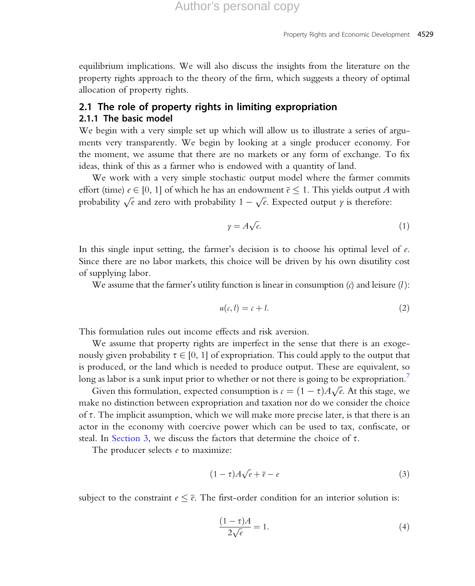equilibrium implications. We will also discuss the insights from the literature on the property rights approach to the theory of the firm, which suggests a theory of optimal allocation of property rights.

# 2.1 The role of property rights in limiting expropriation

## 2.1.1 The basic model

We begin with a very simple set up which will allow us to illustrate a series of arguments very transparently. We begin by looking at a single producer economy. For the moment, we assume that there are no markets or any form of exchange. To fix ideas, think of this as a farmer who is endowed with a quantity of land.

We work with a very simple stochastic output model where the farmer commits effort (time)  $e \in [0, 1]$  of which he has an endowment  $\overline{e} \leq 1$ . This yields output A with probability  $\sqrt{e}$  and zero with probability  $1 - \sqrt{e}$ . Expected output y is therefore:

$$
\gamma = A\sqrt{e}.\tag{1}
$$

In this single input setting, the farmer's decision is to choose his optimal level of e. Since there are no labor markets, this choice will be driven by his own disutility cost of supplying labor.

We assume that the farmer's utility function is linear in consumption  $(c)$  and leisure  $(l)$ :

$$
u(c, l) = c + l. \tag{2}
$$

This formulation rules out income effects and risk aversion.

We assume that property rights are imperfect in the sense that there is an exogenously given probability  $\tau \in [0, 1]$  of expropriation. This could apply to the output that is produced, or the land which is needed to produce output. These are equivalent, so long as labor is a sunk input prior to whether or not there is going to be expropriation.<sup>[7](#page-65-0)</sup>

Given this formulation, expected consumption is  $c = (1 - \tau)A\sqrt{e}$ . At this stage, we<br>can definite between expression and taxation por do we consider the choice make no distinction between expropriation and taxation nor do we consider the choice of  $\tau$ . The implicit assumption, which we will make more precise later, is that there is an actor in the economy with coercive power which can be used to tax, confiscate, or steal. In [Section 3,](#page-35-0) we discuss the factors that determine the choice of  $\tau$ .

The producer selects e to maximize:

$$
(1 - \tau)A\sqrt{e} + \overline{e} - e \tag{3}
$$

subject to the constraint  $e \leq \overline{e}$ . The first-order condition for an interior solution is:

$$
\frac{(1-\tau)A}{2\sqrt{e}} = 1.
$$
\n(4)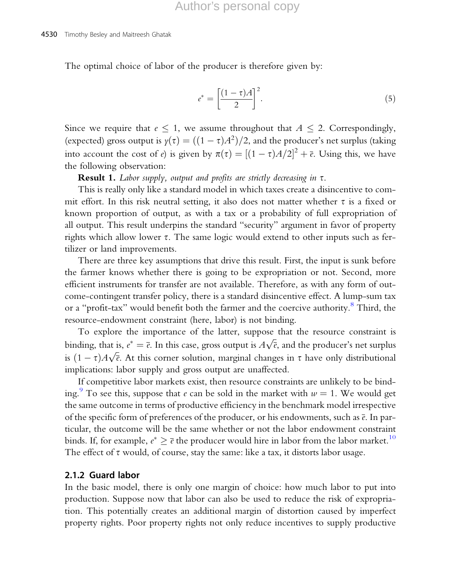The optimal choice of labor of the producer is therefore given by:

$$
e^* = \left[\frac{(1-\tau)A}{2}\right]^2.
$$
\n(5)

Since we require that  $e \leq 1$ , we assume throughout that  $A \leq 2$ . Correspondingly, (expected) gross output is  $y(\tau) = ((1 - \tau)A^2)/2$ , and the producer's net surplus (taking into account the cost of *e*) is given by  $\pi(\tau) = [(1 - \tau)A/2]^2 + \overline{e}$ . Using this, we have the following observation:

**Result 1.** Labor supply, output and profits are strictly decreasing in  $\tau$ .

This is really only like a standard model in which taxes create a disincentive to commit effort. In this risk neutral setting, it also does not matter whether  $\tau$  is a fixed or known proportion of output, as with a tax or a probability of full expropriation of all output. This result underpins the standard "security" argument in favor of property rights which allow lower  $\tau$ . The same logic would extend to other inputs such as fertilizer or land improvements.

There are three key assumptions that drive this result. First, the input is sunk before the farmer knows whether there is going to be expropriation or not. Second, more efficient instruments for transfer are not available. Therefore, as with any form of outcome-contingent transfer policy, there is a standard disincentive effect. A lump-sum tax or a "profit-tax" would benefit both the farmer and the coercive authority.<sup>[8](#page-65-0)</sup> Third, the resource-endowment constraint (here, labor) is not binding.

To explore the importance of the latter, suppose that the resource constraint is binding, that is,  $e^* = \overline{e}$ . In this case, gross output is  $A\sqrt{\overline{e}}$ , and the producer's net surplus is  $(1 - \tau)A\sqrt{\overline{e}}$ . At this corner solution, marginal changes in  $\tau$  have only distributional<br>implications: labor supply and gross output are unaffected implications: labor supply and gross output are unaffected.

If competitive labor markets exist, then resource constraints are unlikely to be bind-ing.<sup>[9](#page-66-0)</sup> To see this, suppose that *e* can be sold in the market with  $w = 1$ . We would get the same outcome in terms of productive efficiency in the benchmark model irrespective of the specific form of preferences of the producer, or his endowments, such as  $\bar{e}$ . In particular, the outcome will be the same whether or not the labor endowment constraint binds. If, for example,  $e^* \geq \overline{e}$  the producer would hire in labor from the labor market.<sup>10</sup><br>The effect of  $\tau$  would, of course, stay the same; like a tay, it distorts labor usage. The effect of  $\tau$  would, of course, stay the same: like a tax, it distorts labor usage.

#### 2.1.2 Guard labor

In the basic model, there is only one margin of choice: how much labor to put into production. Suppose now that labor can also be used to reduce the risk of expropriation. This potentially creates an additional margin of distortion caused by imperfect property rights. Poor property rights not only reduce incentives to supply productive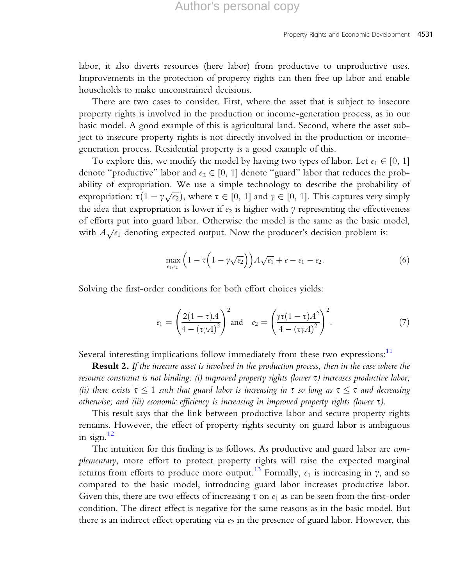labor, it also diverts resources (here labor) from productive to unproductive uses. Improvements in the protection of property rights can then free up labor and enable households to make unconstrained decisions.

There are two cases to consider. First, where the asset that is subject to insecure property rights is involved in the production or income-generation process, as in our basic model. A good example of this is agricultural land. Second, where the asset subject to insecure property rights is not directly involved in the production or incomegeneration process. Residential property is a good example of this.

To explore this, we modify the model by having two types of labor. Let  $e_1 \in [0, 1]$ denote "productive" labor and  $e_2 \in [0, 1]$  denote "guard" labor that reduces the probability of expropriation. We use a simple technology to describe the probability of expropriation:  $\tau(1 - \gamma \sqrt{\epsilon_2})$ , where  $\tau \in [0, 1]$  and  $\gamma \in [0, 1]$ . This captures very simply the idea that currentiation is lower if a is bigher with a representing the effectiveness the idea that expropriation is lower if  $e_2$  is higher with  $\gamma$  representing the effectiveness of efforts put into guard labor. Otherwise the model is the same as the basic model, with  $A\sqrt{e_1}$  denoting expected output. Now the producer's decision problem is:

$$
\max_{e_1, e_2} \left( 1 - \tau \left( 1 - \gamma \sqrt{e_2} \right) \right) A \sqrt{e_1} + \overline{e} - e_1 - e_2. \tag{6}
$$

Solving the first-order conditions for both effort choices yields:

$$
e_1 = \left(\frac{2(1-\tau)A}{4 - (\tau\gamma A)^2}\right)^2 \text{and} \quad e_2 = \left(\frac{\gamma\tau(1-\tau)A^2}{4 - (\tau\gamma A)^2}\right)^2. \tag{7}
$$

Several interesting implications follow immediately from these two expressions:<sup>[11](#page-66-0)</sup>

**Result 2.** If the insecure asset is involved in the production process, then in the case where the resource constraint is not binding: (i) improved property rights (lower t) increases productive labor; (ii) there exists  $\overline{\tau} \leq 1$  such that guard labor is increasing in  $\tau$  so long as  $\tau \leq \overline{\tau}$  and decreasing otherwise; and (iii) economic efficiency is increasing in improved property rights (lower t).

This result says that the link between productive labor and secure property rights remains. However, the effect of property rights security on guard labor is ambiguous in sign. $^{12}$  $^{12}$  $^{12}$ 

The intuition for this finding is as follows. As productive and guard labor are *com*plementary, more effort to protect property rights will raise the expected marginal returns from efforts to produce more output.<sup>[13](#page-66-0)</sup> Formally,  $e_1$  is increasing in  $\gamma$ , and so compared to the basic model, introducing guard labor increases productive labor. Given this, there are two effects of increasing  $\tau$  on  $e_1$  as can be seen from the first-order condition. The direct effect is negative for the same reasons as in the basic model. But there is an indirect effect operating via  $e_2$  in the presence of guard labor. However, this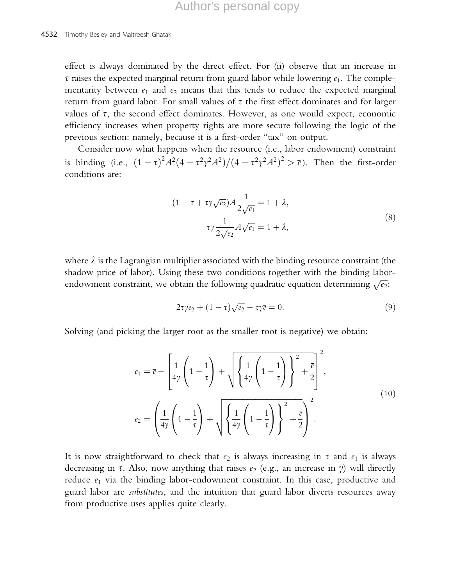effect is always dominated by the direct effect. For (ii) observe that an increase in  $\tau$  raises the expected marginal return from guard labor while lowering  $e_1$ . The complementarity between  $e_1$  and  $e_2$  means that this tends to reduce the expected marginal return from guard labor. For small values of  $\tau$  the first effect dominates and for larger values of  $\tau$ , the second effect dominates. However, as one would expect, economic efficiency increases when property rights are more secure following the logic of the previous section: namely, because it is a first-order "tax" on output.

Consider now what happens when the resource (i.e., labor endowment) constraint is binding (i.e.,  $(1 - \tau)^2 A^2 (4 + \tau^2 \gamma^2 A^2) / (4 - \tau^2 \gamma^2 A^2)^2 > \bar{e}$ ). Then the first-order conditions are:

$$
(1 - \tau + \tau \gamma \sqrt{\epsilon_2}) A \frac{1}{2\sqrt{\epsilon_1}} = 1 + \lambda,
$$
  
\n
$$
\tau \gamma \frac{1}{2\sqrt{\epsilon_2}} A \sqrt{\epsilon_1} = 1 + \lambda,
$$
\n(8)

where  $\lambda$  is the Lagrangian multiplier associated with the binding resource constraint (the shadow price of labor). Using these two conditions together with the binding laborendowment constraint, we obtain the following quadratic equation determining  $\sqrt{e_2}$ :

$$
2\tau\gamma e_2 + (1-\tau)\sqrt{e_2} - \tau\gamma \overline{e} = 0.
$$
\n(9)

Solving (and picking the larger root as the smaller root is negative) we obtain:

$$
e_1 = \overline{e} - \left[\frac{1}{4\gamma} \left(1 - \frac{1}{\tau}\right) + \sqrt{\left\{\frac{1}{4\gamma} \left(1 - \frac{1}{\tau}\right)\right\}^2 + \frac{\overline{e}}{2}}\right]^2,
$$
  

$$
e_2 = \left(\frac{1}{4\gamma} \left(1 - \frac{1}{\tau}\right) + \sqrt{\left\{\frac{1}{4\gamma} \left(1 - \frac{1}{\tau}\right)\right\}^2 + \frac{\overline{e}}{2}}\right)^2.
$$
 (10)

It is now straightforward to check that  $e_2$  is always increasing in  $\tau$  and  $e_1$  is always decreasing in  $\tau$ . Also, now anything that raises  $e_2$  (e.g., an increase in  $\gamma$ ) will directly reduce  $e_1$  via the binding labor-endowment constraint. In this case, productive and guard labor are substitutes, and the intuition that guard labor diverts resources away from productive uses applies quite clearly.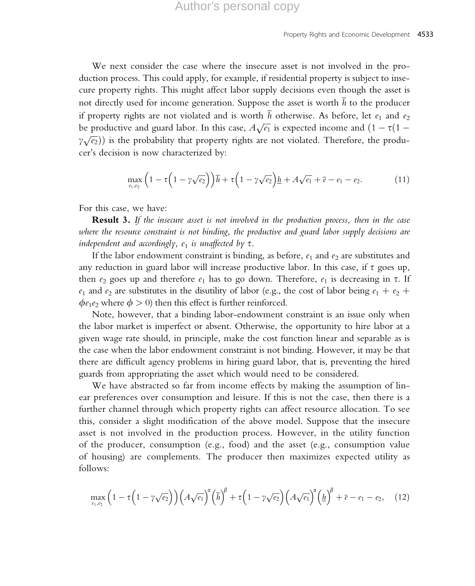We next consider the case where the insecure asset is not involved in the production process. This could apply, for example, if residential property is subject to insecure property rights. This might affect labor supply decisions even though the asset is not directly used for income generation. Suppose the asset is worth  $\overline{h}$  to the producer if property rights are not violated and is worth h otherwise. As before, let  $e_1$  and  $e_2$ be productive and guard labor. In this case,  $A\sqrt{e_1}$  is expected income and  $(1 - \tau(1 - \tau))$  $(\gamma\sqrt{e_2})$ ) is the probability that property rights are not violated. Therefore, the produ-<br>can's degitien is now shape to ind cer's decision is now characterized by:

$$
\max_{e_1,e_2} \left(1 - \tau \left(1 - \gamma \sqrt{e_2}\right)\right) \overline{h} + \tau \left(1 - \gamma \sqrt{e_2}\right) \underline{h} + A \sqrt{e_1} + \overline{e} - e_1 - e_2. \tag{11}
$$

For this case, we have:

**Result 3.** If the insecure asset is not involved in the production process, then in the case where the resource constraint is not binding, the productive and guard labor supply decisions are independent and accordingly,  $e_1$  is unaffected by  $\tau$ .

If the labor endowment constraint is binding, as before,  $e_1$  and  $e_2$  are substitutes and any reduction in guard labor will increase productive labor. In this case, if  $\tau$  goes up, then  $e_2$  goes up and therefore  $e_1$  has to go down. Therefore,  $e_1$  is decreasing in  $\tau$ . If  $e_1$  and  $e_2$  are substitutes in the disutility of labor (e.g., the cost of labor being  $e_1 + e_2 +$  $\phi_{e_1e_2}$  where  $\phi > 0$ ) then this effect is further reinforced.

Note, however, that a binding labor-endowment constraint is an issue only when the labor market is imperfect or absent. Otherwise, the opportunity to hire labor at a given wage rate should, in principle, make the cost function linear and separable as is the case when the labor endowment constraint is not binding. However, it may be that there are difficult agency problems in hiring guard labor, that is, preventing the hired guards from appropriating the asset which would need to be considered.

We have abstracted so far from income effects by making the assumption of linear preferences over consumption and leisure. If this is not the case, then there is a further channel through which property rights can affect resource allocation. To see this, consider a slight modification of the above model. Suppose that the insecure asset is not involved in the production process. However, in the utility function of the producer, consumption (e.g., food) and the asset (e.g., consumption value of housing) are complements. The producer then maximizes expected utility as follows:

$$
\max_{e_1,e_2} \left(1 - \tau \left(1 - \gamma \sqrt{e_2}\right)\right) \left(A\sqrt{e_1}\right)^{\alpha} \left(\overline{h}\right)^{\beta} + \tau \left(1 - \gamma \sqrt{e_2}\right) \left(A\sqrt{e_1}\right)^{\alpha} \left(\underline{h}\right)^{\beta} + \overline{e} - e_1 - e_2,\tag{12}
$$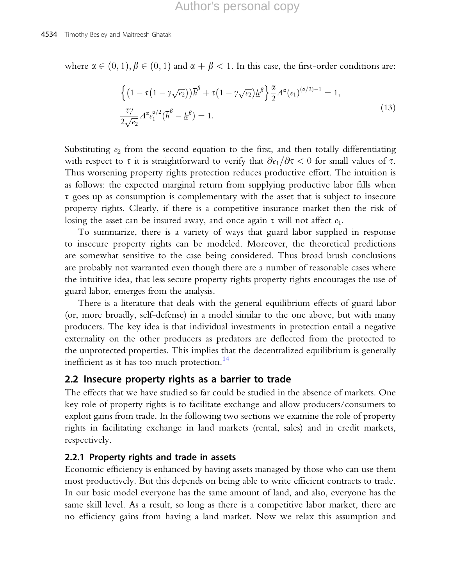<span id="page-10-0"></span>where  $\alpha \in (0, 1), \beta \in (0, 1)$  and  $\alpha + \beta < 1$ . In this case, the first-order conditions are:

$$
\left\{ \left(1 - \tau \left(1 - \gamma \sqrt{e_2}\right)\right) \overline{h}^{\beta} + \tau \left(1 - \gamma \sqrt{e_2}\right) \underline{h}^{\beta} \right\} \frac{\alpha}{2} A^{\alpha} (e_1)^{(\alpha/2) - 1} = 1,
$$
\n
$$
\frac{\tau \gamma}{2 \sqrt{e_2}} A^{\alpha} e_1^{\alpha/2} (\overline{h}^{\beta} - \underline{h}^{\beta}) = 1.
$$
\n(13)

Substituting  $e_2$  from the second equation to the first, and then totally differentiating with respect to  $\tau$  it is straightforward to verify that  $\partial e_1/\partial \tau < 0$  for small values of  $\tau$ . Thus worsening property rights protection reduces productive effort. The intuition is as follows: the expected marginal return from supplying productive labor falls when  $\tau$  goes up as consumption is complementary with the asset that is subject to insecure property rights. Clearly, if there is a competitive insurance market then the risk of losing the asset can be insured away, and once again  $\tau$  will not affect  $e_1$ .

To summarize, there is a variety of ways that guard labor supplied in response to insecure property rights can be modeled. Moreover, the theoretical predictions are somewhat sensitive to the case being considered. Thus broad brush conclusions are probably not warranted even though there are a number of reasonable cases where the intuitive idea, that less secure property rights property rights encourages the use of guard labor, emerges from the analysis.

There is a literature that deals with the general equilibrium effects of guard labor (or, more broadly, self-defense) in a model similar to the one above, but with many producers. The key idea is that individual investments in protection entail a negative externality on the other producers as predators are deflected from the protected to the unprotected properties. This implies that the decentralized equilibrium is generally inefficient as it has too much protection.<sup>[14](#page-66-0)</sup>

#### 2.2 Insecure property rights as a barrier to trade

The effects that we have studied so far could be studied in the absence of markets. One key role of property rights is to facilitate exchange and allow producers/consumers to exploit gains from trade. In the following two sections we examine the role of property rights in facilitating exchange in land markets (rental, sales) and in credit markets, respectively.

#### 2.2.1 Property rights and trade in assets

Economic efficiency is enhanced by having assets managed by those who can use them most productively. But this depends on being able to write efficient contracts to trade. In our basic model everyone has the same amount of land, and also, everyone has the same skill level. As a result, so long as there is a competitive labor market, there are no efficiency gains from having a land market. Now we relax this assumption and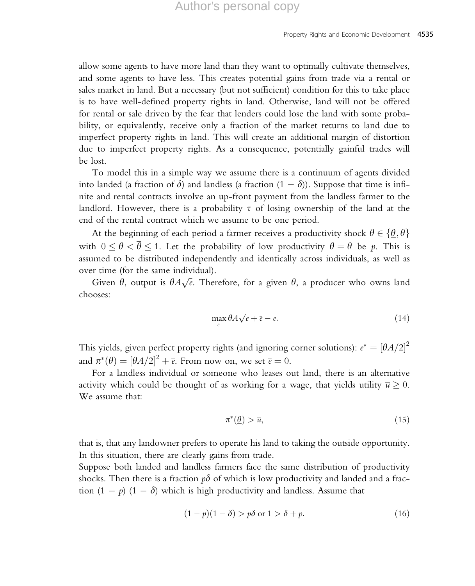allow some agents to have more land than they want to optimally cultivate themselves, and some agents to have less. This creates potential gains from trade via a rental or sales market in land. But a necessary (but not sufficient) condition for this to take place is to have well-defined property rights in land. Otherwise, land will not be offered for rental or sale driven by the fear that lenders could lose the land with some probability, or equivalently, receive only a fraction of the market returns to land due to imperfect property rights in land. This will create an additional margin of distortion due to imperfect property rights. As a consequence, potentially gainful trades will be lost.

To model this in a simple way we assume there is a continuum of agents divided into landed (a fraction of  $\delta$ ) and landless (a fraction  $(1 - \delta)$ ). Suppose that time is infinite and rental contracts involve an up-front payment from the landless farmer to the landlord. However, there is a probability  $\tau$  of losing ownership of the land at the end of the rental contract which we assume to be one period.

At the beginning of each period a farmer receives a productivity shock  $\theta \in {\{\theta, \overline{\theta}\}}$ with  $0 \le \theta < \overline{\theta} \le 1$ . Let the probability of low productivity  $\theta = \theta$  be p. This is assumed to be distributed independently and identically across individuals, as well as over time (for the same individual).

Given  $\theta$ , output is  $\theta A \sqrt{e}$ . Therefore, for a given  $\theta$ , a producer who owns land chooses:

$$
\max_{e} \theta A \sqrt{e} + \overline{e} - e. \tag{14}
$$

This yields, given perfect property rights (and ignoring corner solutions):  $e^* = [\theta A/2]^2$ <br> $\frac{1 - \epsilon}{2}$ ,  $\frac{1}{2}$ ,  $\frac{1}{2}$ ,  $\frac{1}{2}$ ,  $\frac{1}{2}$ ,  $\frac{1}{2}$ ,  $\frac{1}{2}$ ,  $\frac{1}{2}$ ,  $\frac{1}{2}$ ,  $\frac{1}{2}$ ,  $\frac{1}{2}$ ,  $\frac{1}{2$ and  $\pi^*(\theta) = [\theta A/2]^2 + \overline{e}$ . From now on, we set  $\overline{e} = 0$ .<br>For a landless individual or someone who leases of

For a landless individual or someone who leases out land, there is an alternative activity which could be thought of as working for a wage, that yields utility  $\overline{u} \geq 0$ . We assume that:

$$
\pi^*(\underline{\theta}) > \overline{u},\tag{15}
$$

that is, that any landowner prefers to operate his land to taking the outside opportunity. In this situation, there are clearly gains from trade.

Suppose both landed and landless farmers face the same distribution of productivity shocks. Then there is a fraction  $p\delta$  of which is low productivity and landed and a fraction  $(1 - p) (1 - \delta)$  which is high productivity and landless. Assume that

$$
(1-p)(1-\delta) > p\delta \text{ or } 1 > \delta + p. \tag{16}
$$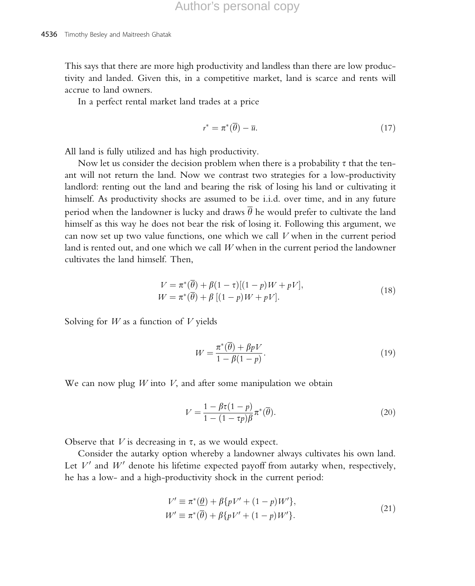This says that there are more high productivity and landless than there are low productivity and landed. Given this, in a competitive market, land is scarce and rents will accrue to land owners.

In a perfect rental market land trades at a price

$$
r^* = \pi^*(\overline{\theta}) - \overline{u}.\tag{17}
$$

All land is fully utilized and has high productivity.

Now let us consider the decision problem when there is a probability  $\tau$  that the tenant will not return the land. Now we contrast two strategies for a low-productivity landlord: renting out the land and bearing the risk of losing his land or cultivating it himself. As productivity shocks are assumed to be i.i.d. over time, and in any future period when the landowner is lucky and draws  $\overline{\theta}$  he would prefer to cultivate the land himself as this way he does not bear the risk of losing it. Following this argument, we can now set up two value functions, one which we call V when in the current period land is rented out, and one which we call  $W$  when in the current period the landowner cultivates the land himself. Then,

$$
V = \pi^*(\overline{\theta}) + \beta(1 - \tau)[(1 - p)W + pV],
$$
  
W = \pi^\*(\overline{\theta}) + \beta[(1 - p)W + pV]. (18)

Solving for  $W$  as a function of  $V$  yields

$$
W = \frac{\pi^*(\theta) + \beta p V}{1 - \beta(1 - p)}.
$$
\n(19)

We can now plug  $W$  into  $V$ , and after some manipulation we obtain

$$
V = \frac{1 - \beta \tau (1 - p)}{1 - (1 - \tau p)\beta} \pi^*(\overline{\theta}).
$$
\n(20)

Observe that  $V$  is decreasing in  $\tau$ , as we would expect.

Consider the autarky option whereby a landowner always cultivates his own land. Let  $V'$  and  $W'$  denote his lifetime expected payoff from autarky when, respectively, he has a low- and a high-productivity shock in the current period:

$$
V' \equiv \pi^*(\underline{\theta}) + \beta \{pV' + (1-p)W'\},
$$
  
\n
$$
W' \equiv \pi^*(\overline{\theta}) + \beta \{pV' + (1-p)W'\}.
$$
\n(21)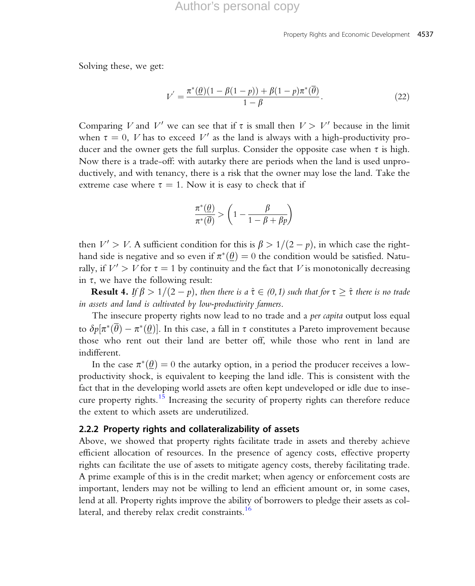<span id="page-13-0"></span>Solving these, we get:

$$
V' = \frac{\pi^*(\underline{\theta})(1 - \beta(1 - p)) + \beta(1 - p)\pi^*(\overline{\theta})}{1 - \beta}.
$$
 (22)

Comparing V and V' we can see that if  $\tau$  is small then  $V > V'$  because in the limit when  $\tau = 0$ , V has to exceed V' as the land is always with a high-productivity producer and the owner gets the full surplus. Consider the opposite case when  $\tau$  is high. Now there is a trade-off: with autarky there are periods when the land is used unproductively, and with tenancy, there is a risk that the owner may lose the land. Take the extreme case where  $\tau = 1$ . Now it is easy to check that if

$$
\frac{\pi^*(\underline{\theta})}{\pi^*(\overline{\theta})} > \left(1 - \frac{\beta}{1 - \beta + \beta p}\right)
$$

then  $V' > V$ . A sufficient condition for this is  $\beta > 1/(2 - p)$ , in which case the righthand side is negative and so even if  $\pi^*(\underline{\theta}) = 0$  the condition would be satisfied. Naturally, if  $V' > V$  for  $\tau = 1$  by continuity and the fact that V is monotonically decreasing in  $\tau$ , we have the following result:

**Result 4.** If  $\beta > 1/(2 - p)$ , then there is a  $\hat{\tau} \in (0,1)$  such that for  $\tau \geq \hat{\tau}$  there is no trade in assets and land is cultivated by low-productivity farmers.

The insecure property rights now lead to no trade and a *per capita* output loss equal to  $\delta p[\pi^*(\theta)-\pi^*(\theta)]$ . In this case, a fall in  $\tau$  constitutes a Pareto improvement because those who rent out their land are better off, while those who rent in land are indifferent.

In the case  $\pi^*(\underline{\theta}) = 0$  the autarky option, in a period the producer receives a lowproductivity shock, is equivalent to keeping the land idle. This is consistent with the fact that in the developing world assets are often kept undeveloped or idle due to inse-cure property rights.<sup>[15](#page-66-0)</sup> Increasing the security of property rights can therefore reduce the extent to which assets are underutilized.

#### 2.2.2 Property rights and collateralizability of assets

Above, we showed that property rights facilitate trade in assets and thereby achieve efficient allocation of resources. In the presence of agency costs, effective property rights can facilitate the use of assets to mitigate agency costs, thereby facilitating trade. A prime example of this is in the credit market; when agency or enforcement costs are important, lenders may not be willing to lend an efficient amount or, in some cases, lend at all. Property rights improve the ability of borrowers to pledge their assets as col-lateral, and thereby relax credit constraints.<sup>[16](#page-66-0)</sup>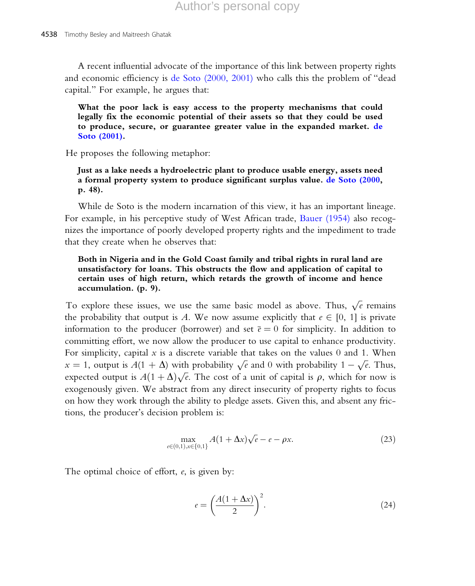A recent influential advocate of the importance of this link between property rights and economic efficiency is [de Soto \(2000, 2001\)](#page-69-0) who calls this the problem of "dead capital." For example, he argues that:

What the poor lack is easy access to the property mechanisms that could legally fix the economic potential of their assets so that they could be used to produce, secure, or guarantee greater value in the expanded market. [de](#page-69-0) [Soto \(2001\)](#page-69-0).

He proposes the following metaphor:

Just as a lake needs a hydroelectric plant to produce usable energy, assets need a formal property system to produce significant surplus value. [de Soto \(2000](#page-69-0), p. 48).

While de Soto is the modern incarnation of this view, it has an important lineage. For example, in his perceptive study of West African trade, [Bauer \(1954\)](#page-69-0) also recognizes the importance of poorly developed property rights and the impediment to trade that they create when he observes that:

Both in Nigeria and in the Gold Coast family and tribal rights in rural land are unsatisfactory for loans. This obstructs the flow and application of capital to certain uses of high return, which retards the growth of income and hence accumulation. (p. 9).

To explore these issues, we use the same basic model as above. Thus,  $\sqrt{e}$  remains the probability that output is A. We now assume explicitly that  $e \in [0, 1]$  is private information to the producer (borrower) and set  $\bar{e} = 0$  for simplicity. In addition to committing effort, we now allow the producer to use capital to enhance productivity. For simplicity, capital x is a discrete variable that takes on the values 0 and 1. When  $x = 1$ , output is  $A(1 + \Delta)$  with probability  $\sqrt{e}$  and 0 with probability  $1 - \sqrt{e}$ . Thus, expected output is  $A(1 + \Delta)\sqrt{e}$ . The cost of a unit of capital is  $\rho$ , which for now is<br>experienced with We abstract from any direct insecurity of property rights to focus exogenously given. We abstract from any direct insecurity of property rights to focus on how they work through the ability to pledge assets. Given this, and absent any frictions, the producer's decision problem is:

$$
\max_{e \in (0,1), x \in \{0,1\}} A(1 + \Delta x)\sqrt{e} - e - \rho x.
$$
 (23)

The optimal choice of effort,  $e$ , is given by:

$$
e = \left(\frac{A(1 + \Delta x)}{2}\right)^2.
$$
 (24)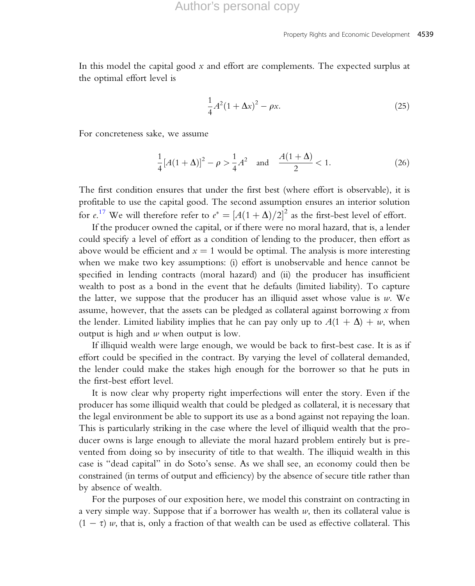<span id="page-15-0"></span>In this model the capital good  $x$  and effort are complements. The expected surplus at the optimal effort level is

$$
\frac{1}{4}A^2(1+\Delta x)^2 - \rho x.\tag{25}
$$

For concreteness sake, we assume

$$
\frac{1}{4}[A(1+\Delta)]^2 - \rho > \frac{1}{4}A^2 \quad \text{and} \quad \frac{A(1+\Delta)}{2} < 1.
$$
 (26)

The first condition ensures that under the first best (where effort is observable), it is profitable to use the capital good. The second assumption ensures an interior solution for e.<sup>[17](#page-66-0)</sup> We will therefore refer to  $e^* = [A(1 + \Delta)/2]^2$  as the first-best level of effort.<br>If the producer owned the capital or if there were no moral hazard, that is, a lende

If the producer owned the capital, or if there were no moral hazard, that is, a lender could specify a level of effort as a condition of lending to the producer, then effort as above would be efficient and  $x = 1$  would be optimal. The analysis is more interesting when we make two key assumptions: (i) effort is unobservable and hence cannot be specified in lending contracts (moral hazard) and (ii) the producer has insufficient wealth to post as a bond in the event that he defaults (limited liability). To capture the latter, we suppose that the producer has an illiquid asset whose value is  $w$ . We assume, however, that the assets can be pledged as collateral against borrowing  $x$  from the lender. Limited liability implies that he can pay only up to  $A(1 + \Delta) + w$ , when output is high and  $w$  when output is low.

If illiquid wealth were large enough, we would be back to first-best case. It is as if effort could be specified in the contract. By varying the level of collateral demanded, the lender could make the stakes high enough for the borrower so that he puts in the first-best effort level.

It is now clear why property right imperfections will enter the story. Even if the producer has some illiquid wealth that could be pledged as collateral, it is necessary that the legal environment be able to support its use as a bond against not repaying the loan. This is particularly striking in the case where the level of illiquid wealth that the producer owns is large enough to alleviate the moral hazard problem entirely but is prevented from doing so by insecurity of title to that wealth. The illiquid wealth in this case is "dead capital" in do Soto's sense. As we shall see, an economy could then be constrained (in terms of output and efficiency) by the absence of secure title rather than by absence of wealth.

For the purposes of our exposition here, we model this constraint on contracting in a very simple way. Suppose that if a borrower has wealth  $w$ , then its collateral value is  $(1 - \tau)$  w, that is, only a fraction of that wealth can be used as effective collateral. This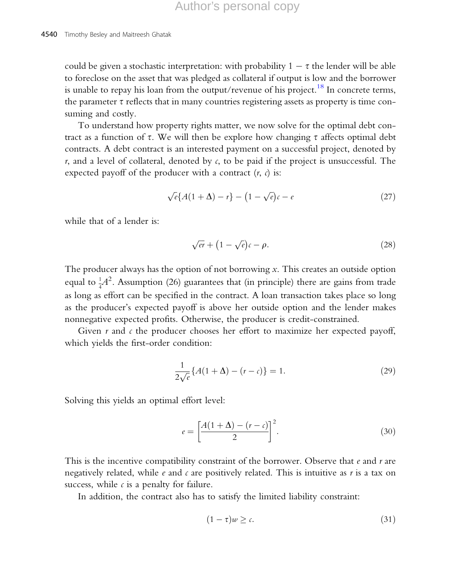<span id="page-16-0"></span>could be given a stochastic interpretation: with probability  $1 - \tau$  the lender will be able to foreclose on the asset that was pledged as collateral if output is low and the borrower is unable to repay his loan from the output/revenue of his project.<sup>[18](#page-66-0)</sup> In concrete terms, the parameter  $\tau$  reflects that in many countries registering assets as property is time consuming and costly.

To understand how property rights matter, we now solve for the optimal debt contract as a function of  $\tau$ . We will then be explore how changing  $\tau$  affects optimal debt contracts. A debt contract is an interested payment on a successful project, denoted by  $r$ , and a level of collateral, denoted by  $c$ , to be paid if the project is unsuccessful. The expected payoff of the producer with a contract  $(r, c)$  is:

$$
\sqrt{e}\{A(1+\Delta)-r\} - (1-\sqrt{e})c - e \tag{27}
$$

while that of a lender is:

$$
\sqrt{er} + (1 - \sqrt{e})c - \rho. \tag{28}
$$

The producer always has the option of not borrowing  $x$ . This creates an outside option equal to  $\frac{1}{4}A^2$ . Assumption (26) guarantees that (in principle) there are gains from trade as long as effort can be specified in the contract. A loan transaction takes place so long as the producer's expected payoff is above her outside option and the lender makes nonnegative expected profits. Otherwise, the producer is credit-constrained.

Given  $r$  and  $\epsilon$  the producer chooses her effort to maximize her expected payoff, which yields the first-order condition:

$$
\frac{1}{2\sqrt{e}}\{A(1+\Delta) - (r-c)\} = 1.
$$
 (29)

Solving this yields an optimal effort level:

$$
e = \left[\frac{A(1+\Delta) - (r-\epsilon)}{2}\right]^2.
$$
\n(30)

This is the incentive compatibility constraint of the borrower. Observe that  $e$  and  $r$  are negatively related, while e and c are positively related. This is intuitive as r is a tax on success, while  $\epsilon$  is a penalty for failure.

In addition, the contract also has to satisfy the limited liability constraint:

$$
(1 - \tau)\omega \geq c. \tag{31}
$$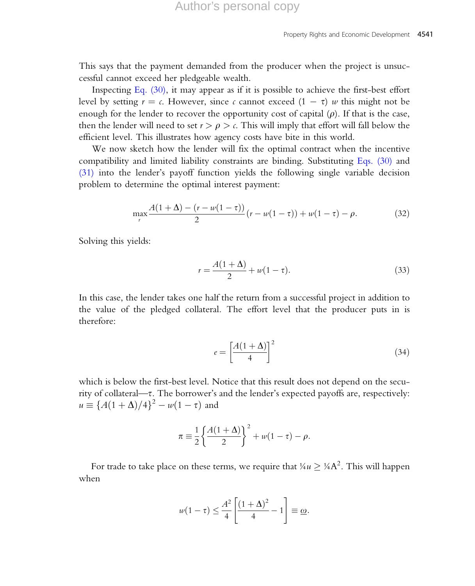This says that the payment demanded from the producer when the project is unsuccessful cannot exceed her pledgeable wealth.

Inspecting [Eq. \(30\),](#page-16-0) it may appear as if it is possible to achieve the first-best effort level by setting  $r = c$ . However, since c cannot exceed  $(1 - \tau)$  w this might not be enough for the lender to recover the opportunity cost of capital  $(\rho)$ . If that is the case, then the lender will need to set  $r > \rho > c$ . This will imply that effort will fall below the efficient level. This illustrates how agency costs have bite in this world.

We now sketch how the lender will fix the optimal contract when the incentive compatibility and limited liability constraints are binding. Substituting [Eqs. \(30\)](#page-16-0) and [\(31\)](#page-16-0) into the lender's payoff function yields the following single variable decision problem to determine the optimal interest payment:

$$
\max_{r} \frac{A(1+\Delta) - (r - w(1-\tau))}{2} (r - w(1-\tau)) + w(1-\tau) - \rho.
$$
 (32)

Solving this yields:

$$
r = \frac{A(1+\Delta)}{2} + w(1-\tau).
$$
 (33)

In this case, the lender takes one half the return from a successful project in addition to the value of the pledged collateral. The effort level that the producer puts in is therefore:

$$
e = \left[\frac{A(1+\Delta)}{4}\right]^2\tag{34}
$$

which is below the first-best level. Notice that this result does not depend on the security of collateral— $\tau$ . The borrower's and the lender's expected payoffs are, respectively:  $u \equiv {A(1 + \Delta)/4}^2 - w(1 - \tau)$  and

$$
\pi \equiv \frac{1}{2} \left\{ \frac{A(1+\Delta)}{2} \right\}^2 + w(1-\tau) - \rho.
$$

For trade to take place on these terms, we require that  $\frac{1}{4}u \geq \frac{1}{4}A^2$ . This will happen when

$$
w(1-\tau) \le \frac{A^2}{4} \left[ \frac{(1+\Delta)^2}{4} - 1 \right] \equiv \underline{\omega}.
$$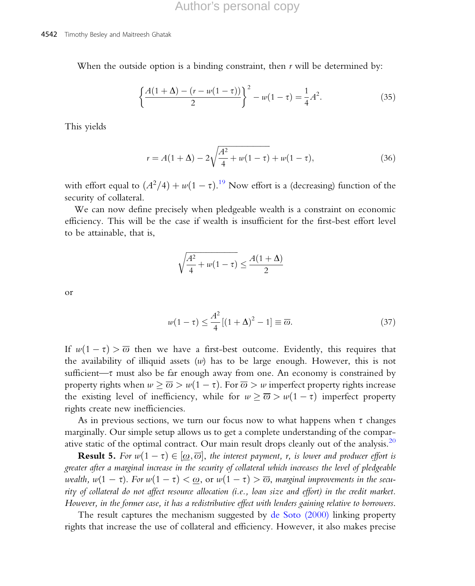When the outside option is a binding constraint, then r will be determined by:

$$
\left\{\frac{A(1+\Delta)-(r-w(1-\tau))}{2}\right\}^2-w(1-\tau)=\frac{1}{4}A^2.
$$
 (35)

This yields

$$
r = A(1 + \Delta) - 2\sqrt{\frac{A^2}{4} + w(1 - \tau)} + w(1 - \tau),
$$
\n(36)

with effort equal to  $(A^2/4) + w(1 - \tau).$ <sup>[19](#page-66-0)</sup> Now effort is a (decreasing) function of the security of collateral.

We can now define precisely when pledgeable wealth is a constraint on economic efficiency. This will be the case if wealth is insufficient for the first-best effort level to be attainable, that is,

$$
\sqrt{\frac{A^2}{4} + w(1-\tau)} \le \frac{A(1+\Delta)}{2}
$$

or

$$
w(1-\tau) \le \frac{A^2}{4}[(1+\Delta)^2 - 1] \equiv \overline{\omega}.
$$
 (37)

If  $w(1 - \tau) > \overline{\omega}$  then we have a first-best outcome. Evidently, this requires that the availability of illiquid assets  $(w)$  has to be large enough. However, this is not sufficient— $\tau$  must also be far enough away from one. An economy is constrained by property rights when  $w \ge \overline{\omega} > w(1 - \tau)$ . For  $\overline{\omega} > w$  imperfect property rights increase the existing level of inefficiency, while for  $w \ge \overline{\omega} > w(1 - \tau)$  imperfect property rights create new inefficiencies.

As in previous sections, we turn our focus now to what happens when  $\tau$  changes marginally. Our simple setup allows us to get a complete understanding of the compar-ative static of the optimal contract. Our main result drops cleanly out of the analysis.<sup>[20](#page-66-0)</sup>

**Result 5.** For  $w(1 - \tau) \in [\omega, \overline{\omega}]$ , the interest payment, r, is lower and producer effort is greater after a marginal increase in the security of collateral which increases the level of pledgeable wealth,  $w(1 - \tau)$ . For  $w(1 - \tau) < \omega$ , or  $w(1 - \tau) > \overline{\omega}$ , marginal improvements in the security of collateral do not affect resource allocation (i.e., loan size and effort) in the credit market. However, in the former case, it has a redistributive effect with lenders gaining relative to borrowers.

The result captures the mechanism suggested by [de Soto \(2000\)](#page-69-0) linking property rights that increase the use of collateral and efficiency. However, it also makes precise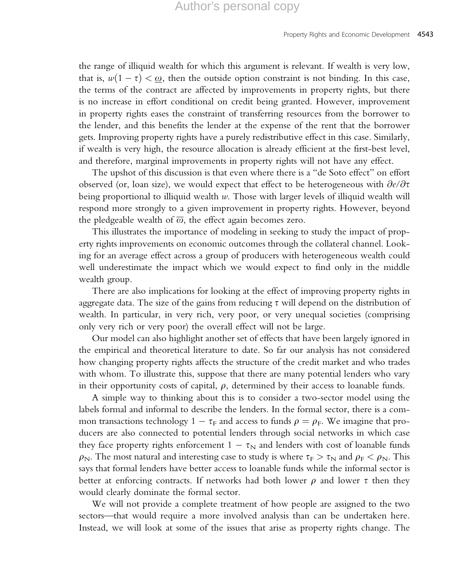the range of illiquid wealth for which this argument is relevant. If wealth is very low, that is,  $w(1 - \tau) < \omega$ , then the outside option constraint is not binding. In this case, the terms of the contract are affected by improvements in property rights, but there is no increase in effort conditional on credit being granted. However, improvement in property rights eases the constraint of transferring resources from the borrower to the lender, and this benefits the lender at the expense of the rent that the borrower gets. Improving property rights have a purely redistributive effect in this case. Similarly, if wealth is very high, the resource allocation is already efficient at the first-best level, and therefore, marginal improvements in property rights will not have any effect.

The upshot of this discussion is that even where there is a "de Soto effect" on effort observed (or, loan size), we would expect that effect to be heterogeneous with  $\partial e/\partial \tau$ being proportional to illiquid wealth  $w$ . Those with larger levels of illiquid wealth will respond more strongly to a given improvement in property rights. However, beyond the pledgeable wealth of  $\overline{\omega}$ , the effect again becomes zero.

This illustrates the importance of modeling in seeking to study the impact of property rights improvements on economic outcomes through the collateral channel. Looking for an average effect across a group of producers with heterogeneous wealth could well underestimate the impact which we would expect to find only in the middle wealth group.

There are also implications for looking at the effect of improving property rights in aggregate data. The size of the gains from reducing  $\tau$  will depend on the distribution of wealth. In particular, in very rich, very poor, or very unequal societies (comprising only very rich or very poor) the overall effect will not be large.

Our model can also highlight another set of effects that have been largely ignored in the empirical and theoretical literature to date. So far our analysis has not considered how changing property rights affects the structure of the credit market and who trades with whom. To illustrate this, suppose that there are many potential lenders who vary in their opportunity costs of capital,  $\rho$ , determined by their access to loanable funds.

A simple way to thinking about this is to consider a two-sector model using the labels formal and informal to describe the lenders. In the formal sector, there is a common transactions technology 1 –  $\tau_F$  and access to funds  $\rho = \rho_F$ . We imagine that producers are also connected to potential lenders through social networks in which case they face property rights enforcement  $1 - \tau_N$  and lenders with cost of loanable funds  $\rho_N$ . The most natural and interesting case to study is where  $\tau_F > \tau_N$  and  $\rho_F < \rho_N$ . This says that formal lenders have better access to loanable funds while the informal sector is better at enforcing contracts. If networks had both lower  $\rho$  and lower  $\tau$  then they would clearly dominate the formal sector.

We will not provide a complete treatment of how people are assigned to the two sectors—that would require a more involved analysis than can be undertaken here. Instead, we will look at some of the issues that arise as property rights change. The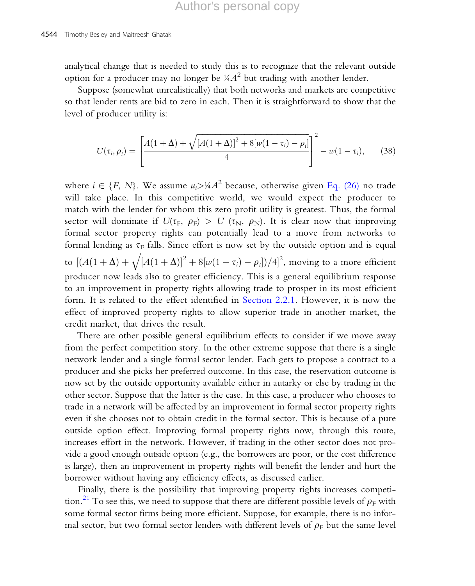analytical change that is needed to study this is to recognize that the relevant outside option for a producer may no longer be  $4A^2$  but trading with another lender.

Suppose (somewhat unrealistically) that both networks and markets are competitive so that lender rents are bid to zero in each. Then it is straightforward to show that the level of producer utility is:

$$
U(\tau_i, \rho_i) = \left[ \frac{A(1+\Delta) + \sqrt{[A(1+\Delta)]^2 + 8[\psi(1-\tau_i) - \rho_i]}}{4} \right]^2 - \psi(1-\tau_i), \quad (38)
$$

where  $i \in \{F, N\}$ . We assume  $u_i > \frac{1}{4}A^2$  because, otherwise given [Eq. \(26\)](#page-15-0) no trade will take place. In this competitive world, we would expect the producer to match with the lender for whom this zero profit utility is greatest. Thus, the formal sector will dominate if  $U(\tau_F, \rho_F) > U(\tau_N, \rho_N)$ . It is clear now that improving formal sector property rights can potentially lead to a move from networks to formal lending as  $\tau_F$  falls. Since effort is now set by the outside option and is equal to  $[(A(1+\Delta)+\sqrt{[A(1+\Delta)]^2+8[w(1-\tau_i)-\rho_i}$  $\sqrt{[A(1+\Delta)]^2+8[w(1-\tau_i)-\rho_i]})/4]^2$ , moving to a more efficient producer now leads also to greater efficiency. This is a general equilibrium response to an improvement in property rights allowing trade to prosper in its most efficient form. It is related to the effect identified in [Section 2.2.1.](#page-10-0) However, it is now the effect of improved property rights to allow superior trade in another market, the credit market, that drives the result.

There are other possible general equilibrium effects to consider if we move away from the perfect competition story. In the other extreme suppose that there is a single network lender and a single formal sector lender. Each gets to propose a contract to a producer and she picks her preferred outcome. In this case, the reservation outcome is now set by the outside opportunity available either in autarky or else by trading in the other sector. Suppose that the latter is the case. In this case, a producer who chooses to trade in a network will be affected by an improvement in formal sector property rights even if she chooses not to obtain credit in the formal sector. This is because of a pure outside option effect. Improving formal property rights now, through this route, increases effort in the network. However, if trading in the other sector does not provide a good enough outside option (e.g., the borrowers are poor, or the cost difference is large), then an improvement in property rights will benefit the lender and hurt the borrower without having any efficiency effects, as discussed earlier.

Finally, there is the possibility that improving property rights increases competi-tion.<sup>[21](#page-66-0)</sup> To see this, we need to suppose that there are different possible levels of  $\rho_F$  with some formal sector firms being more efficient. Suppose, for example, there is no informal sector, but two formal sector lenders with different levels of  $\rho_F$  but the same level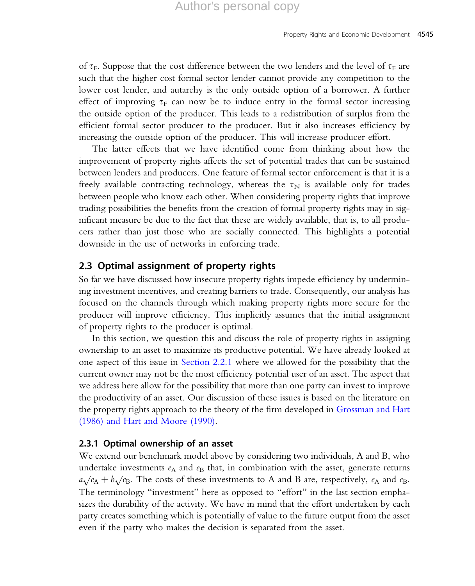Author's personal copy

of  $\tau_F$ . Suppose that the cost difference between the two lenders and the level of  $\tau_F$  are such that the higher cost formal sector lender cannot provide any competition to the lower cost lender, and autarchy is the only outside option of a borrower. A further effect of improving  $\tau_F$  can now be to induce entry in the formal sector increasing the outside option of the producer. This leads to a redistribution of surplus from the efficient formal sector producer to the producer. But it also increases efficiency by increasing the outside option of the producer. This will increase producer effort.

The latter effects that we have identified come from thinking about how the improvement of property rights affects the set of potential trades that can be sustained between lenders and producers. One feature of formal sector enforcement is that it is a freely available contracting technology, whereas the  $\tau_N$  is available only for trades between people who know each other. When considering property rights that improve trading possibilities the benefits from the creation of formal property rights may in significant measure be due to the fact that these are widely available, that is, to all producers rather than just those who are socially connected. This highlights a potential downside in the use of networks in enforcing trade.

#### 2.3 Optimal assignment of property rights

So far we have discussed how insecure property rights impede efficiency by undermining investment incentives, and creating barriers to trade. Consequently, our analysis has focused on the channels through which making property rights more secure for the producer will improve efficiency. This implicitly assumes that the initial assignment of property rights to the producer is optimal.

In this section, we question this and discuss the role of property rights in assigning ownership to an asset to maximize its productive potential. We have already looked at one aspect of this issue in [Section 2.2.1](#page-10-0) where we allowed for the possibility that the current owner may not be the most efficiency potential user of an asset. The aspect that we address here allow for the possibility that more than one party can invest to improve the productivity of an asset. Our discussion of these issues is based on the literature on the property rights approach to the theory of the firm developed in [Grossman and Hart](#page-70-0) [\(1986\) and Hart and Moore \(1990\).](#page-70-0)

#### 2.3.1 Optimal ownership of an asset

We extend our benchmark model above by considering two individuals, A and B, who undertake investments  $e_A$  and  $e_B$  that, in combination with the asset, generate returns  $a\sqrt{\epsilon_{A}}+b\sqrt{\epsilon_{B}}$ . The costs of these investments to A and B are, respectively,  $\epsilon_{A}$  and  $\epsilon_{B}$ .<br>The terminology "investment" bere as annoyed to "offert" in the lest section empha. The terminology "investment" here as opposed to "effort" in the last section emphasizes the durability of the activity. We have in mind that the effort undertaken by each party creates something which is potentially of value to the future output from the asset even if the party who makes the decision is separated from the asset.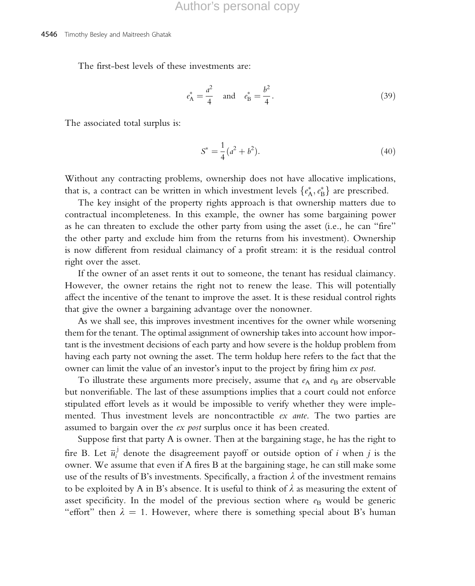The first-best levels of these investments are:

$$
e_{\rm A}^* = \frac{a^2}{4}
$$
 and  $e_{\rm B}^* = \frac{b^2}{4}$ . (39)

The associated total surplus is:

$$
S^* = \frac{1}{4}(a^2 + b^2). \tag{40}
$$

Without any contracting problems, ownership does not have allocative implications, that is, a contract can be written in which investment levels  $\{e_A^*, e_B^*\}$  are prescribed.<br>The level pricht of the property rights entroped is that ownership matters due is

The key insight of the property rights approach is that ownership matters due to contractual incompleteness. In this example, the owner has some bargaining power as he can threaten to exclude the other party from using the asset (i.e., he can "fire" the other party and exclude him from the returns from his investment). Ownership is now different from residual claimancy of a profit stream: it is the residual control right over the asset.

If the owner of an asset rents it out to someone, the tenant has residual claimancy. However, the owner retains the right not to renew the lease. This will potentially affect the incentive of the tenant to improve the asset. It is these residual control rights that give the owner a bargaining advantage over the nonowner.

As we shall see, this improves investment incentives for the owner while worsening them for the tenant. The optimal assignment of ownership takes into account how important is the investment decisions of each party and how severe is the holdup problem from having each party not owning the asset. The term holdup here refers to the fact that the owner can limit the value of an investor's input to the project by firing him ex post.

To illustrate these arguments more precisely, assume that  $e_A$  and  $e_B$  are observable but nonverifiable. The last of these assumptions implies that a court could not enforce stipulated effort levels as it would be impossible to verify whether they were implemented. Thus investment levels are noncontractible ex ante. The two parties are assumed to bargain over the *ex post* surplus once it has been created.

Suppose first that party A is owner. Then at the bargaining stage, he has the right to fire B. Let  $\overline{u}_i^j$  denote the disagreement payoff or outside option of i when j is the owner. We assume that even if A fires B at the bargaining stage, he can still make some use of the results of B's investments. Specifically, a fraction  $\lambda$  of the investment remains to be exploited by A in B's absence. It is useful to think of  $\lambda$  as measuring the extent of asset specificity. In the model of the previous section where  $e_{\rm B}$  would be generic "effort" then  $\lambda = 1$ . However, where there is something special about B's human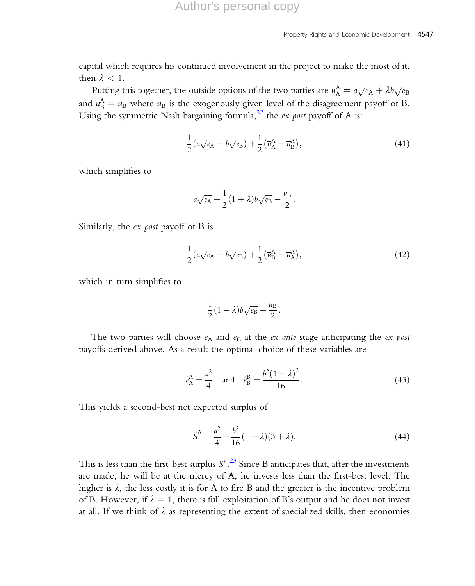<span id="page-23-0"></span>capital which requires his continued involvement in the project to make the most of it, then  $\lambda < 1$ .

Putting this together, the outside options of the two parties are  $\overline{u}_{\rm A}^{\rm A} = a\sqrt{e_{\rm A}} + \lambda b\sqrt{e_{\rm B}}$ and  $\overline{u}_{\rm B}^{\rm A} = \overline{u}_{\rm B}$  where  $\overline{u}_{\rm B}$  is the exogenously given level of the disagreement payoff of B.<br>Heing the symmetric Neck becausing formula <sup>22</sup> the ex next payoff of A is: Using the symmetric Nash bargaining formula,<sup>[22](#page-66-0)</sup> the ex post payoff of A is:

$$
\frac{1}{2}\left(a\sqrt{e_{A}}+b\sqrt{e_{B}}\right)+\frac{1}{2}\left(\overline{u}_{A}^{A}-\overline{u}_{B}^{A}\right),\tag{41}
$$

which simplifies to

$$
a\sqrt{e_{A}}+\frac{1}{2}(1+\lambda)b\sqrt{e_{B}}-\frac{\overline{u}_{B}}{2}.
$$

Similarly, the ex post payoff of B is

$$
\frac{1}{2}\left(a\sqrt{e_{A}}+b\sqrt{e_{B}}\right)+\frac{1}{2}\left(\overline{u}_{B}^{A}-\overline{u}_{A}^{A}\right),\tag{42}
$$

which in turn simplifies to

$$
\frac{1}{2}(1-\lambda)b\sqrt{e_{B}}+\frac{\overline{u}_{B}}{2}.
$$

The two parties will choose  $e_A$  and  $e_B$  at the *ex ante* stage anticipating the *ex post* payoffs derived above. As a result the optimal choice of these variables are

$$
\hat{e}_{\rm A}^{\rm A} = \frac{a^2}{4}
$$
 and  $\hat{e}_{\rm B}^{\rm B} = \frac{b^2(1-\lambda)^2}{16}$ . (43)

This yields a second-best net expected surplus of

$$
\hat{S}^{A} = \frac{a^{2}}{4} + \frac{b^{2}}{16} (1 - \lambda)(3 + \lambda). \tag{44}
$$

This is less than the first-best surplus  $\mathcal{S}^*$ .<sup>[23](#page-66-0)</sup> Since B anticipates that, after the investments are made, he will be at the mercy of A, he invests less than the first-best level. The higher is  $\lambda$ , the less costly it is for A to fire B and the greater is the incentive problem of B. However, if  $\lambda = 1$ , there is full exploitation of B's output and he does not invest at all. If we think of  $\lambda$  as representing the extent of specialized skills, then economies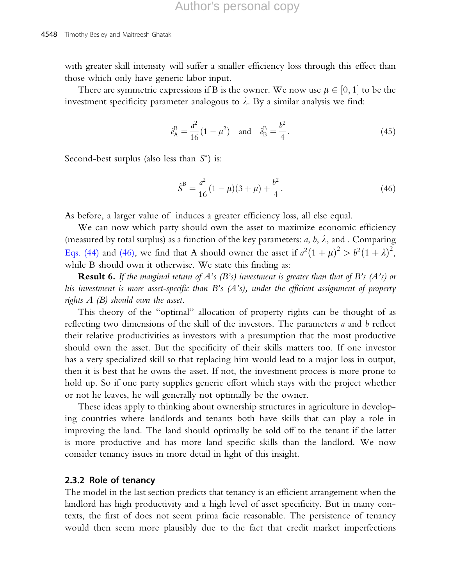with greater skill intensity will suffer a smaller efficiency loss through this effect than those which only have generic labor input.

There are symmetric expressions if B is the owner. We now use  $\mu \in [0, 1]$  to be the investment specificity parameter analogous to  $\lambda$ . By a similar analysis we find:

$$
\hat{e}_{\rm A}^{\rm B} = \frac{a^2}{16} (1 - \mu^2)
$$
 and  $\hat{e}_{\rm B}^{\rm B} = \frac{b^2}{4}$ . (45)

Second-best surplus (also less than  $S^*$ ) is:

$$
\hat{S}^{B} = \frac{a^2}{16} (1 - \mu)(3 + \mu) + \frac{b^2}{4}.
$$
\n(46)

As before, a larger value of induces a greater efficiency loss, all else equal.

We can now which party should own the asset to maximize economic efficiency (measured by total surplus) as a function of the key parameters: *a*, *b*,  $\lambda$ , and . Comparing [Eqs. \(44\)](#page-23-0) and (46), we find that A should owner the asset if  $a^2(1+\mu)^2 > b^2(1+\lambda)^2$ , while B should own it otherwise. We state this finding as:

**Result 6.** If the marginal return of A's (B's) investment is greater than that of B's (A's) or his investment is more asset-specific than B's (A's), under the efficient assignment of property rights  $A$  (B) should own the asset.

This theory of the "optimal" allocation of property rights can be thought of as reflecting two dimensions of the skill of the investors. The parameters  $a$  and  $b$  reflect their relative productivities as investors with a presumption that the most productive should own the asset. But the specificity of their skills matters too. If one investor has a very specialized skill so that replacing him would lead to a major loss in output, then it is best that he owns the asset. If not, the investment process is more prone to hold up. So if one party supplies generic effort which stays with the project whether or not he leaves, he will generally not optimally be the owner.

These ideas apply to thinking about ownership structures in agriculture in developing countries where landlords and tenants both have skills that can play a role in improving the land. The land should optimally be sold off to the tenant if the latter is more productive and has more land specific skills than the landlord. We now consider tenancy issues in more detail in light of this insight.

#### 2.3.2 Role of tenancy

The model in the last section predicts that tenancy is an efficient arrangement when the landlord has high productivity and a high level of asset specificity. But in many contexts, the first of does not seem prima facie reasonable. The persistence of tenancy would then seem more plausibly due to the fact that credit market imperfections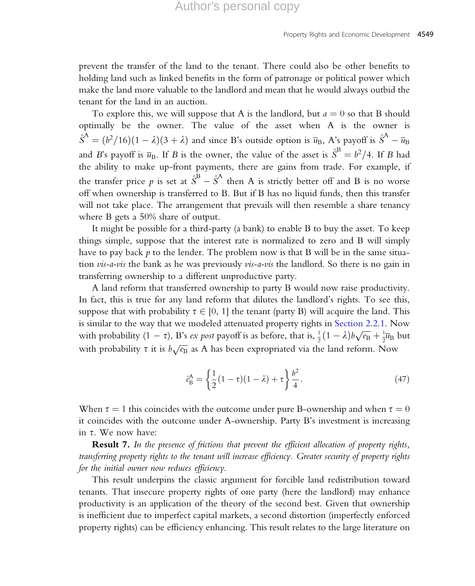prevent the transfer of the land to the tenant. There could also be other benefits to holding land such as linked benefits in the form of patronage or political power which make the land more valuable to the landlord and mean that he would always outbid the tenant for the land in an auction.

To explore this, we will suppose that A is the landlord, but  $a = 0$  so that B should optimally be the owner. The value of the asset when A is the owner is  $\hat{S}^A = (b^2/16)(1 - \lambda)(3 + \lambda)$  and since B's outside option is  $\bar{u}_B$ , A's payoff is  $\hat{S}^A - \bar{u}_B$ and B's payoff is  $\overline{u}_B$ . If B is the owner, the value of the asset is  $\hat{S}^B = b^2/4$ . If B had the ability to make up-front payments, there are gains from trade. For example, if the transfer price p is set at  $\hat{S}^B - \hat{S}^A$  then A is strictly better off and B is no worse off when ownership is transferred to B. But if B has no liquid funds, then this transfer will not take place. The arrangement that prevails will then resemble a share tenancy where B gets a 50% share of output.

It might be possible for a third-party (a bank) to enable B to buy the asset. To keep things simple, suppose that the interest rate is normalized to zero and B will simply have to pay back p to the lender. The problem now is that B will be in the same situation *vis-a-vis* the bank as he was previously *vis-a-vis* the landlord. So there is no gain in transferring ownership to a different unproductive party.

A land reform that transferred ownership to party B would now raise productivity. In fact, this is true for any land reform that dilutes the landlord's rights. To see this, suppose that with probability  $\tau \in [0, 1]$  the tenant (party B) will acquire the land. This is similar to the way that we modeled attenuated property rights in [Section 2.2.1.](#page-10-0) Now with probability  $(1 - \tau)$ , B's ex post payoff is as before, that is,  $\frac{1}{2}(1 - \lambda)b\sqrt{e_B} + \frac{1}{2}\overline{u}_B$  but with probability  $\tau$  it is  $b\sqrt{e_{\text{B}}}$  as A has been expropriated via the land reform. Now

$$
\hat{e}_{\rm B}^{\rm A} = \left\{ \frac{1}{2} (1 - \tau)(1 - \lambda) + \tau \right\} \frac{b^2}{4}.
$$
 (47)

When  $\tau = 1$  this coincides with the outcome under pure B-ownership and when  $\tau = 0$ it coincides with the outcome under A-ownership. Party B's investment is increasing in  $\tau$ . We now have:

**Result 7.** In the presence of frictions that prevent the efficient allocation of property rights, transferring property rights to the tenant will increase efficiency. Greater security of property rights for the initial owner now reduces efficiency.

This result underpins the classic argument for forcible land redistribution toward tenants. That insecure property rights of one party (here the landlord) may enhance productivity is an application of the theory of the second best. Given that ownership is inefficient due to imperfect capital markets, a second distortion (imperfectly enforced property rights) can be efficiency enhancing. This result relates to the large literature on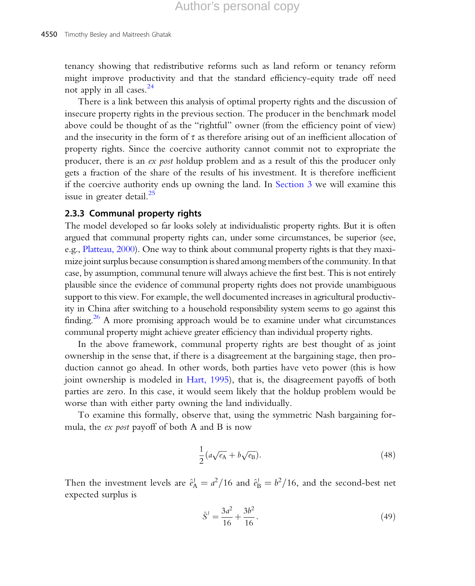tenancy showing that redistributive reforms such as land reform or tenancy reform might improve productivity and that the standard efficiency-equity trade off need not apply in all cases[.24](#page-66-0)

There is a link between this analysis of optimal property rights and the discussion of insecure property rights in the previous section. The producer in the benchmark model above could be thought of as the "rightful" owner (from the efficiency point of view) and the insecurity in the form of  $\tau$  as therefore arising out of an inefficient allocation of property rights. Since the coercive authority cannot commit not to expropriate the producer, there is an ex post holdup problem and as a result of this the producer only gets a fraction of the share of the results of his investment. It is therefore inefficient if the coercive authority ends up owning the land. In [Section 3](#page-35-0) we will examine this issue in greater detail. $^{25}$  $^{25}$  $^{25}$ 

#### 2.3.3 Communal property rights

The model developed so far looks solely at individualistic property rights. But it is often argued that communal property rights can, under some circumstances, be superior (see, e.g., [Platteau, 2000](#page-71-0)). One way to think about communal property rights is that they maximize joint surplus because consumption is shared among members of the community. In that case, by assumption, communal tenure will always achieve the first best. This is not entirely plausible since the evidence of communal property rights does not provide unambiguous support to this view. For example, the well documented increases in agricultural productivity in China after switching to a household responsibility system seems to go against this finding.<sup>26</sup> A more promising approach would be to examine under what circumstances communal property might achieve greater efficiency than individual property rights.

In the above framework, communal property rights are best thought of as joint ownership in the sense that, if there is a disagreement at the bargaining stage, then production cannot go ahead. In other words, both parties have veto power (this is how joint ownership is modeled in [Hart, 1995\)](#page-70-0), that is, the disagreement payoffs of both parties are zero. In this case, it would seem likely that the holdup problem would be worse than with either party owning the land individually.

To examine this formally, observe that, using the symmetric Nash bargaining formula, the ex post payoff of both A and B is now

$$
\frac{1}{2}(a\sqrt{e_{A}} + b\sqrt{e_{B}}). \tag{48}
$$

Then the investment levels are  $\hat{e}^J_A = a^2/16$  and  $\hat{e}^J_B = b^2/16$ , and the second-best net expected surplus is

$$
\hat{S}^1 = \frac{3a^2}{16} + \frac{3b^2}{16}.
$$
\n(49)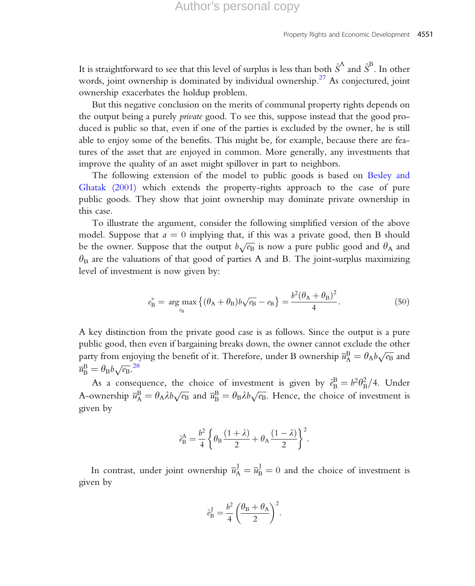It is straightforward to see that this level of surplus is less than both  ${\hat S}^\mathrm A$  and  ${\hat S}^\mathrm B.$  In other words, joint ownership is dominated by individual ownership.<sup>[27](#page-67-0)</sup> As conjectured, joint ownership exacerbates the holdup problem.

But this negative conclusion on the merits of communal property rights depends on the output being a purely private good. To see this, suppose instead that the good produced is public so that, even if one of the parties is excluded by the owner, he is still able to enjoy some of the benefits. This might be, for example, because there are features of the asset that are enjoyed in common. More generally, any investments that improve the quality of an asset might spillover in part to neighbors.

The following extension of the model to public goods is based on [Besley and](#page-69-0) [Ghatak \(2001\)](#page-69-0) which extends the property-rights approach to the case of pure public goods. They show that joint ownership may dominate private ownership in this case.

To illustrate the argument, consider the following simplified version of the above model. Suppose that  $a = 0$  implying that, if this was a private good, then B should be the owner. Suppose that the output  $b\sqrt{e_{\text{B}}}$  is now a pure public good and  $\theta_{\text{A}}$  and  $\theta_B$  are the valuations of that good of parties A and B. The joint-surplus maximizing level of investment is now given by:

$$
e_{\rm B}^* = \arg\max_{e_{\rm B}} \left\{ (\theta_{\rm A} + \theta_{\rm B}) b \sqrt{e_{\rm B}} - e_{\rm B} \right\} = \frac{b^2 (\theta_{\rm A} + \theta_{\rm B})^2}{4}.
$$
 (50)

A key distinction from the private good case is as follows. Since the output is a pure public good, then even if bargaining breaks down, the owner cannot exclude the other party from enjoying the benefit of it. Therefore, under B ownership  $\overline{u}_{\rm A}^{\rm B} = \theta_{\rm A} b \sqrt{e_{\rm B}}$  and  $\overline{v}_{\rm B}^{\rm B} = 0$  to  $\sqrt{e_{\rm B}}^2$  $\overline{u}_{\rm B}^{\rm B} = \theta_{\rm B} b \sqrt{\overline{e_{\rm B}}}^2$ .<sup>[28](#page-67-0)</sup>

As a consequence, the choice of investment is given by  $\hat{e}_{\text{B}}^{\text{B}} = b^2 \theta_{\text{B}}^2 / 4$ . Under we are the choice of investment is A-ownership  $\overline{u}_{A}^{B} = \theta_{A} \lambda b \sqrt{e_{B}}$  and  $\overline{u}_{B}^{B} = \theta_{B} \lambda b \sqrt{e_{B}}$ . Hence, the choice of investment is given by

$$
\hat{e}_{\rm B}^{\rm A} = \frac{b^2}{4} \left\{ \theta_{\rm B} \frac{(1+\lambda)}{2} + \theta_{\rm A} \frac{(1-\lambda)}{2} \right\}^2.
$$

In contrast, under joint ownership  $\overline{u}_{A}^{J} = \overline{u}_{B}^{J} = 0$  and the choice of investment is given by

$$
\hat{e}_{\rm B}^{\rm J} = \frac{b^2}{4} \left( \frac{\theta_{\rm B} + \theta_{\rm A}}{2} \right)^2.
$$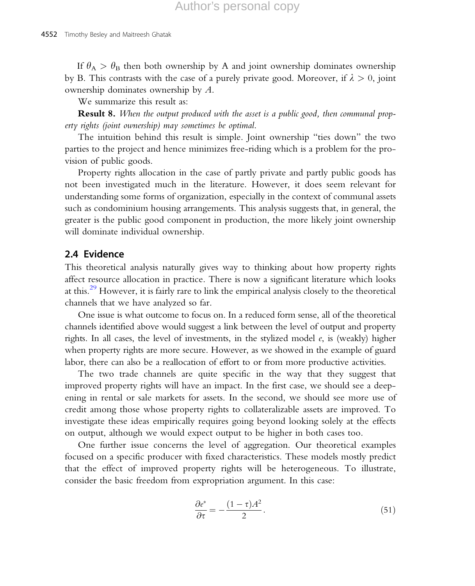If  $\theta_A > \theta_B$  then both ownership by A and joint ownership dominates ownership by B. This contrasts with the case of a purely private good. Moreover, if  $\lambda > 0$ , joint ownership dominates ownership by A.

We summarize this result as:

**Result 8.** When the output produced with the asset is a public good, then communal property rights (joint ownership) may sometimes be optimal.

The intuition behind this result is simple. Joint ownership "ties down" the two parties to the project and hence minimizes free-riding which is a problem for the provision of public goods.

Property rights allocation in the case of partly private and partly public goods has not been investigated much in the literature. However, it does seem relevant for understanding some forms of organization, especially in the context of communal assets such as condominium housing arrangements. This analysis suggests that, in general, the greater is the public good component in production, the more likely joint ownership will dominate individual ownership.

## 2.4 Evidence

This theoretical analysis naturally gives way to thinking about how property rights affect resource allocation in practice. There is now a significant literature which looks at this.<sup>[29](#page-67-0)</sup> However, it is fairly rare to link the empirical analysis closely to the theoretical channels that we have analyzed so far.

One issue is what outcome to focus on. In a reduced form sense, all of the theoretical channels identified above would suggest a link between the level of output and property rights. In all cases, the level of investments, in the stylized model  $e$ , is (weakly) higher when property rights are more secure. However, as we showed in the example of guard labor, there can also be a reallocation of effort to or from more productive activities.

The two trade channels are quite specific in the way that they suggest that improved property rights will have an impact. In the first case, we should see a deepening in rental or sale markets for assets. In the second, we should see more use of credit among those whose property rights to collateralizable assets are improved. To investigate these ideas empirically requires going beyond looking solely at the effects on output, although we would expect output to be higher in both cases too.

One further issue concerns the level of aggregation. Our theoretical examples focused on a specific producer with fixed characteristics. These models mostly predict that the effect of improved property rights will be heterogeneous. To illustrate, consider the basic freedom from expropriation argument. In this case:

$$
\frac{\partial e^*}{\partial \tau} = -\frac{(1-\tau)A^2}{2}.\tag{51}
$$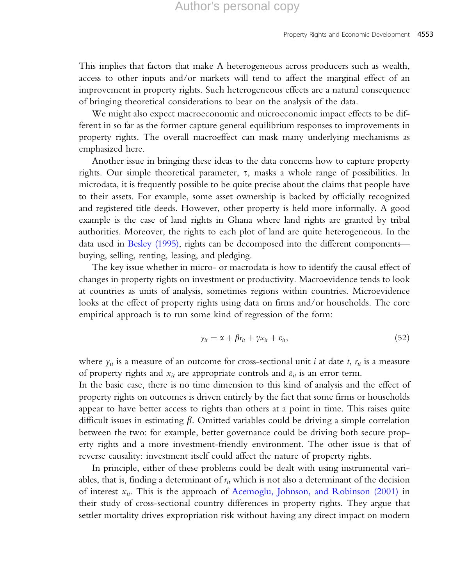This implies that factors that make A heterogeneous across producers such as wealth, access to other inputs and/or markets will tend to affect the marginal effect of an improvement in property rights. Such heterogeneous effects are a natural consequence of bringing theoretical considerations to bear on the analysis of the data.

We might also expect macroeconomic and microeconomic impact effects to be different in so far as the former capture general equilibrium responses to improvements in property rights. The overall macroeffect can mask many underlying mechanisms as emphasized here.

Another issue in bringing these ideas to the data concerns how to capture property rights. Our simple theoretical parameter,  $\tau$ , masks a whole range of possibilities. In microdata, it is frequently possible to be quite precise about the claims that people have to their assets. For example, some asset ownership is backed by officially recognized and registered title deeds. However, other property is held more informally. A good example is the case of land rights in Ghana where land rights are granted by tribal authorities. Moreover, the rights to each plot of land are quite heterogeneous. In the data used in [Besley \(1995\),](#page-69-0) rights can be decomposed into the different components buying, selling, renting, leasing, and pledging.

The key issue whether in micro- or macrodata is how to identify the causal effect of changes in property rights on investment or productivity. Macroevidence tends to look at countries as units of analysis, sometimes regions within countries. Microevidence looks at the effect of property rights using data on firms and/or households. The core empirical approach is to run some kind of regression of the form:

$$
y_{it} = \alpha + \beta r_{it} + \gamma x_{it} + \varepsilon_{it}, \tag{52}
$$

where  $y_{it}$  is a measure of an outcome for cross-sectional unit i at date t,  $r_{it}$  is a measure of property rights and  $x_{it}$  are appropriate controls and  $\varepsilon_{it}$  is an error term.

In the basic case, there is no time dimension to this kind of analysis and the effect of property rights on outcomes is driven entirely by the fact that some firms or households appear to have better access to rights than others at a point in time. This raises quite difficult issues in estimating  $\beta$ . Omitted variables could be driving a simple correlation between the two: for example, better governance could be driving both secure property rights and a more investment-friendly environment. The other issue is that of reverse causality: investment itself could affect the nature of property rights.

In principle, either of these problems could be dealt with using instrumental variables, that is, finding a determinant of  $r_{it}$  which is not also a determinant of the decision of interest  $x_{it}$ . This is the approach of [Acemoglu, Johnson, and Robinson \(2001\)](#page-68-0) in their study of cross-sectional country differences in property rights. They argue that settler mortality drives expropriation risk without having any direct impact on modern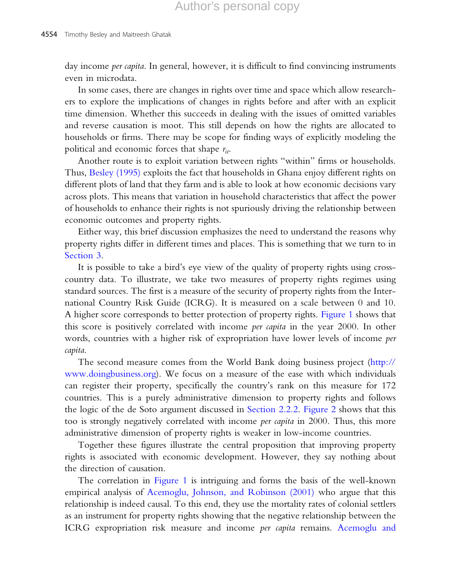day income per capita. In general, however, it is difficult to find convincing instruments even in microdata.

In some cases, there are changes in rights over time and space which allow researchers to explore the implications of changes in rights before and after with an explicit time dimension. Whether this succeeds in dealing with the issues of omitted variables and reverse causation is moot. This still depends on how the rights are allocated to households or firms. There may be scope for finding ways of explicitly modeling the political and economic forces that shape  $r_{it}$ .

Another route is to exploit variation between rights "within" firms or households. Thus, [Besley \(1995\)](#page-69-0) exploits the fact that households in Ghana enjoy different rights on different plots of land that they farm and is able to look at how economic decisions vary across plots. This means that variation in household characteristics that affect the power of households to enhance their rights is not spuriously driving the relationship between economic outcomes and property rights.

Either way, this brief discussion emphasizes the need to understand the reasons why property rights differ in different times and places. This is something that we turn to in [Section 3.](#page-35-0)

It is possible to take a bird's eye view of the quality of property rights using crosscountry data. To illustrate, we take two measures of property rights regimes using standard sources. The first is a measure of the security of property rights from the International Country Risk Guide (ICRG). It is measured on a scale between 0 and 10. A higher score corresponds to better protection of property rights. [Figure 1](#page-31-0) shows that this score is positively correlated with income per capita in the year 2000. In other words, countries with a higher risk of expropriation have lower levels of income per capita.

The second measure comes from the World Bank doing business project [\(http://](http://www.doingbusiness.org) [www.doingbusiness.org](http://www.doingbusiness.org)). We focus on a measure of the ease with which individuals can register their property, specifically the country's rank on this measure for 172 countries. This is a purely administrative dimension to property rights and follows the logic of the de Soto argument discussed in [Section 2.2.2.](#page-13-0) [Figure 2](#page-31-0) shows that this too is strongly negatively correlated with income *per capita* in 2000. Thus, this more administrative dimension of property rights is weaker in low-income countries.

Together these figures illustrate the central proposition that improving property rights is associated with economic development. However, they say nothing about the direction of causation.

The correlation in [Figure 1](#page-31-0) is intriguing and forms the basis of the well-known empirical analysis of [Acemoglu, Johnson, and Robinson \(2001\)](#page-68-0) who argue that this relationship is indeed causal. To this end, they use the mortality rates of colonial settlers as an instrument for property rights showing that the negative relationship between the ICRG expropriation risk measure and income per capita remains. [Acemoglu and](#page-68-0)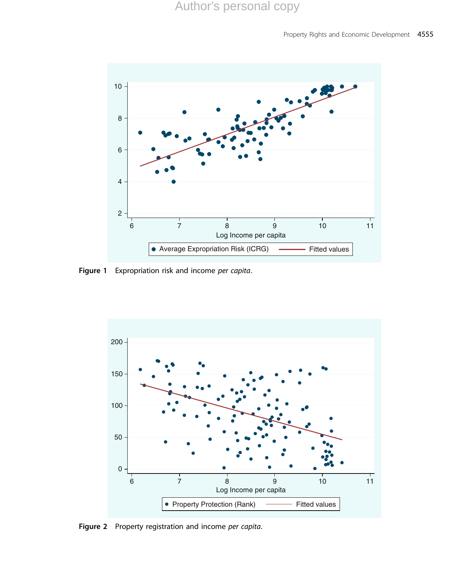<span id="page-31-0"></span>

Figure 1 Expropriation risk and income per capita.



Figure 2 Property registration and income per capita.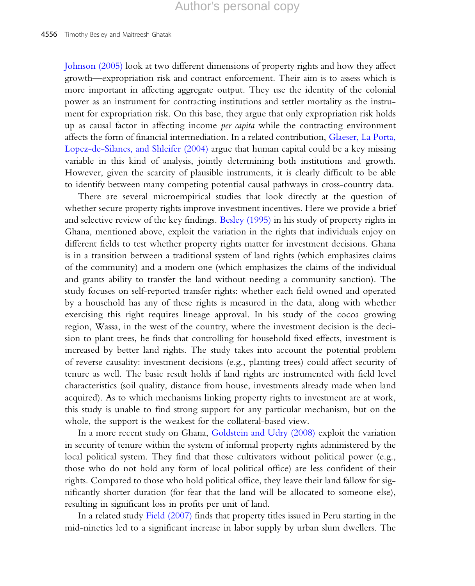[Johnson \(2005\)](#page-68-0) look at two different dimensions of property rights and how they affect growth—expropriation risk and contract enforcement. Their aim is to assess which is more important in affecting aggregate output. They use the identity of the colonial power as an instrument for contracting institutions and settler mortality as the instrument for expropriation risk. On this base, they argue that only expropriation risk holds up as causal factor in affecting income per capita while the contracting environment affects the form of financial intermediation. In a related contribution, [Glaeser, La Porta,](#page-70-0) [Lopez-de-Silanes, and Shleifer \(2004\)](#page-70-0) argue that human capital could be a key missing variable in this kind of analysis, jointly determining both institutions and growth. However, given the scarcity of plausible instruments, it is clearly difficult to be able to identify between many competing potential causal pathways in cross-country data.

There are several microempirical studies that look directly at the question of whether secure property rights improve investment incentives. Here we provide a brief and selective review of the key findings. [Besley \(1995\)](#page-69-0) in his study of property rights in Ghana, mentioned above, exploit the variation in the rights that individuals enjoy on different fields to test whether property rights matter for investment decisions. Ghana is in a transition between a traditional system of land rights (which emphasizes claims of the community) and a modern one (which emphasizes the claims of the individual and grants ability to transfer the land without needing a community sanction). The study focuses on self-reported transfer rights: whether each field owned and operated by a household has any of these rights is measured in the data, along with whether exercising this right requires lineage approval. In his study of the cocoa growing region, Wassa, in the west of the country, where the investment decision is the decision to plant trees, he finds that controlling for household fixed effects, investment is increased by better land rights. The study takes into account the potential problem of reverse causality: investment decisions (e.g., planting trees) could affect security of tenure as well. The basic result holds if land rights are instrumented with field level characteristics (soil quality, distance from house, investments already made when land acquired). As to which mechanisms linking property rights to investment are at work, this study is unable to find strong support for any particular mechanism, but on the whole, the support is the weakest for the collateral-based view.

In a more recent study on Ghana, [Goldstein and Udry \(2008\)](#page-70-0) exploit the variation in security of tenure within the system of informal property rights administered by the local political system. They find that those cultivators without political power (e.g., those who do not hold any form of local political office) are less confident of their rights. Compared to those who hold political office, they leave their land fallow for significantly shorter duration (for fear that the land will be allocated to someone else), resulting in significant loss in profits per unit of land.

In a related study [Field \(2007\)](#page-70-0) finds that property titles issued in Peru starting in the mid-nineties led to a significant increase in labor supply by urban slum dwellers. The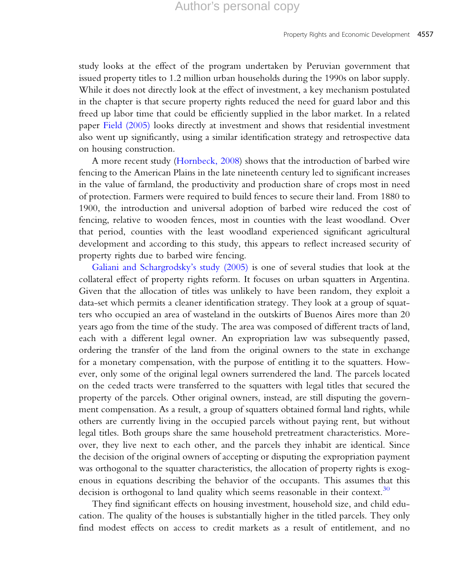study looks at the effect of the program undertaken by Peruvian government that issued property titles to 1.2 million urban households during the 1990s on labor supply. While it does not directly look at the effect of investment, a key mechanism postulated in the chapter is that secure property rights reduced the need for guard labor and this freed up labor time that could be efficiently supplied in the labor market. In a related paper [Field \(2005\)](#page-69-0) looks directly at investment and shows that residential investment also went up significantly, using a similar identification strategy and retrospective data on housing construction.

A more recent study ([Hornbeck, 2008](#page-70-0)) shows that the introduction of barbed wire fencing to the American Plains in the late nineteenth century led to significant increases in the value of farmland, the productivity and production share of crops most in need of protection. Farmers were required to build fences to secure their land. From 1880 to 1900, the introduction and universal adoption of barbed wire reduced the cost of fencing, relative to wooden fences, most in counties with the least woodland. Over that period, counties with the least woodland experienced significant agricultural development and according to this study, this appears to reflect increased security of property rights due to barbed wire fencing.

[Galiani and Schargrodsky's study \(2005\)](#page-70-0) is one of several studies that look at the collateral effect of property rights reform. It focuses on urban squatters in Argentina. Given that the allocation of titles was unlikely to have been random, they exploit a data-set which permits a cleaner identification strategy. They look at a group of squatters who occupied an area of wasteland in the outskirts of Buenos Aires more than 20 years ago from the time of the study. The area was composed of different tracts of land, each with a different legal owner. An expropriation law was subsequently passed, ordering the transfer of the land from the original owners to the state in exchange for a monetary compensation, with the purpose of entitling it to the squatters. However, only some of the original legal owners surrendered the land. The parcels located on the ceded tracts were transferred to the squatters with legal titles that secured the property of the parcels. Other original owners, instead, are still disputing the government compensation. As a result, a group of squatters obtained formal land rights, while others are currently living in the occupied parcels without paying rent, but without legal titles. Both groups share the same household pretreatment characteristics. Moreover, they live next to each other, and the parcels they inhabit are identical. Since the decision of the original owners of accepting or disputing the expropriation payment was orthogonal to the squatter characteristics, the allocation of property rights is exogenous in equations describing the behavior of the occupants. This assumes that this decision is orthogonal to land quality which seems reasonable in their context.<sup>[30](#page-67-0)</sup>

They find significant effects on housing investment, household size, and child education. The quality of the houses is substantially higher in the titled parcels. They only find modest effects on access to credit markets as a result of entitlement, and no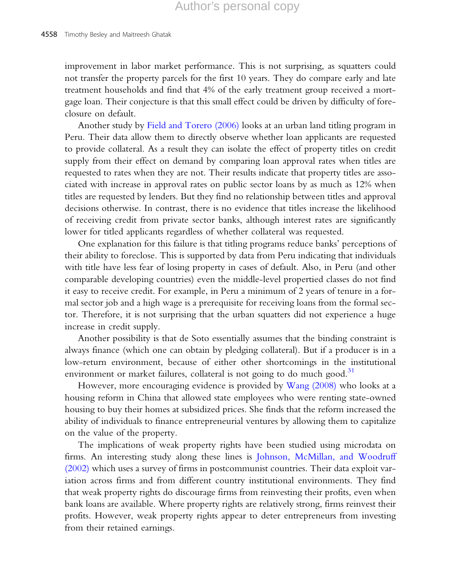improvement in labor market performance. This is not surprising, as squatters could not transfer the property parcels for the first 10 years. They do compare early and late treatment households and find that 4% of the early treatment group received a mortgage loan. Their conjecture is that this small effect could be driven by difficulty of foreclosure on default.

Another study by [Field and Torero \(2006\)](#page-70-0) looks at an urban land titling program in Peru. Their data allow them to directly observe whether loan applicants are requested to provide collateral. As a result they can isolate the effect of property titles on credit supply from their effect on demand by comparing loan approval rates when titles are requested to rates when they are not. Their results indicate that property titles are associated with increase in approval rates on public sector loans by as much as 12% when titles are requested by lenders. But they find no relationship between titles and approval decisions otherwise. In contrast, there is no evidence that titles increase the likelihood of receiving credit from private sector banks, although interest rates are significantly lower for titled applicants regardless of whether collateral was requested.

One explanation for this failure is that titling programs reduce banks' perceptions of their ability to foreclose. This is supported by data from Peru indicating that individuals with title have less fear of losing property in cases of default. Also, in Peru (and other comparable developing countries) even the middle-level propertied classes do not find it easy to receive credit. For example, in Peru a minimum of 2 years of tenure in a formal sector job and a high wage is a prerequisite for receiving loans from the formal sector. Therefore, it is not surprising that the urban squatters did not experience a huge increase in credit supply.

Another possibility is that de Soto essentially assumes that the binding constraint is always finance (which one can obtain by pledging collateral). But if a producer is in a low-return environment, because of either other shortcomings in the institutional environment or market failures, collateral is not going to do much good.<sup>[31](#page-67-0)</sup>

However, more encouraging evidence is provided by [Wang \(2008\)](#page-71-0) who looks at a housing reform in China that allowed state employees who were renting state-owned housing to buy their homes at subsidized prices. She finds that the reform increased the ability of individuals to finance entrepreneurial ventures by allowing them to capitalize on the value of the property.

The implications of weak property rights have been studied using microdata on firms. An interesting study along these lines is [Johnson, McMillan, and Woodruff](#page-70-0) [\(2002\)](#page-70-0) which uses a survey of firms in postcommunist countries. Their data exploit variation across firms and from different country institutional environments. They find that weak property rights do discourage firms from reinvesting their profits, even when bank loans are available. Where property rights are relatively strong, firms reinvest their profits. However, weak property rights appear to deter entrepreneurs from investing from their retained earnings.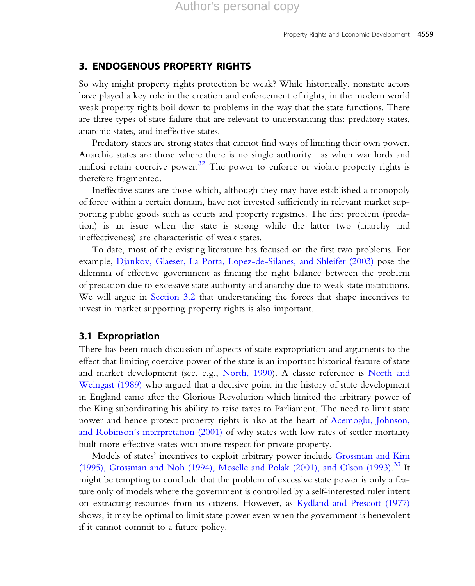## <span id="page-35-0"></span>3. ENDOGENOUS PROPERTY RIGHTS

So why might property rights protection be weak? While historically, nonstate actors have played a key role in the creation and enforcement of rights, in the modern world weak property rights boil down to problems in the way that the state functions. There are three types of state failure that are relevant to understanding this: predatory states, anarchic states, and ineffective states.

Predatory states are strong states that cannot find ways of limiting their own power. Anarchic states are those where there is no single authority—as when war lords and mafiosi retain coercive power.<sup>32</sup> The power to enforce or violate property rights is therefore fragmented.

Ineffective states are those which, although they may have established a monopoly of force within a certain domain, have not invested sufficiently in relevant market supporting public goods such as courts and property registries. The first problem (predation) is an issue when the state is strong while the latter two (anarchy and ineffectiveness) are characteristic of weak states.

To date, most of the existing literature has focused on the first two problems. For example, [Djankov, Glaeser, La Porta, Lopez-de-Silanes, and Shleifer \(2003\)](#page-69-0) pose the dilemma of effective government as finding the right balance between the problem of predation due to excessive state authority and anarchy due to weak state institutions. We will argue in [Section 3.2](#page-59-0) that understanding the forces that shape incentives to invest in market supporting property rights is also important.

## 3.1 Expropriation

There has been much discussion of aspects of state expropriation and arguments to the effect that limiting coercive power of the state is an important historical feature of state and market development (see, e.g., [North, 1990](#page-71-0)). A classic reference is [North and](#page-71-0) [Weingast \(1989\)](#page-71-0) who argued that a decisive point in the history of state development in England came after the Glorious Revolution which limited the arbitrary power of the King subordinating his ability to raise taxes to Parliament. The need to limit state power and hence protect property rights is also at the heart of [Acemoglu, Johnson,](#page-68-0) [and Robinson's interpretation \(2001\)](#page-68-0) of why states with low rates of settler mortality built more effective states with more respect for private property.

Models of states' incentives to exploit arbitrary power include [Grossman and Kim](#page-70-0) [\(1995\), Grossman and Noh \(1994\), Moselle and Polak \(2001\), and Olson \(1993\).](#page-70-0) [33](#page-67-0) It might be tempting to conclude that the problem of excessive state power is only a feature only of models where the government is controlled by a self-interested ruler intent on extracting resources from its citizens. However, as [Kydland and Prescott \(1977\)](#page-70-0) shows, it may be optimal to limit state power even when the government is benevolent if it cannot commit to a future policy.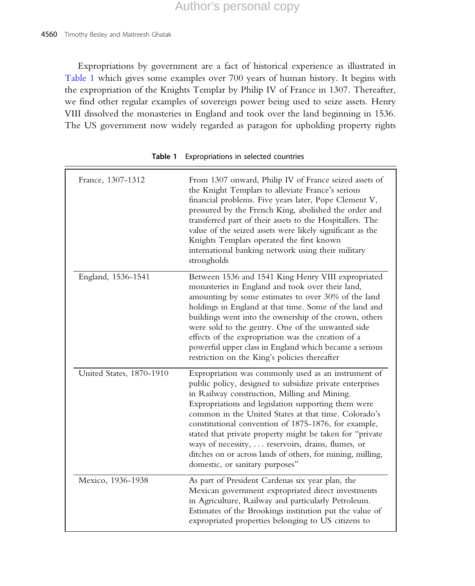<span id="page-36-0"></span>Expropriations by government are a fact of historical experience as illustrated in Table 1 which gives some examples over 700 years of human history. It begins with the expropriation of the Knights Templar by Philip IV of France in 1307. Thereafter, we find other regular examples of sovereign power being used to seize assets. Henry VIII dissolved the monasteries in England and took over the land beginning in 1536. The US government now widely regarded as paragon for upholding property rights

| France, 1307-1312        | From 1307 onward, Philip IV of France seized assets of<br>the Knight Templars to alleviate France's serious<br>financial problems. Five years later, Pope Clement V,<br>pressured by the French King, abolished the order and<br>transferred part of their assets to the Hospitallers. The<br>value of the seized assets were likely significant as the<br>Knights Templars operated the first known<br>international banking network using their military<br>strongholds                                                                                 |
|--------------------------|-----------------------------------------------------------------------------------------------------------------------------------------------------------------------------------------------------------------------------------------------------------------------------------------------------------------------------------------------------------------------------------------------------------------------------------------------------------------------------------------------------------------------------------------------------------|
| England, 1536-1541       | Between 1536 and 1541 King Henry VIII expropriated<br>monasteries in England and took over their land,<br>amounting by some estimates to over 30% of the land<br>holdings in England at that time. Some of the land and<br>buildings went into the ownership of the crown, others<br>were sold to the gentry. One of the unwanted side<br>effects of the expropriation was the creation of a<br>powerful upper class in England which became a serious<br>restriction on the King's policies thereafter                                                   |
| United States, 1870-1910 | Expropriation was commonly used as an instrument of<br>public policy, designed to subsidize private enterprises<br>in Railway construction, Milling and Mining.<br>Expropriations and legislation supporting them were<br>common in the United States at that time. Colorado's<br>constitutional convention of 1875-1876, for example,<br>stated that private property might be taken for "private<br>ways of necessity,  reservoirs, drains, flumes, or<br>ditches on or across lands of others, for mining, milling,<br>domestic, or sanitary purposes" |
| Mexico, 1936-1938        | As part of President Cardenas six year plan, the<br>Mexican government expropriated direct investments<br>in Agriculture, Railway and particularly Petroleum.<br>Estimates of the Brookings institution put the value of<br>expropriated properties belonging to US citizens to                                                                                                                                                                                                                                                                           |

Table 1 Expropriations in selected countries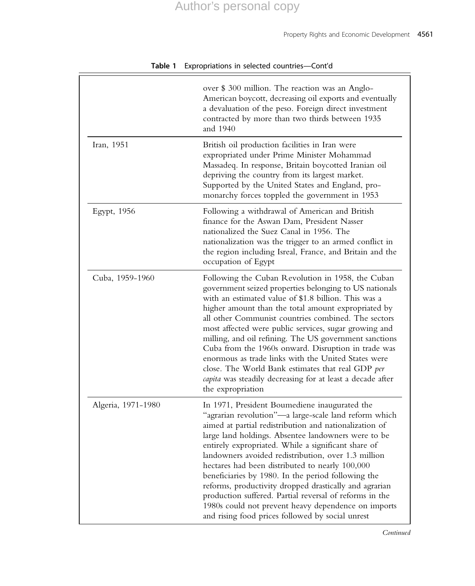|                    | over \$300 million. The reaction was an Anglo-<br>American boycott, decreasing oil exports and eventually<br>a devaluation of the peso. Foreign direct investment<br>contracted by more than two thirds between 1935<br>and 1940                                                                                                                                                                                                                                                                                                                                                                                                                                               |
|--------------------|--------------------------------------------------------------------------------------------------------------------------------------------------------------------------------------------------------------------------------------------------------------------------------------------------------------------------------------------------------------------------------------------------------------------------------------------------------------------------------------------------------------------------------------------------------------------------------------------------------------------------------------------------------------------------------|
| Iran, 1951         | British oil production facilities in Iran were<br>expropriated under Prime Minister Mohammad<br>Massadeq. In response, Britain boycotted Iranian oil<br>depriving the country from its largest market.<br>Supported by the United States and England, pro-<br>monarchy forces toppled the government in 1953                                                                                                                                                                                                                                                                                                                                                                   |
| Egypt, 1956        | Following a withdrawal of American and British<br>finance for the Aswan Dam, President Nasser<br>nationalized the Suez Canal in 1956. The<br>nationalization was the trigger to an armed conflict in<br>the region including Isreal, France, and Britain and the<br>occupation of Egypt                                                                                                                                                                                                                                                                                                                                                                                        |
| Cuba, 1959-1960    | Following the Cuban Revolution in 1958, the Cuban<br>government seized properties belonging to US nationals<br>with an estimated value of \$1.8 billion. This was a<br>higher amount than the total amount expropriated by<br>all other Communist countries combined. The sectors<br>most affected were public services, sugar growing and<br>milling, and oil refining. The US government sanctions<br>Cuba from the 1960s onward. Disruption in trade was<br>enormous as trade links with the United States were<br>close. The World Bank estimates that real GDP per<br>capita was steadily decreasing for at least a decade after<br>the expropriation                     |
| Algeria, 1971-1980 | In 1971, President Boumediene inaugurated the<br>"agrarian revolution"-a large-scale land reform which<br>aimed at partial redistribution and nationalization of<br>large land holdings. Absentee landowners were to be<br>entirely expropriated. While a significant share of<br>landowners avoided redistribution, over 1.3 million<br>hectares had been distributed to nearly 100,000<br>beneficiaries by 1980. In the period following the<br>reforms, productivity dropped drastically and agrarian<br>production suffered. Partial reversal of reforms in the<br>1980s could not prevent heavy dependence on imports<br>and rising food prices followed by social unrest |

## Table 1 Expropriations in selected countries—Cont'd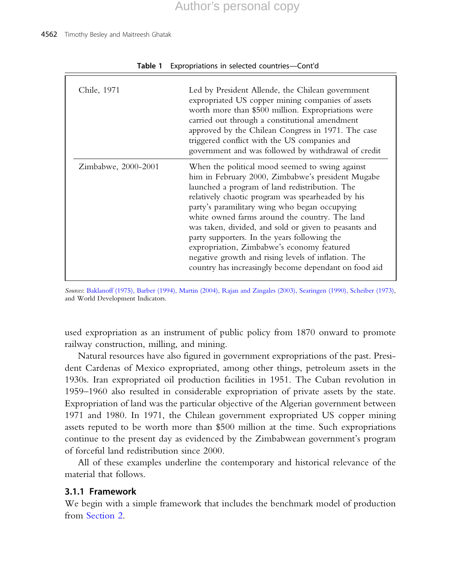| Chile, 1971         | Led by President Allende, the Chilean government<br>expropriated US copper mining companies of assets<br>worth more than \$500 million. Expropriations were<br>carried out through a constitutional amendment<br>approved by the Chilean Congress in 1971. The case<br>triggered conflict with the US companies and<br>government and was followed by withdrawal of credit                                                                                                                                                                                                            |
|---------------------|---------------------------------------------------------------------------------------------------------------------------------------------------------------------------------------------------------------------------------------------------------------------------------------------------------------------------------------------------------------------------------------------------------------------------------------------------------------------------------------------------------------------------------------------------------------------------------------|
| Zimbabwe, 2000-2001 | When the political mood seemed to swing against<br>him in February 2000, Zimbabwe's president Mugabe<br>launched a program of land redistribution. The<br>relatively chaotic program was spearheaded by his<br>party's paramilitary wing who began occupying<br>white owned farms around the country. The land<br>was taken, divided, and sold or given to peasants and<br>party supporters. In the years following the<br>expropriation, Zimbabwe's economy featured<br>negative growth and rising levels of inflation. The<br>country has increasingly become dependant on food aid |

#### Table 1 Expropriations in selected countries—Cont'd

Sources: [Baklanoff \(1975\), Barber \(1994\), Martin \(2004\), Rajan and Zingales \(2003\), Searingen \(1990\), Scheiber \(1973\)](#page-68-0), and World Development Indicators.

used expropriation as an instrument of public policy from 1870 onward to promote railway construction, milling, and mining.

Natural resources have also figured in government expropriations of the past. President Cardenas of Mexico expropriated, among other things, petroleum assets in the 1930s. Iran expropriated oil production facilities in 1951. The Cuban revolution in 1959–1960 also resulted in considerable expropriation of private assets by the state. Expropriation of land was the particular objective of the Algerian government between 1971 and 1980. In 1971, the Chilean government expropriated US copper mining assets reputed to be worth more than \$500 million at the time. Such expropriations continue to the present day as evidenced by the Zimbabwean government's program of forceful land redistribution since 2000.

All of these examples underline the contemporary and historical relevance of the material that follows.

## 3.1.1 Framework

We begin with a simple framework that includes the benchmark model of production from [Section 2.](#page-4-0)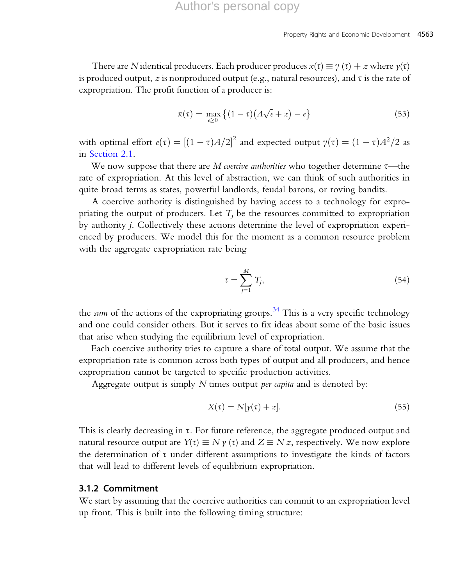There are N identical producers. Each producer produces  $x(\tau) \equiv \gamma(\tau) + z$  where  $\gamma(\tau)$ is produced output, z is nonproduced output (e.g., natural resources), and  $\tau$  is the rate of expropriation. The profit function of a producer is:

$$
\pi(\tau) = \max_{e \ge 0} \left\{ (1 - \tau) \left( A \sqrt{e} + z \right) - e \right\} \tag{53}
$$

with optimal effort  $e(\tau) = [(1 - \tau)A/2]^2$  and expected output  $\gamma(\tau) = (1 - \tau)A^2/2$  as in [Section 2.1](#page-5-0).

We now suppose that there are M coercive authorities who together determine  $\tau$ —the rate of expropriation. At this level of abstraction, we can think of such authorities in quite broad terms as states, powerful landlords, feudal barons, or roving bandits.

A coercive authority is distinguished by having access to a technology for expropriating the output of producers. Let  $T_i$  be the resources committed to expropriation by authority j. Collectively these actions determine the level of expropriation experienced by producers. We model this for the moment as a common resource problem with the aggregate expropriation rate being

$$
\tau = \sum_{j=1}^{M} T_j,\tag{54}
$$

the *sum* of the actions of the expropriating groups.<sup>[34](#page-67-0)</sup> This is a very specific technology and one could consider others. But it serves to fix ideas about some of the basic issues that arise when studying the equilibrium level of expropriation.

Each coercive authority tries to capture a share of total output. We assume that the expropriation rate is common across both types of output and all producers, and hence expropriation cannot be targeted to specific production activities.

Aggregate output is simply  $N$  times output *per capita* and is denoted by:

$$
X(\tau) = N[\gamma(\tau) + z].\tag{55}
$$

This is clearly decreasing in  $\tau$ . For future reference, the aggregate produced output and natural resource output are  $Y(\tau) \equiv N \gamma(\tau)$  and  $Z \equiv N z$ , respectively. We now explore the determination of  $\tau$  under different assumptions to investigate the kinds of factors that will lead to different levels of equilibrium expropriation.

#### 3.1.2 Commitment

We start by assuming that the coercive authorities can commit to an expropriation level up front. This is built into the following timing structure: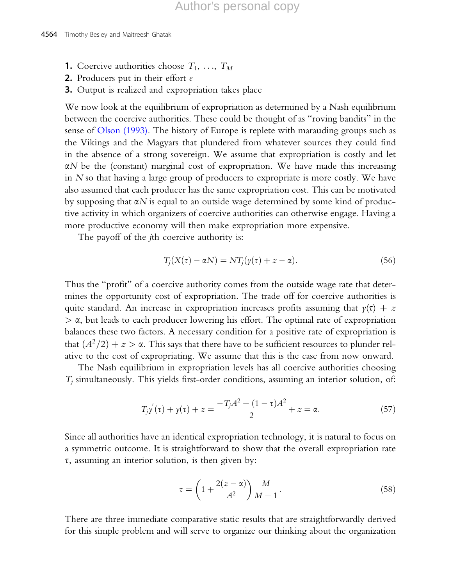- <span id="page-40-0"></span>**1.** Coercive authorities choose  $T_1, \ldots, T_M$
- **2.** Producers put in their effort *e*
- 3. Output is realized and expropriation takes place

We now look at the equilibrium of expropriation as determined by a Nash equilibrium between the coercive authorities. These could be thought of as "roving bandits" in the sense of [Olson \(1993\)](#page-71-0). The history of Europe is replete with marauding groups such as the Vikings and the Magyars that plundered from whatever sources they could find in the absence of a strong sovereign. We assume that expropriation is costly and let  $\alpha$ N be the (constant) marginal cost of expropriation. We have made this increasing in  $N$  so that having a large group of producers to expropriate is more costly. We have also assumed that each producer has the same expropriation cost. This can be motivated by supposing that  $\alpha N$  is equal to an outside wage determined by some kind of productive activity in which organizers of coercive authorities can otherwise engage. Having a more productive economy will then make expropriation more expensive.

The payoff of the *j*th coercive authority is:

$$
T_j(X(\tau) - \alpha N) = NT_j(\gamma(\tau) + z - \alpha).
$$
\n(56)

Thus the "profit" of a coercive authority comes from the outside wage rate that determines the opportunity cost of expropriation. The trade off for coercive authorities is quite standard. An increase in expropriation increases profits assuming that  $y(t) + z$  $> \alpha$ , but leads to each producer lowering his effort. The optimal rate of expropriation balances these two factors. A necessary condition for a positive rate of expropriation is that  $\left(\frac{A^2}{2}\right) + z > \alpha$ . This says that there have to be sufficient resources to plunder relative to the cost of expropriating. We assume that this is the case from now onward.

The Nash equilibrium in expropriation levels has all coercive authorities choosing  $T_i$  simultaneously. This yields first-order conditions, assuming an interior solution, of:

$$
T_{j}y^{'}(\tau) + y(\tau) + z = \frac{-T_{j}A^{2} + (1 - \tau)A^{2}}{2} + z = \alpha.
$$
 (57)

Since all authorities have an identical expropriation technology, it is natural to focus on a symmetric outcome. It is straightforward to show that the overall expropriation rate  $\tau$ , assuming an interior solution, is then given by:

$$
\tau = \left(1 + \frac{2(z - \alpha)}{A^2}\right)\frac{M}{M+1}.\tag{58}
$$

There are three immediate comparative static results that are straightforwardly derived for this simple problem and will serve to organize our thinking about the organization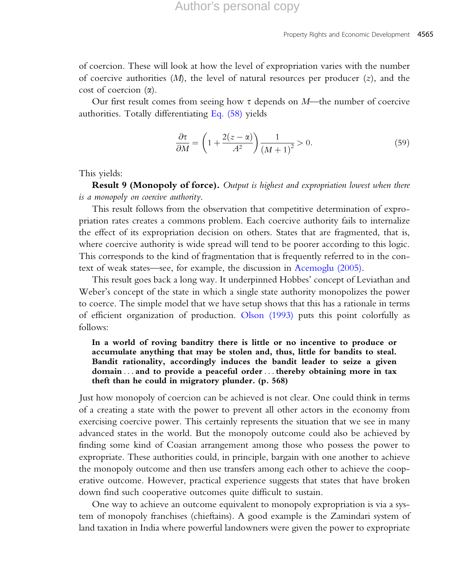of coercion. These will look at how the level of expropriation varies with the number of coercive authorities  $(M)$ , the level of natural resources per producer  $(z)$ , and the cost of coercion  $(\alpha)$ .

Our first result comes from seeing how  $\tau$  depends on M—the number of coercive authorities. Totally differentiating [Eq. \(58\)](#page-40-0) yields

$$
\frac{\partial \tau}{\partial M} = \left(1 + \frac{2(z - \alpha)}{A^2}\right) \frac{1}{(M+1)^2} > 0. \tag{59}
$$

This yields:

Result 9 (Monopoly of force). Output is highest and expropriation lowest when there is a monopoly on coercive authority.

This result follows from the observation that competitive determination of expropriation rates creates a commons problem. Each coercive authority fails to internalize the effect of its expropriation decision on others. States that are fragmented, that is, where coercive authority is wide spread will tend to be poorer according to this logic. This corresponds to the kind of fragmentation that is frequently referred to in the context of weak states—see, for example, the discussion in [Acemoglu \(2005\).](#page-68-0)

This result goes back a long way. It underpinned Hobbes' concept of Leviathan and Weber's concept of the state in which a single state authority monopolizes the power to coerce. The simple model that we have setup shows that this has a rationale in terms of efficient organization of production. [Olson \(1993\)](#page-71-0) puts this point colorfully as follows:

In a world of roving banditry there is little or no incentive to produce or accumulate anything that may be stolen and, thus, little for bandits to steal. Bandit rationality, accordingly induces the bandit leader to seize a given domain ... and to provide a peaceful order ... thereby obtaining more in tax theft than he could in migratory plunder. (p. 568)

Just how monopoly of coercion can be achieved is not clear. One could think in terms of a creating a state with the power to prevent all other actors in the economy from exercising coercive power. This certainly represents the situation that we see in many advanced states in the world. But the monopoly outcome could also be achieved by finding some kind of Coasian arrangement among those who possess the power to expropriate. These authorities could, in principle, bargain with one another to achieve the monopoly outcome and then use transfers among each other to achieve the cooperative outcome. However, practical experience suggests that states that have broken down find such cooperative outcomes quite difficult to sustain.

One way to achieve an outcome equivalent to monopoly expropriation is via a system of monopoly franchises (chieftains). A good example is the Zamindari system of land taxation in India where powerful landowners were given the power to expropriate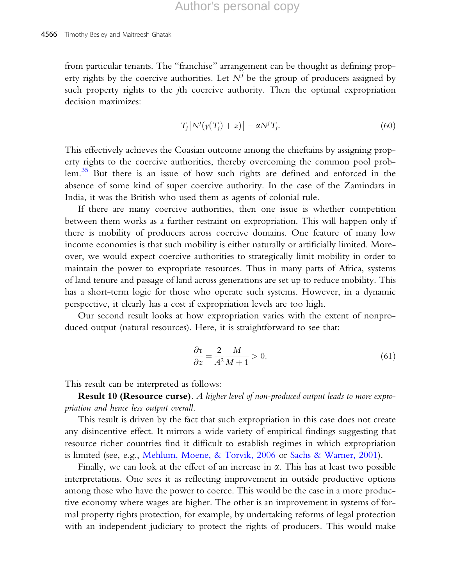from particular tenants. The "franchise" arrangement can be thought as defining property rights by the coercive authorities. Let  $N<sup>j</sup>$  be the group of producers assigned by such property rights to the *j*th coercive authority. Then the optimal expropriation decision maximizes:

$$
T_j\big[N^j(\gamma(T_j)+z)\big]-\alpha N^j T_j.\tag{60}
$$

This effectively achieves the Coasian outcome among the chieftains by assigning property rights to the coercive authorities, thereby overcoming the common pool problem.[35](#page-67-0) But there is an issue of how such rights are defined and enforced in the absence of some kind of super coercive authority. In the case of the Zamindars in India, it was the British who used them as agents of colonial rule.

If there are many coercive authorities, then one issue is whether competition between them works as a further restraint on expropriation. This will happen only if there is mobility of producers across coercive domains. One feature of many low income economies is that such mobility is either naturally or artificially limited. Moreover, we would expect coercive authorities to strategically limit mobility in order to maintain the power to expropriate resources. Thus in many parts of Africa, systems of land tenure and passage of land across generations are set up to reduce mobility. This has a short-term logic for those who operate such systems. However, in a dynamic perspective, it clearly has a cost if expropriation levels are too high.

Our second result looks at how expropriation varies with the extent of nonproduced output (natural resources). Here, it is straightforward to see that:

$$
\frac{\partial \tau}{\partial z} = \frac{2}{A^2} \frac{M}{M+1} > 0.
$$
\n(61)

This result can be interpreted as follows:

**Result 10 (Resource curse)**. A higher level of non-produced output leads to more expropriation and hence less output overall.

This result is driven by the fact that such expropriation in this case does not create any disincentive effect. It mirrors a wide variety of empirical findings suggesting that resource richer countries find it difficult to establish regimes in which expropriation is limited (see, e.g., [Mehlum, Moene, & Torvik, 2006](#page-70-0) or [Sachs & Warner, 2001\)](#page-71-0).

Finally, we can look at the effect of an increase in  $\alpha$ . This has at least two possible interpretations. One sees it as reflecting improvement in outside productive options among those who have the power to coerce. This would be the case in a more productive economy where wages are higher. The other is an improvement in systems of formal property rights protection, for example, by undertaking reforms of legal protection with an independent judiciary to protect the rights of producers. This would make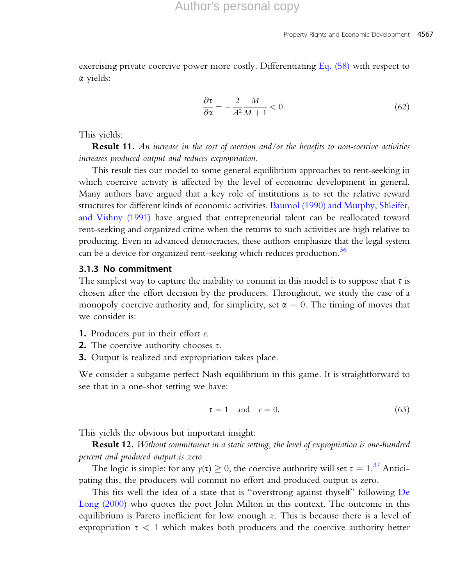exercising private coercive power more costly. Differentiating [Eq. \(58\)](#page-40-0) with respect to a yields:

$$
\frac{\partial \tau}{\partial \alpha} = -\frac{2}{A^2} \frac{M}{M+1} < 0. \tag{62}
$$

This yields:

**Result 11.** An increase in the cost of coercion and/or the benefits to non-coercive activities increases produced output and reduces expropriation.

This result ties our model to some general equilibrium approaches to rent-seeking in which coercive activity is affected by the level of economic development in general. Many authors have argued that a key role of institutions is to set the relative reward structures for different kinds of economic activities. [Baumol \(1990\) and Murphy, Shleifer,](#page-69-0) [and Vishny \(1991\)](#page-69-0) have argued that entrepreneurial talent can be reallocated toward rent-seeking and organized crime when the returns to such activities are high relative to producing. Even in advanced democracies, these authors emphasize that the legal system can be a device for organized rent-seeking which reduces production.<sup>36</sup>

#### 3.1.3 No commitment

The simplest way to capture the inability to commit in this model is to suppose that  $\tau$  is chosen after the effort decision by the producers. Throughout, we study the case of a monopoly coercive authority and, for simplicity, set  $\alpha = 0$ . The timing of moves that we consider is:

- 1. Producers put in their effort e.
- **2.** The coercive authority chooses  $\tau$ .
- 3. Output is realized and expropriation takes place.

We consider a subgame perfect Nash equilibrium in this game. It is straightforward to see that in a one-shot setting we have:

$$
\tau = 1 \quad \text{and} \quad e = 0. \tag{63}
$$

This yields the obvious but important insight:

**Result 12.** Without commitment in a static setting, the level of expropriation is one-hundred percent and produced output is zero.

The logic is simple: for any  $y(\tau) \ge 0$ , the coercive authority will set  $\tau = 1.37$  $\tau = 1.37$  Anticipating this, the producers will commit no effort and produced output is zero.

This fits well the idea of a state that is "overstrong against thyself" following [De](#page-69-0) [Long \(2000\)](#page-69-0) who quotes the poet John Milton in this context. The outcome in this equilibrium is Pareto inefficient for low enough  $z$ . This is because there is a level of expropriation  $\tau < 1$  which makes both producers and the coercive authority better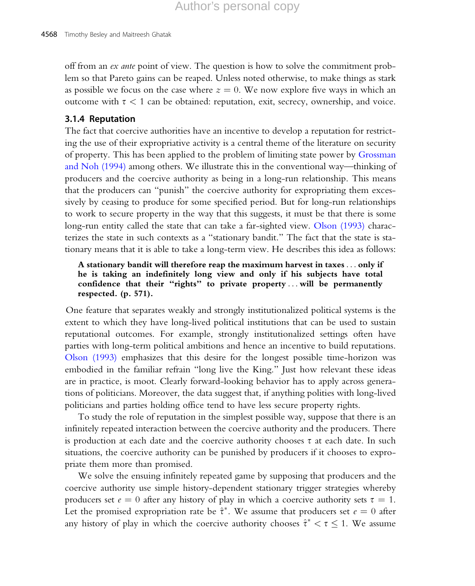<span id="page-44-0"></span>off from an *ex ante* point of view. The question is how to solve the commitment problem so that Pareto gains can be reaped. Unless noted otherwise, to make things as stark as possible we focus on the case where  $z = 0$ . We now explore five ways in which an outcome with  $\tau < 1$  can be obtained: reputation, exit, secrecy, ownership, and voice.

## 3.1.4 Reputation

The fact that coercive authorities have an incentive to develop a reputation for restricting the use of their expropriative activity is a central theme of the literature on security of property. This has been applied to the problem of limiting state power by [Grossman](#page-70-0) [and Noh \(1994\)](#page-70-0) among others. We illustrate this in the conventional way—thinking of producers and the coercive authority as being in a long-run relationship. This means that the producers can "punish" the coercive authority for expropriating them excessively by ceasing to produce for some specified period. But for long-run relationships to work to secure property in the way that this suggests, it must be that there is some long-run entity called the state that can take a far-sighted view. [Olson \(1993\)](#page-71-0) characterizes the state in such contexts as a "stationary bandit." The fact that the state is stationary means that it is able to take a long-term view. He describes this idea as follows:

A stationary bandit will therefore reap the maximum harvest in taxes ... only if he is taking an indefinitely long view and only if his subjects have total confidence that their "rights" to private property ... will be permanently respected. (p. 571).

One feature that separates weakly and strongly institutionalized political systems is the extent to which they have long-lived political institutions that can be used to sustain reputational outcomes. For example, strongly institutionalized settings often have parties with long-term political ambitions and hence an incentive to build reputations. [Olson \(1993\)](#page-71-0) emphasizes that this desire for the longest possible time-horizon was embodied in the familiar refrain "long live the King." Just how relevant these ideas are in practice, is moot. Clearly forward-looking behavior has to apply across generations of politicians. Moreover, the data suggest that, if anything polities with long-lived politicians and parties holding office tend to have less secure property rights.

To study the role of reputation in the simplest possible way, suppose that there is an infinitely repeated interaction between the coercive authority and the producers. There is production at each date and the coercive authority chooses  $\tau$  at each date. In such situations, the coercive authority can be punished by producers if it chooses to expropriate them more than promised.

We solve the ensuing infinitely repeated game by supposing that producers and the coercive authority use simple history-dependent stationary trigger strategies whereby producers set  $e = 0$  after any history of play in which a coercive authority sets  $\tau = 1$ . Let the promised expropriation rate be  $\hat{\tau}^*$ . We assume that producers set  $e = 0$  after<br>any history of play in which the coercive authority chooses  $\hat{\tau}^* < \tau < 1$ . We assume any history of play in which the coercive authority chooses  $\hat{\tau}^* < \tau \leq 1$ . We assume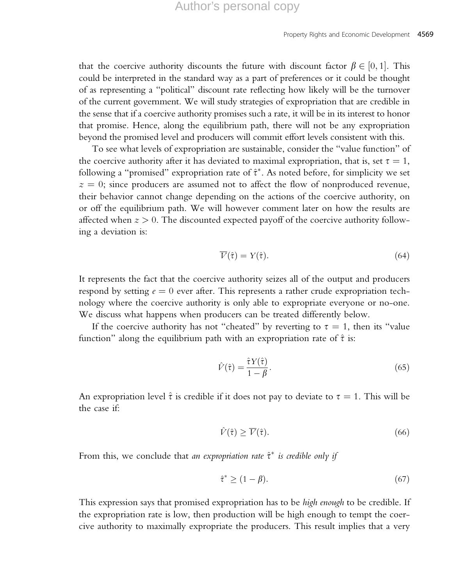that the coercive authority discounts the future with discount factor  $\beta \in [0,1]$ . This could be interpreted in the standard way as a part of preferences or it could be thought of as representing a "political" discount rate reflecting how likely will be the turnover of the current government. We will study strategies of expropriation that are credible in the sense that if a coercive authority promises such a rate, it will be in its interest to honor that promise. Hence, along the equilibrium path, there will not be any expropriation beyond the promised level and producers will commit effort levels consistent with this.

To see what levels of expropriation are sustainable, consider the "value function" of the coercive authority after it has deviated to maximal expropriation, that is, set  $\tau = 1$ , following a "promised" expropriation rate of  $\hat{\tau}^*$ . As noted before, for simplicity we set  $z = 0$ ; since producers are assumed not to affect the flow of nonproduced revenue, their behavior cannot change depending on the actions of the coercive authority, on or off the equilibrium path. We will however comment later on how the results are affected when  $z > 0$ . The discounted expected payoff of the coercive authority following a deviation is:

$$
\overline{V}(\hat{\tau}) = Y(\hat{\tau}).\tag{64}
$$

It represents the fact that the coercive authority seizes all of the output and producers respond by setting  $e = 0$  ever after. This represents a rather crude expropriation technology where the coercive authority is only able to expropriate everyone or no-one. We discuss what happens when producers can be treated differently below.

If the coercive authority has not "cheated" by reverting to  $\tau = 1$ , then its "value function" along the equilibrium path with an expropriation rate of  $\hat{\tau}$  is:

$$
\hat{V}(\hat{\tau}) = \frac{\hat{\tau}Y(\hat{\tau})}{1 - \beta}.
$$
\n(65)

An expropriation level  $\hat{\tau}$  is credible if it does not pay to deviate to  $\tau = 1$ . This will be the case if:

$$
\hat{V}(\hat{\tau}) \ge \overline{V}(\hat{\tau}).\tag{66}
$$

From this, we conclude that an expropriation rate  $\hat{\tau}^*$  is credible only if

$$
\hat{\tau}^* \ge (1 - \beta). \tag{67}
$$

This expression says that promised expropriation has to be *high enough* to be credible. If the expropriation rate is low, then production will be high enough to tempt the coercive authority to maximally expropriate the producers. This result implies that a very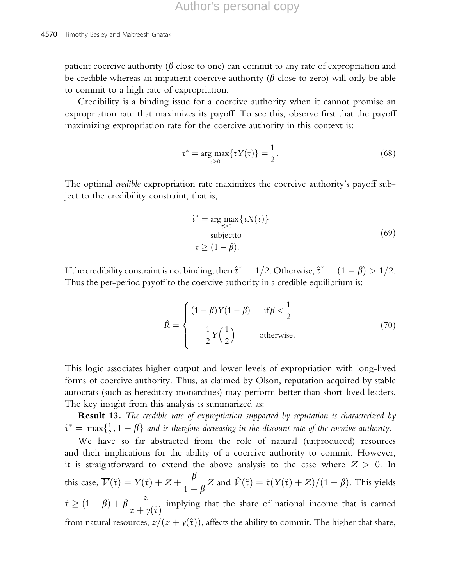patient coercive authority ( $\beta$  close to one) can commit to any rate of expropriation and be credible whereas an impatient coercive authority ( $\beta$  close to zero) will only be able to commit to a high rate of expropriation.

Credibility is a binding issue for a coercive authority when it cannot promise an expropriation rate that maximizes its payoff. To see this, observe first that the payoff maximizing expropriation rate for the coercive authority in this context is:

$$
\tau^* = \underset{\tau \ge 0}{\arg \max} \{ \tau Y(\tau) \} = \frac{1}{2}.
$$
 (68)

The optimal credible expropriation rate maximizes the coercive authority's payoff subject to the credibility constraint, that is,

$$
\hat{\tau}^* = \underset{\tau \ge 0}{\arg \max} \{ \tau X(\tau) \}
$$
  
subject  

$$
\tau \ge (1 - \beta).
$$
 (69)

If the credibility constraint is not binding, then  $\hat{\tau}^* = 1/2$ . Otherwise,  $\hat{\tau}^* = (1 - \beta) > 1/2$ . Thus the per-period payoff to the coercive authority in a credible equilibrium is:

$$
\hat{R} = \begin{cases}\n(1 - \beta)Y(1 - \beta) & \text{if } \beta < \frac{1}{2} \\
\frac{1}{2}Y(\frac{1}{2}) & \text{otherwise.} \n\end{cases}
$$
\n(70)

This logic associates higher output and lower levels of expropriation with long-lived forms of coercive authority. Thus, as claimed by Olson, reputation acquired by stable autocrats (such as hereditary monarchies) may perform better than short-lived leaders. The key insight from this analysis is summarized as:

**Result 13.** The credible rate of expropriation supported by reputation is characterized by  $\hat{\tau}^* = \max\{\frac{1}{2}, 1 - \beta\}$  and is therefore decreasing in the discount rate of the coercive authority.

We have so far abstracted from the role of natural (unproduced) resources and their implications for the ability of a coercive authority to commit. However, it is straightforward to extend the above analysis to the case where  $Z > 0$ . In this case,  $\overline{V}(\hat{\tau}) = Y(\hat{\tau}) + Z + \frac{\beta}{1-\beta} Z$  and  $\hat{V}(\hat{\tau}) = \hat{\tau}(Y(\hat{\tau}) + Z)/(1-\beta)$ . This yields  $\hat{\tau} \geq (1 - \beta) + \beta \frac{z}{z + \gamma(\hat{\tau})}$  implying that the share of national income that is earned<br>from natural resources,  $z/(z + \gamma(\hat{\tau}))$  offects the shility to commit. The higher that share from natural resources,  $z/(z + y(\hat{\tau}))$ , affects the ability to commit. The higher that share,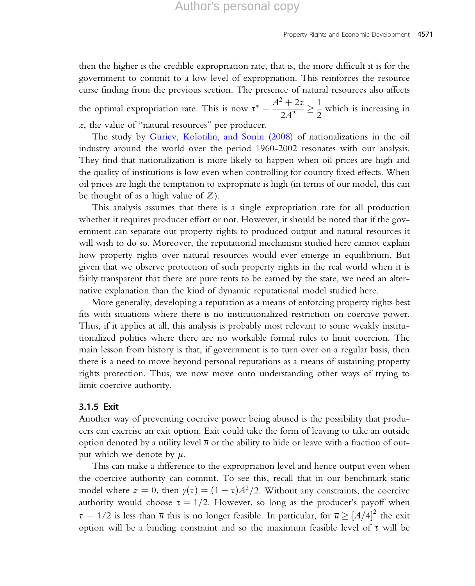then the higher is the credible expropriation rate, that is, the more difficult it is for the government to commit to a low level of expropriation. This reinforces the resource curse finding from the previous section. The presence of natural resources also affects the optimal expropriation rate. This is now  $\tau^* = \frac{A^2 + 2z}{2A^2} \ge$  $\frac{1}{2}$  which is increasing in z, the value of "natural resources" per producer.

The study by [Guriev, Kolotilin, and Sonin \(2008\)](#page-70-0) of nationalizations in the oil industry around the world over the period 1960-2002 resonates with our analysis. They find that nationalization is more likely to happen when oil prices are high and the quality of institutions is low even when controlling for country fixed effects. When oil prices are high the temptation to expropriate is high (in terms of our model, this can be thought of as a high value of  $Z$ ).

This analysis assumes that there is a single expropriation rate for all production whether it requires producer effort or not. However, it should be noted that if the government can separate out property rights to produced output and natural resources it will wish to do so. Moreover, the reputational mechanism studied here cannot explain how property rights over natural resources would ever emerge in equilibrium. But given that we observe protection of such property rights in the real world when it is fairly transparent that there are pure rents to be earned by the state, we need an alternative explanation than the kind of dynamic reputational model studied here.

More generally, developing a reputation as a means of enforcing property rights best fits with situations where there is no institutionalized restriction on coercive power. Thus, if it applies at all, this analysis is probably most relevant to some weakly institutionalized polities where there are no workable formal rules to limit coercion. The main lesson from history is that, if government is to turn over on a regular basis, then there is a need to move beyond personal reputations as a means of sustaining property rights protection. Thus, we now move onto understanding other ways of trying to limit coercive authority.

### 3.1.5 Exit

Another way of preventing coercive power being abused is the possibility that producers can exercise an exit option. Exit could take the form of leaving to take an outside option denoted by a utility level  $\overline{u}$  or the ability to hide or leave with a fraction of output which we denote by  $\mu$ .

This can make a difference to the expropriation level and hence output even when the coercive authority can commit. To see this, recall that in our benchmark static model where  $z = 0$ , then  $y(\tau) = (1 - \tau)A^2/2$ . Without any constraints, the coercive authority would choose  $\tau = 1/2$ . However, so long as the producer's payoff when  $\tau = 1/2$  is less than  $\overline{u}$  this is no longer feasible. In particular, for  $\overline{u} \geq [A/4]^2$  the exit<br>option will be a binding constraint and so the maximum feasible level of  $\tau$  will be option will be a binding constraint and so the maximum feasible level of  $\tau$  will be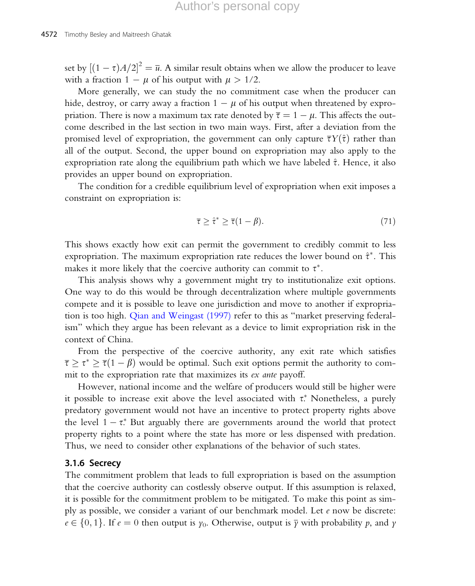set by  $[(1 - \tau)A/2]^2 = \overline{u}$ . A similar result obtains when we allow the producer to leave with a fraction  $1 - \mu$  of his output with  $\mu > 1/2$ .

More generally, we can study the no commitment case when the producer can hide, destroy, or carry away a fraction  $1 - \mu$  of his output when threatened by expropriation. There is now a maximum tax rate denoted by  $\overline{\tau} = 1 - \mu$ . This affects the outcome described in the last section in two main ways. First, after a deviation from the promised level of expropriation, the government can only capture  $\overline{\tau}Y(\hat{\tau})$  rather than all of the output. Second, the upper bound on expropriation may also apply to the expropriation rate along the equilibrium path which we have labeled  $\hat{\tau}$ . Hence, it also provides an upper bound on expropriation.

The condition for a credible equilibrium level of expropriation when exit imposes a constraint on expropriation is:

$$
\overline{\tau} \ge \hat{\tau}^* \ge \overline{\tau}(1-\beta). \tag{71}
$$

This shows exactly how exit can permit the government to credibly commit to less expropriation. The maximum expropriation rate reduces the lower bound on  $\hat{\tau}^*$ . This makes it more likely that the coercive authority can commit to  $\tau^*$ .

This analysis shows why a government might try to institutionalize exit options. One way to do this would be through decentralization where multiple governments compete and it is possible to leave one jurisdiction and move to another if expropriation is too high. [Qian and Weingast \(1997\)](#page-71-0) refer to this as "market preserving federalism" which they argue has been relevant as a device to limit expropriation risk in the context of China.

From the perspective of the coercive authority, any exit rate which satisfies  $\overline{\tau} \geq \tau^* \geq \overline{\tau}(1 - \beta)$  would be optimal. Such exit options permit the authority to commit to the expropriation rate that maximizes its *ex ante* payoff.

However, national income and the welfare of producers would still be higher were it possible to increase exit above the level associated with  $\tau^*$  Nonetheless, a purely predatory government would not have an incentive to protect property rights above the level  $1 - \tau^*$  But arguably there are governments around the world that protect<br>property rights to a point where the state has more or less dispensed with predation property rights to a point where the state has more or less dispensed with predation. Thus, we need to consider other explanations of the behavior of such states.

### 3.1.6 Secrecy

The commitment problem that leads to full expropriation is based on the assumption that the coercive authority can costlessly observe output. If this assumption is relaxed, it is possible for the commitment problem to be mitigated. To make this point as simply as possible, we consider a variant of our benchmark model. Let  $e$  now be discrete:  $e \in \{0, 1\}$ . If  $e = 0$  then output is  $\gamma_0$ . Otherwise, output is  $\overline{\gamma}$  with probability p, and y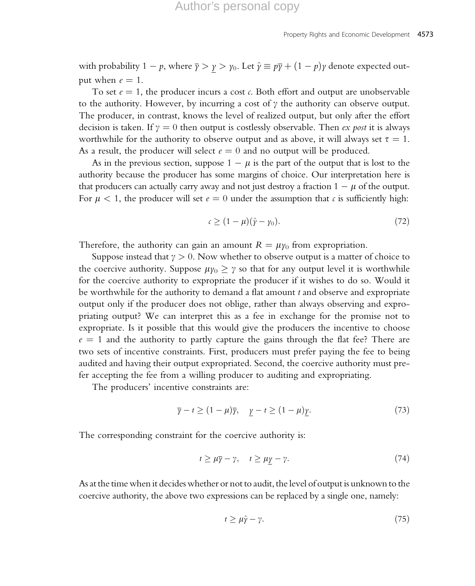with probability  $1 - p$ , where  $\overline{\gamma} > \gamma > \gamma_0$ . Let  $\hat{\gamma} \equiv p\overline{\gamma} + (1 - p)\gamma$  denote expected output when  $e = 1$ .

To set  $e = 1$ , the producer incurs a cost c. Both effort and output are unobservable to the authority. However, by incurring a cost of  $\gamma$  the authority can observe output. The producer, in contrast, knows the level of realized output, but only after the effort decision is taken. If  $\gamma = 0$  then output is costlessly observable. Then *ex post* it is always worthwhile for the authority to observe output and as above, it will always set  $\tau = 1$ . As a result, the producer will select  $e = 0$  and no output will be produced.

As in the previous section, suppose  $1 - \mu$  is the part of the output that is lost to the authority because the producer has some margins of choice. Our interpretation here is that producers can actually carry away and not just destroy a fraction  $1 - \mu$  of the output. For  $\mu < 1$ , the producer will set  $e = 0$  under the assumption that c is sufficiently high:

$$
c \ge (1 - \mu)(\hat{y} - y_0). \tag{72}
$$

Therefore, the authority can gain an amount  $R = \mu y_0$  from expropriation.

Suppose instead that  $\gamma > 0$ . Now whether to observe output is a matter of choice to the coercive authority. Suppose  $\mu y_0 \geq y$  so that for any output level it is worthwhile for the coercive authority to expropriate the producer if it wishes to do so. Would it be worthwhile for the authority to demand a flat amount t and observe and expropriate output only if the producer does not oblige, rather than always observing and expropriating output? We can interpret this as a fee in exchange for the promise not to expropriate. Is it possible that this would give the producers the incentive to choose  $e = 1$  and the authority to partly capture the gains through the flat fee? There are two sets of incentive constraints. First, producers must prefer paying the fee to being audited and having their output expropriated. Second, the coercive authority must prefer accepting the fee from a willing producer to auditing and expropriating.

The producers' incentive constraints are:

$$
\overline{\gamma} - t \ge (1 - \mu)\overline{\gamma}, \quad \underline{\gamma} - t \ge (1 - \mu)\underline{\gamma}.
$$
 (73)

The corresponding constraint for the coercive authority is:

$$
t \ge \mu \overline{\gamma} - \gamma, \quad t \ge \mu \underline{\gamma} - \gamma. \tag{74}
$$

As at the time when it decides whether or not to audit, the level of output is unknown to the coercive authority, the above two expressions can be replaced by a single one, namely:

$$
t \ge \mu \hat{\gamma} - \gamma. \tag{75}
$$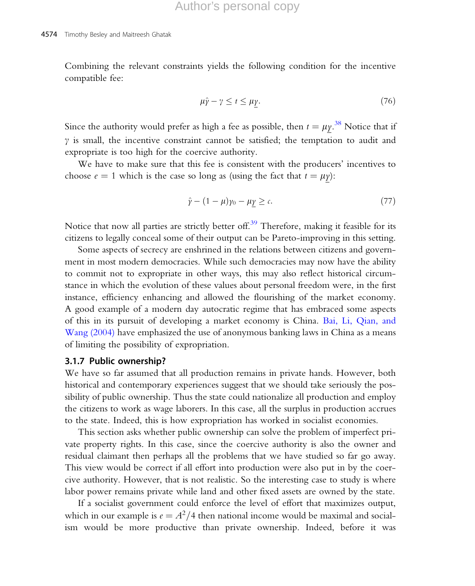Combining the relevant constraints yields the following condition for the incentive compatible fee:

$$
\mu \hat{\gamma} - \gamma \le t \le \mu \underline{\gamma}.\tag{76}
$$

Since the authority would prefer as high a fee as possible, then  $t = \mu \gamma^{38}$  $t = \mu \gamma^{38}$  $t = \mu \gamma^{38}$  Notice that if  $\gamma$  is small, the incentive constraint cannot be satisfied; the temptation to audit and expropriate is too high for the coercive authority.

We have to make sure that this fee is consistent with the producers' incentives to choose  $e = 1$  which is the case so long as (using the fact that  $t = \mu y$ ):

$$
\hat{\gamma} - (1 - \mu)\gamma_0 - \mu \underline{\gamma} \ge \epsilon. \tag{77}
$$

Notice that now all parties are strictly better off.<sup>[39](#page-67-0)</sup> Therefore, making it feasible for its citizens to legally conceal some of their output can be Pareto-improving in this setting.

Some aspects of secrecy are enshrined in the relations between citizens and government in most modern democracies. While such democracies may now have the ability to commit not to expropriate in other ways, this may also reflect historical circumstance in which the evolution of these values about personal freedom were, in the first instance, efficiency enhancing and allowed the flourishing of the market economy. A good example of a modern day autocratic regime that has embraced some aspects of this in its pursuit of developing a market economy is China. [Bai, Li, Qian, and](#page-68-0) [Wang \(2004\)](#page-68-0) have emphasized the use of anonymous banking laws in China as a means of limiting the possibility of expropriation.

#### 3.1.7 Public ownership?

We have so far assumed that all production remains in private hands. However, both historical and contemporary experiences suggest that we should take seriously the possibility of public ownership. Thus the state could nationalize all production and employ the citizens to work as wage laborers. In this case, all the surplus in production accrues to the state. Indeed, this is how expropriation has worked in socialist economies.

This section asks whether public ownership can solve the problem of imperfect private property rights. In this case, since the coercive authority is also the owner and residual claimant then perhaps all the problems that we have studied so far go away. This view would be correct if all effort into production were also put in by the coercive authority. However, that is not realistic. So the interesting case to study is where labor power remains private while land and other fixed assets are owned by the state.

If a socialist government could enforce the level of effort that maximizes output, which in our example is  $e = A^2/4$  then national income would be maximal and socialism would be more productive than private ownership. Indeed, before it was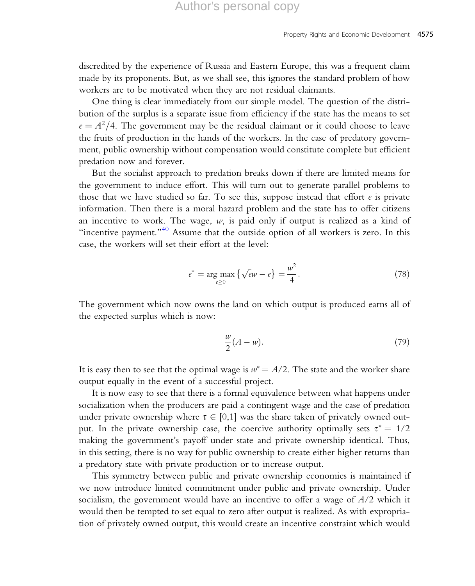discredited by the experience of Russia and Eastern Europe, this was a frequent claim made by its proponents. But, as we shall see, this ignores the standard problem of how workers are to be motivated when they are not residual claimants.

One thing is clear immediately from our simple model. The question of the distribution of the surplus is a separate issue from efficiency if the state has the means to set  $e = A^2/4$ . The government may be the residual claimant or it could choose to leave the fruits of production in the hands of the workers. In the case of predatory government, public ownership without compensation would constitute complete but efficient predation now and forever.

But the socialist approach to predation breaks down if there are limited means for the government to induce effort. This will turn out to generate parallel problems to those that we have studied so far. To see this, suppose instead that effort  $e$  is private information. Then there is a moral hazard problem and the state has to offer citizens an incentive to work. The wage,  $w$ , is paid only if output is realized as a kind of "incentive payment."<sup>[40](#page-67-0)</sup> Assume that the outside option of all workers is zero. In this case, the workers will set their effort at the level:

$$
e^* = \underset{e \ge 0}{\arg \max} \left\{ \sqrt{e}w - e \right\} = \frac{w^2}{4}.
$$
 (78)

The government which now owns the land on which output is produced earns all of the expected surplus which is now:

$$
\frac{w}{2}(A-w). \tag{79}
$$

It is easy then to see that the optimal wage is  $w^* = A/2$ . The state and the worker share output equally in the event of a successful project.

It is now easy to see that there is a formal equivalence between what happens under socialization when the producers are paid a contingent wage and the case of predation under private ownership where  $\tau \in [0,1]$  was the share taken of privately owned output. In the private ownership case, the coercive authority optimally sets  $\tau^* = 1/2$ making the government's payoff under state and private ownership identical. Thus, in this setting, there is no way for public ownership to create either higher returns than a predatory state with private production or to increase output.

This symmetry between public and private ownership economies is maintained if we now introduce limited commitment under public and private ownership. Under socialism, the government would have an incentive to offer a wage of  $A/2$  which it would then be tempted to set equal to zero after output is realized. As with expropriation of privately owned output, this would create an incentive constraint which would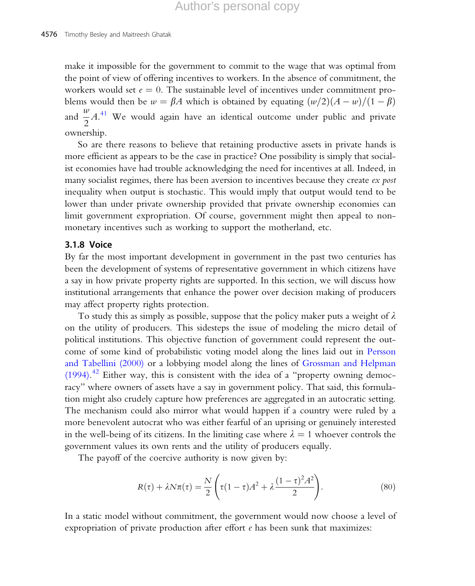make it impossible for the government to commit to the wage that was optimal from the point of view of offering incentives to workers. In the absence of commitment, the workers would set  $e = 0$ . The sustainable level of incentives under commitment problems would then be  $w = \beta A$  which is obtained by equating  $(w/2)(A - w)/(1 - \beta)$ and  $\frac{w}{2}$  $\frac{10}{2}A^{41}$  $\frac{10}{2}A^{41}$  $\frac{10}{2}A^{41}$  We would again have an identical outcome under public and private ownership.

So are there reasons to believe that retaining productive assets in private hands is more efficient as appears to be the case in practice? One possibility is simply that socialist economies have had trouble acknowledging the need for incentives at all. Indeed, in many socialist regimes, there has been aversion to incentives because they create *ex post* inequality when output is stochastic. This would imply that output would tend to be lower than under private ownership provided that private ownership economies can limit government expropriation. Of course, government might then appeal to nonmonetary incentives such as working to support the motherland, etc.

### 3.1.8 Voice

By far the most important development in government in the past two centuries has been the development of systems of representative government in which citizens have a say in how private property rights are supported. In this section, we will discuss how institutional arrangements that enhance the power over decision making of producers may affect property rights protection.

To study this as simply as possible, suppose that the policy maker puts a weight of  $\lambda$ on the utility of producers. This sidesteps the issue of modeling the micro detail of political institutions. This objective function of government could represent the outcome of some kind of probabilistic voting model along the lines laid out in [Persson](#page-71-0) [and Tabellini \(2000\)](#page-71-0) or a lobbying model along the lines of [Grossman and Helpman](#page-70-0) [\(1994\).](#page-70-0) [42](#page-67-0) Either way, this is consistent with the idea of a "property owning democracy" where owners of assets have a say in government policy. That said, this formulation might also crudely capture how preferences are aggregated in an autocratic setting. The mechanism could also mirror what would happen if a country were ruled by a more benevolent autocrat who was either fearful of an uprising or genuinely interested in the well-being of its citizens. In the limiting case where  $\lambda = 1$  whoever controls the government values its own rents and the utility of producers equally.

The payoff of the coercive authority is now given by:

$$
R(\tau) + \lambda N \pi(\tau) = \frac{N}{2} \left( \tau (1 - \tau) A^2 + \lambda \frac{(1 - \tau)^2 A^2}{2} \right).
$$
 (80)

In a static model without commitment, the government would now choose a level of expropriation of private production after effort e has been sunk that maximizes: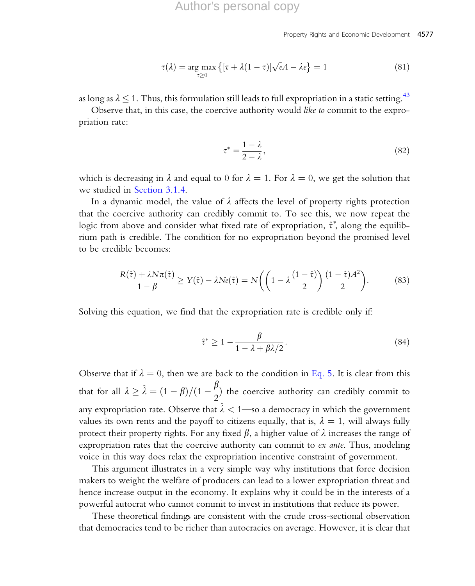$$
\tau(\lambda) = \underset{\tau \ge 0}{\arg \max} \left\{ [\tau + \lambda(1 - \tau)] \sqrt{e} A - \lambda e \right\} = 1 \tag{81}
$$

as long as  $\lambda \leq 1$ . Thus, this formulation still leads to full expropriation in a static setting.<sup>[43](#page-67-0)</sup>

Observe that, in this case, the coercive authority would like to commit to the expropriation rate:

$$
\tau^* = \frac{1 - \lambda}{2 - \lambda},\tag{82}
$$

which is decreasing in  $\lambda$  and equal to 0 for  $\lambda = 1$ . For  $\lambda = 0$ , we get the solution that we studied in [Section 3.1.4](#page-44-0).

In a dynamic model, the value of  $\lambda$  affects the level of property rights protection that the coercive authority can credibly commit to. To see this, we now repeat the logic from above and consider what fixed rate of expropriation,  $\hat{\tau}^*$ , along the equilibrium path is credible. The condition for no expropriation beyond the promised level to be credible becomes:

$$
\frac{R(\hat{\tau}) + \lambda N \pi(\hat{\tau})}{1 - \beta} \ge Y(\hat{\tau}) - \lambda N e(\hat{\tau}) = N \left( \left( 1 - \lambda \frac{(1 - \hat{\tau})}{2} \right) \frac{(1 - \hat{\tau}) A^2}{2} \right).
$$
 (83)

Solving this equation, we find that the expropriation rate is credible only if:

$$
\hat{\tau}^* \ge 1 - \frac{\beta}{1 - \lambda + \beta \lambda / 2}.
$$
\n(84)

Observe that if  $\lambda = 0$ , then we are back to the condition in [Eq. 5.](#page-6-0) It is clear from this that for all  $\lambda \geq \hat{\lambda} = (1 - \beta)/(1 - \frac{\beta}{2})$  the coercive authority can credibly commit to any expropriation rate. Observe that  $\lambda < 1$ —so a democracy in which the government values its own rents and the payoff to citizens equally, that is,  $\lambda = 1$ , will always fully protect their property rights. For any fixed  $\beta$ , a higher value of  $\lambda$  increases the range of expropriation rates that the coercive authority can commit to *ex ante*. Thus, modeling voice in this way does relax the expropriation incentive constraint of government.

This argument illustrates in a very simple way why institutions that force decision makers to weight the welfare of producers can lead to a lower expropriation threat and hence increase output in the economy. It explains why it could be in the interests of a powerful autocrat who cannot commit to invest in institutions that reduce its power.

These theoretical findings are consistent with the crude cross-sectional observation that democracies tend to be richer than autocracies on average. However, it is clear that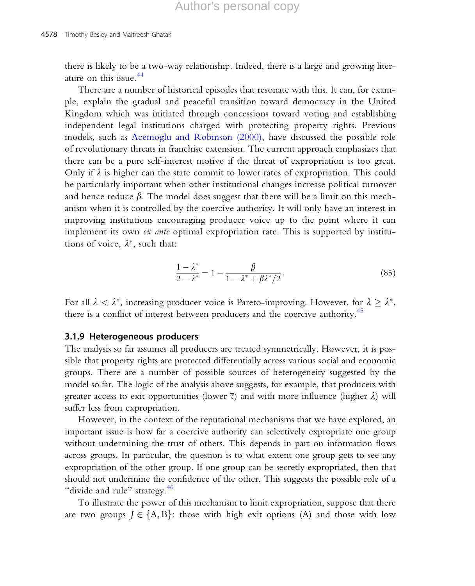there is likely to be a two-way relationship. Indeed, there is a large and growing literature on this issue. $44$ 

There are a number of historical episodes that resonate with this. It can, for example, explain the gradual and peaceful transition toward democracy in the United Kingdom which was initiated through concessions toward voting and establishing independent legal institutions charged with protecting property rights. Previous models, such as [Acemoglu and Robinson \(2000\),](#page-68-0) have discussed the possible role of revolutionary threats in franchise extension. The current approach emphasizes that there can be a pure self-interest motive if the threat of expropriation is too great. Only if  $\lambda$  is higher can the state commit to lower rates of expropriation. This could be particularly important when other institutional changes increase political turnover and hence reduce  $\beta$ . The model does suggest that there will be a limit on this mechanism when it is controlled by the coercive authority. It will only have an interest in improving institutions encouraging producer voice up to the point where it can implement its own *ex ante* optimal expropriation rate. This is supported by institutions of voice,  $\lambda^*$ , such that:

$$
\frac{1 - \lambda^*}{2 - \lambda^*} = 1 - \frac{\beta}{1 - \lambda^* + \beta \lambda^* / 2}.
$$
 (85)

For all  $\lambda < \lambda^*$ , increasing producer voice is Pareto-improving. However, for  $\lambda \geq \lambda^*$ , there is a conflict of interest between producers and the coercive authority.<sup>[45](#page-67-0)</sup>

#### 3.1.9 Heterogeneous producers

The analysis so far assumes all producers are treated symmetrically. However, it is possible that property rights are protected differentially across various social and economic groups. There are a number of possible sources of heterogeneity suggested by the model so far. The logic of the analysis above suggests, for example, that producers with greater access to exit opportunities (lower  $\bar{\tau}$ ) and with more influence (higher  $\lambda$ ) will suffer less from expropriation.

However, in the context of the reputational mechanisms that we have explored, an important issue is how far a coercive authority can selectively expropriate one group without undermining the trust of others. This depends in part on information flows across groups. In particular, the question is to what extent one group gets to see any expropriation of the other group. If one group can be secretly expropriated, then that should not undermine the confidence of the other. This suggests the possible role of a "divide and rule" strategy.<sup>[46](#page-67-0)</sup>

To illustrate the power of this mechanism to limit expropriation, suppose that there are two groups  $J \in \{A, B\}$ : those with high exit options (A) and those with low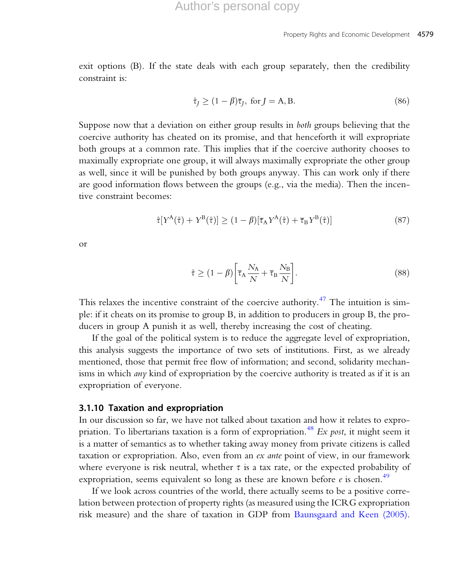exit options (B). If the state deals with each group separately, then the credibility constraint is:

$$
\hat{\tau}_J \ge (1 - \beta)\overline{\tau}_J, \text{ for } J = A, B. \tag{86}
$$

Suppose now that a deviation on either group results in *both* groups believing that the coercive authority has cheated on its promise, and that henceforth it will expropriate both groups at a common rate. This implies that if the coercive authority chooses to maximally expropriate one group, it will always maximally expropriate the other group as well, since it will be punished by both groups anyway. This can work only if there are good information flows between the groups (e.g., via the media). Then the incentive constraint becomes:

$$
\hat{\tau}[Y^{\mathcal{A}}(\hat{\tau}) + Y^{\mathcal{B}}(\hat{\tau})] \ge (1 - \beta)[\overline{\tau}_{\mathcal{A}}Y^{\mathcal{A}}(\hat{\tau}) + \overline{\tau}_{\mathcal{B}}Y^{\mathcal{B}}(\hat{\tau})]
$$
(87)

or

$$
\hat{\tau} \ge (1 - \beta) \left[ \overline{\tau}_{A} \frac{N_{A}}{N} + \overline{\tau}_{B} \frac{N_{B}}{N} \right]. \tag{88}
$$

This relaxes the incentive constraint of the coercive authority.<sup>[47](#page-67-0)</sup> The intuition is simple: if it cheats on its promise to group B, in addition to producers in group B, the producers in group A punish it as well, thereby increasing the cost of cheating.

If the goal of the political system is to reduce the aggregate level of expropriation, this analysis suggests the importance of two sets of institutions. First, as we already mentioned, those that permit free flow of information; and second, solidarity mechanisms in which *any* kind of expropriation by the coercive authority is treated as if it is an expropriation of everyone.

#### 3.1.10 Taxation and expropriation

In our discussion so far, we have not talked about taxation and how it relates to expro-priation. To libertarians taxation is a form of expropriation.<sup>[48](#page-68-0)</sup> Ex post, it might seem it is a matter of semantics as to whether taking away money from private citizens is called taxation or expropriation. Also, even from an ex ante point of view, in our framework where everyone is risk neutral, whether  $\tau$  is a tax rate, or the expected probability of expropriation, seems equivalent so long as these are known before  $e$  is chosen.<sup>49</sup>

If we look across countries of the world, there actually seems to be a positive correlation between protection of property rights (as measured using the ICRG expropriation risk measure) and the share of taxation in GDP from [Baunsgaard and Keen \(2005\)](#page-69-0).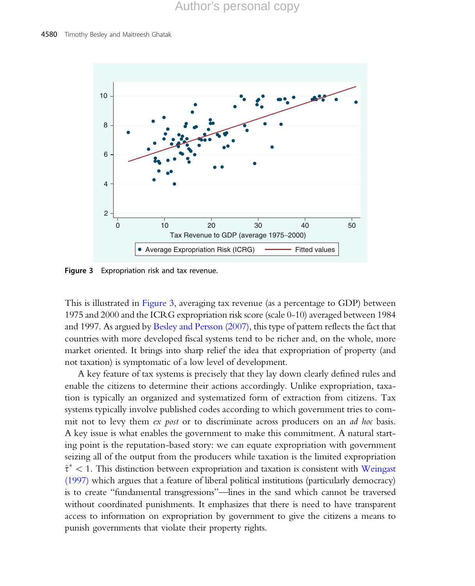<span id="page-56-0"></span>

Figure 3 Expropriation risk and tax revenue.

This is illustrated in Figure 3, averaging tax revenue (as a percentage to GDP) between 1975 and 2000 and the ICRG expropriation risk score (scale 0-10) averaged between 1984 and 1997. As argued by [Besley and Persson \(2007\)](#page-69-0), this type of pattern reflects the fact that countries with more developed fiscal systems tend to be richer and, on the whole, more market oriented. It brings into sharp relief the idea that expropriation of property (and not taxation) is symptomatic of a low level of development.

A key feature of tax systems is precisely that they lay down clearly defined rules and enable the citizens to determine their actions accordingly. Unlike expropriation, taxation is typically an organized and systematized form of extraction from citizens. Tax systems typically involve published codes according to which government tries to commit not to levy them *ex post* or to discriminate across producers on an *ad hoc* basis. A key issue is what enables the government to make this commitment. A natural starting point is the reputation-based story: we can equate expropriation with government seizing all of the output from the producers while taxation is the limited expropriation  $\hat{\tau}^*$  < 1. This distinction between expropriation and taxation is consistent with [Weingast](#page-71-0) [\(1997\)](#page-71-0) which argues that a feature of liberal political institutions (particularly democracy) is to create "fundamental transgressions"—lines in the sand which cannot be traversed without coordinated punishments. It emphasizes that there is need to have transparent access to information on expropriation by government to give the citizens a means to punish governments that violate their property rights.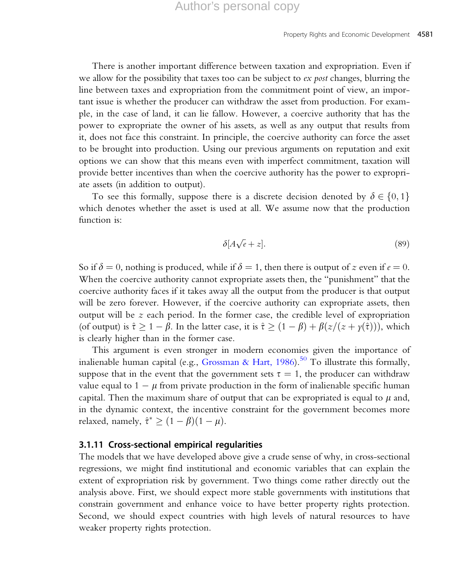There is another important difference between taxation and expropriation. Even if we allow for the possibility that taxes too can be subject to *ex post* changes, blurring the line between taxes and expropriation from the commitment point of view, an important issue is whether the producer can withdraw the asset from production. For example, in the case of land, it can lie fallow. However, a coercive authority that has the power to expropriate the owner of his assets, as well as any output that results from it, does not face this constraint. In principle, the coercive authority can force the asset to be brought into production. Using our previous arguments on reputation and exit options we can show that this means even with imperfect commitment, taxation will provide better incentives than when the coercive authority has the power to expropriate assets (in addition to output).

To see this formally, suppose there is a discrete decision denoted by  $\delta \in \{0, 1\}$ which denotes whether the asset is used at all. We assume now that the production function is:

$$
\delta[A\sqrt{e} + z].\tag{89}
$$

So if  $\delta = 0$ , nothing is produced, while if  $\delta = 1$ , then there is output of z even if  $e = 0$ . When the coercive authority cannot expropriate assets then, the "punishment" that the coercive authority faces if it takes away all the output from the producer is that output will be zero forever. However, if the coercive authority can expropriate assets, then output will be  $z$  each period. In the former case, the credible level of expropriation (of output) is  $\hat{\tau} \geq 1 - \beta$ . In the latter case, it is  $\hat{\tau} \geq (1 - \beta) + \beta(z/(z + \gamma(\hat{\tau})))$ , which is clearly higher than in the former case.

This argument is even stronger in modern economies given the importance of inalienable human capital (e.g., [Grossman & Hart, 1986\)](#page-70-0).<sup>[50](#page-68-0)</sup> To illustrate this formally, suppose that in the event that the government sets  $\tau = 1$ , the producer can withdraw value equal to  $1 - \mu$  from private production in the form of inalienable specific human capital. Then the maximum share of output that can be expropriated is equal to  $\mu$  and, in the dynamic context, the incentive constraint for the government becomes more relaxed, namely,  $\hat{\tau}^* \geq (1 - \beta)(1 - \mu)$ .

#### 3.1.11 Cross-sectional empirical regularities

The models that we have developed above give a crude sense of why, in cross-sectional regressions, we might find institutional and economic variables that can explain the extent of expropriation risk by government. Two things come rather directly out the analysis above. First, we should expect more stable governments with institutions that constrain government and enhance voice to have better property rights protection. Second, we should expect countries with high levels of natural resources to have weaker property rights protection.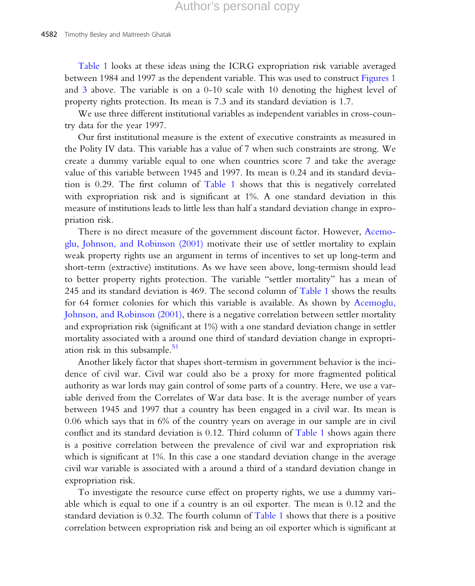[Table 1](#page-36-0) looks at these ideas using the ICRG expropriation risk variable averaged between 1984 and 1997 as the dependent variable. This was used to construct [Figures 1](#page-31-0) and [3](#page-56-0) above. The variable is on a 0-10 scale with 10 denoting the highest level of property rights protection. Its mean is 7.3 and its standard deviation is 1.7.

We use three different institutional variables as independent variables in cross-country data for the year 1997.

Our first institutional measure is the extent of executive constraints as measured in the Polity IV data. This variable has a value of 7 when such constraints are strong. We create a dummy variable equal to one when countries score 7 and take the average value of this variable between 1945 and 1997. Its mean is 0.24 and its standard deviation is 0.29. The first column of [Table 1](#page-36-0) shows that this is negatively correlated with expropriation risk and is significant at 1%. A one standard deviation in this measure of institutions leads to little less than half a standard deviation change in expropriation risk.

There is no direct measure of the government discount factor. However, [Acemo](#page-68-0)[glu, Johnson, and Robinson \(2001\)](#page-68-0) motivate their use of settler mortality to explain weak property rights use an argument in terms of incentives to set up long-term and short-term (extractive) institutions. As we have seen above, long-termism should lead to better property rights protection. The variable "settler mortality" has a mean of 245 and its standard deviation is 469. The second column of [Table 1](#page-36-0) shows the results for 64 former colonies for which this variable is available. As shown by [Acemoglu,](#page-68-0) [Johnson, and Robinson \(2001\)](#page-68-0), there is a negative correlation between settler mortality and expropriation risk (significant at 1%) with a one standard deviation change in settler mortality associated with a around one third of standard deviation change in expropriation risk in this subsample. $51$ 

Another likely factor that shapes short-termism in government behavior is the incidence of civil war. Civil war could also be a proxy for more fragmented political authority as war lords may gain control of some parts of a country. Here, we use a variable derived from the Correlates of War data base. It is the average number of years between 1945 and 1997 that a country has been engaged in a civil war. Its mean is 0.06 which says that in 6% of the country years on average in our sample are in civil conflict and its standard deviation is 0.12. Third column of [Table 1](#page-36-0) shows again there is a positive correlation between the prevalence of civil war and expropriation risk which is significant at 1%. In this case a one standard deviation change in the average civil war variable is associated with a around a third of a standard deviation change in expropriation risk.

To investigate the resource curse effect on property rights, we use a dummy variable which is equal to one if a country is an oil exporter. The mean is 0.12 and the standard deviation is 0.32. The fourth column of [Table 1](#page-36-0) shows that there is a positive correlation between expropriation risk and being an oil exporter which is significant at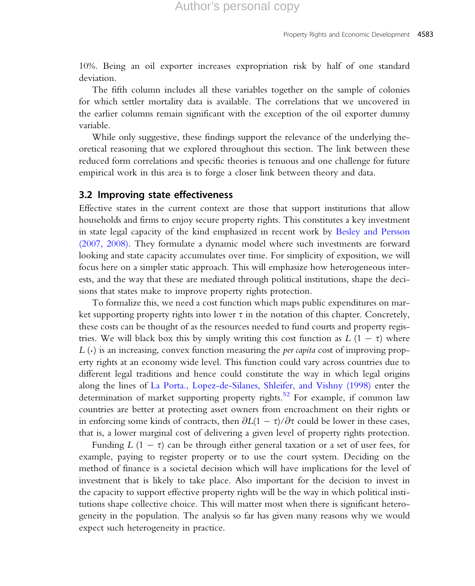10%. Being an oil exporter increases expropriation risk by half of one standard deviation.

The fifth column includes all these variables together on the sample of colonies for which settler mortality data is available. The correlations that we uncovered in the earlier columns remain significant with the exception of the oil exporter dummy variable.

While only suggestive, these findings support the relevance of the underlying theoretical reasoning that we explored throughout this section. The link between these reduced form correlations and specific theories is tenuous and one challenge for future empirical work in this area is to forge a closer link between theory and data.

## 3.2 Improving state effectiveness

Effective states in the current context are those that support institutions that allow households and firms to enjoy secure property rights. This constitutes a key investment in state legal capacity of the kind emphasized in recent work by [Besley and Persson](#page-69-0) [\(2007, 2008\)](#page-69-0). They formulate a dynamic model where such investments are forward looking and state capacity accumulates over time. For simplicity of exposition, we will focus here on a simpler static approach. This will emphasize how heterogeneous interests, and the way that these are mediated through political institutions, shape the decisions that states make to improve property rights protection.

To formalize this, we need a cost function which maps public expenditures on market supporting property rights into lower  $\tau$  in the notation of this chapter. Concretely, these costs can be thought of as the resources needed to fund courts and property registries. We will black box this by simply writing this cost function as  $L (1 - \tau)$  where  $L (\cdot)$  is an increasing, convex function measuring the *per capita* cost of improving prop- $L(\cdot)$  is an increasing, convex function measuring the *per capita* cost of improving prop-<br>erty rights at an economy wide level. This function could vary across countries due to different legal traditions and hence could constitute the way in which legal origins along the lines of [La Porta., Lopez-de-Silanes, Shleifer, and Vishny \(1998\)](#page-70-0) enter the determination of market supporting property rights.<sup>[52](#page-68-0)</sup> For example, if common law countries are better at protecting asset owners from encroachment on their rights or in enforcing some kinds of contracts, then  $\partial L(1 - \tau)/\partial \tau$  could be lower in these cases, that is, a lower marginal cost of delivering a given level of property rights protection.

Funding  $L (1 - \tau)$  can be through either general taxation or a set of user fees, for example, paying to register property or to use the court system. Deciding on the method of finance is a societal decision which will have implications for the level of investment that is likely to take place. Also important for the decision to invest in the capacity to support effective property rights will be the way in which political institutions shape collective choice. This will matter most when there is significant heterogeneity in the population. The analysis so far has given many reasons why we would expect such heterogeneity in practice.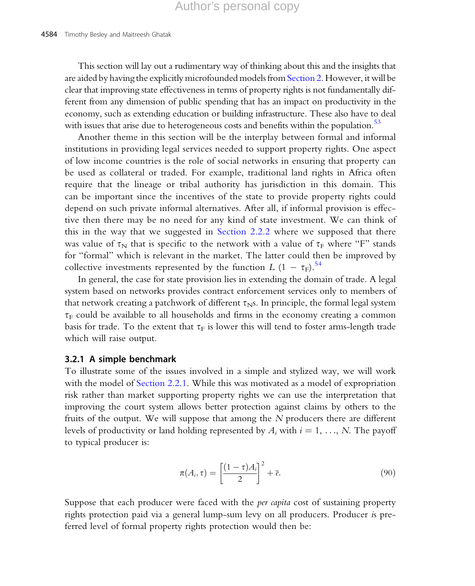# Author's personal copy

This section will lay out a rudimentary way of thinking about this and the insights that are aided by having the explicitly microfounded models from [Section 2](#page-4-0). However, it will be clear that improving state effectiveness in terms of property rights is not fundamentally different from any dimension of public spending that has an impact on productivity in the economy, such as extending education or building infrastructure. These also have to deal with issues that arise due to heterogeneous costs and benefits within the population.<sup>53</sup>

Another theme in this section will be the interplay between formal and informal institutions in providing legal services needed to support property rights. One aspect of low income countries is the role of social networks in ensuring that property can be used as collateral or traded. For example, traditional land rights in Africa often require that the lineage or tribal authority has jurisdiction in this domain. This can be important since the incentives of the state to provide property rights could depend on such private informal alternatives. After all, if informal provision is effective then there may be no need for any kind of state investment. We can think of this in the way that we suggested in [Section 2.2.2](#page-13-0) where we supposed that there was value of  $\tau_N$  that is specific to the network with a value of  $\tau_F$  where "F" stands for "formal" which is relevant in the market. The latter could then be improved by collective investments represented by the function  $L (1 - \tau_F)$ .<sup>54</sup>

In general, the case for state provision lies in extending the domain of trade. A legal system based on networks provides contract enforcement services only to members of that network creating a patchwork of different  $\tau_{N}$ s. In principle, the formal legal system  $\tau_F$  could be available to all households and firms in the economy creating a common basis for trade. To the extent that  $\tau_F$  is lower this will tend to foster arms-length trade which will raise output.

#### 3.2.1 A simple benchmark

To illustrate some of the issues involved in a simple and stylized way, we will work with the model of [Section 2.2.1](#page-10-0). While this was motivated as a model of expropriation risk rather than market supporting property rights we can use the interpretation that improving the court system allows better protection against claims by others to the fruits of the output. We will suppose that among the  $N$  producers there are different levels of productivity or land holding represented by  $A_i$  with  $i = 1, \ldots, N$ . The payoff to typical producer is:

$$
\pi(A_i, \tau) = \left[\frac{(1-\tau)A_i}{2}\right]^2 + \overline{e}.\tag{90}
$$

Suppose that each producer were faced with the *per capita* cost of sustaining property rights protection paid via a general lump-sum levy on all producers. Producer is preferred level of formal property rights protection would then be: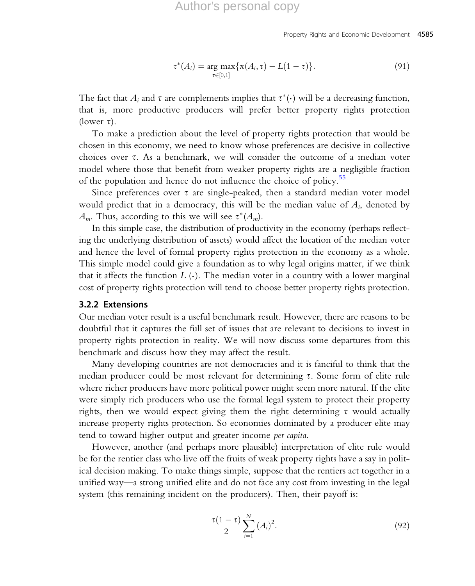$$
\tau^*(A_i) = \arg \max_{\tau \in [0,1]} \{\pi(A_i, \tau) - L(1 - \tau)\}.
$$
\n(91)

The fact that  $A_i$  and  $\tau$  are complements implies that  $\tau^*(\cdot)$  will be a decreasing function, that is, more productive producers will prefer better property rights protection (lower  $\tau$ ).

To make a prediction about the level of property rights protection that would be chosen in this economy, we need to know whose preferences are decisive in collective choices over  $\tau$ . As a benchmark, we will consider the outcome of a median voter model where those that benefit from weaker property rights are a negligible fraction of the population and hence do not influence the choice of policy.<sup>55</sup>

Since preferences over  $\tau$  are single-peaked, then a standard median voter model would predict that in a democracy, this will be the median value of  $A_i$ , denoted by  $A_m$ . Thus, according to this we will see  $\tau^*(A_m)$ .

In this simple case, the distribution of productivity in the economy (perhaps reflecting the underlying distribution of assets) would affect the location of the median voter and hence the level of formal property rights protection in the economy as a whole. This simple model could give a foundation as to why legal origins matter, if we think that it affects the function  $L(\cdot)$ . The median voter in a country with a lower marginal cost of property rights protection will tend to choose better property rights protection.

## 3.2.2 Extensions

Our median voter result is a useful benchmark result. However, there are reasons to be doubtful that it captures the full set of issues that are relevant to decisions to invest in property rights protection in reality. We will now discuss some departures from this benchmark and discuss how they may affect the result.

Many developing countries are not democracies and it is fanciful to think that the median producer could be most relevant for determining  $\tau$ . Some form of elite rule where richer producers have more political power might seem more natural. If the elite were simply rich producers who use the formal legal system to protect their property rights, then we would expect giving them the right determining  $\tau$  would actually increase property rights protection. So economies dominated by a producer elite may tend to toward higher output and greater income per capita.

However, another (and perhaps more plausible) interpretation of elite rule would be for the rentier class who live off the fruits of weak property rights have a say in political decision making. To make things simple, suppose that the rentiers act together in a unified way—a strong unified elite and do not face any cost from investing in the legal system (this remaining incident on the producers). Then, their payoff is:

$$
\frac{\tau(1-\tau)}{2} \sum_{i=1}^{N} (A_i)^2.
$$
 (92)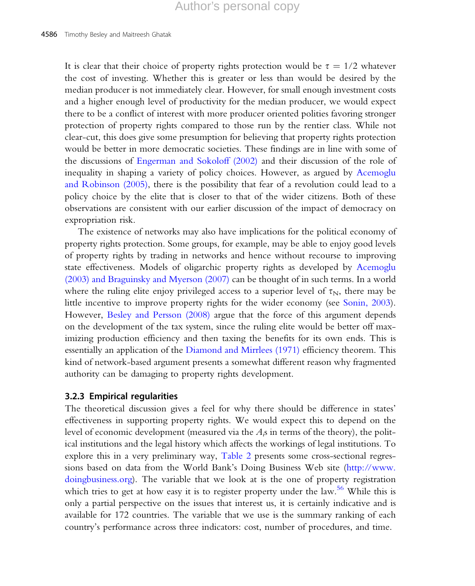It is clear that their choice of property rights protection would be  $\tau = 1/2$  whatever the cost of investing. Whether this is greater or less than would be desired by the median producer is not immediately clear. However, for small enough investment costs and a higher enough level of productivity for the median producer, we would expect there to be a conflict of interest with more producer oriented polities favoring stronger protection of property rights compared to those run by the rentier class. While not clear-cut, this does give some presumption for believing that property rights protection would be better in more democratic societies. These findings are in line with some of the discussions of [Engerman and Sokoloff \(2002\)](#page-69-0) and their discussion of the role of inequality in shaping a variety of policy choices. However, as argued by [Acemoglu](#page-68-0) [and Robinson \(2005\)](#page-68-0), there is the possibility that fear of a revolution could lead to a policy choice by the elite that is closer to that of the wider citizens. Both of these observations are consistent with our earlier discussion of the impact of democracy on expropriation risk.

The existence of networks may also have implications for the political economy of property rights protection. Some groups, for example, may be able to enjoy good levels of property rights by trading in networks and hence without recourse to improving state effectiveness. Models of oligarchic property rights as developed by [Acemoglu](#page-68-0) [\(2003\) and Braguinsky and Myerson \(2007\)](#page-68-0) can be thought of in such terms. In a world where the ruling elite enjoy privileged access to a superior level of  $\tau_{N}$ , there may be little incentive to improve property rights for the wider economy (see [Sonin, 2003](#page-71-0)). However, [Besley and Persson \(2008\)](#page-69-0) argue that the force of this argument depends on the development of the tax system, since the ruling elite would be better off maximizing production efficiency and then taxing the benefits for its own ends. This is essentially an application of the [Diamond and Mirrlees \(1971\)](#page-69-0) efficiency theorem. This kind of network-based argument presents a somewhat different reason why fragmented authority can be damaging to property rights development.

#### 3.2.3 Empirical regularities

The theoretical discussion gives a feel for why there should be difference in states' effectiveness in supporting property rights. We would expect this to depend on the level of economic development (measured via the  $A_{\beta}$  in terms of the theory), the political institutions and the legal history which affects the workings of legal institutions. To explore this in a very preliminary way, [Table 2](#page-63-0) presents some cross-sectional regressions based on data from the World Bank's Doing Business Web site [\(http://www.](http://www.doingbusiness.org) [doingbusiness.org](http://www.doingbusiness.org)). The variable that we look at is the one of property registration which tries to get at how easy it is to register property under the law.<sup>56</sup> While this is only a partial perspective on the issues that interest us, it is certainly indicative and is available for 172 countries. The variable that we use is the summary ranking of each country's performance across three indicators: cost, number of procedures, and time.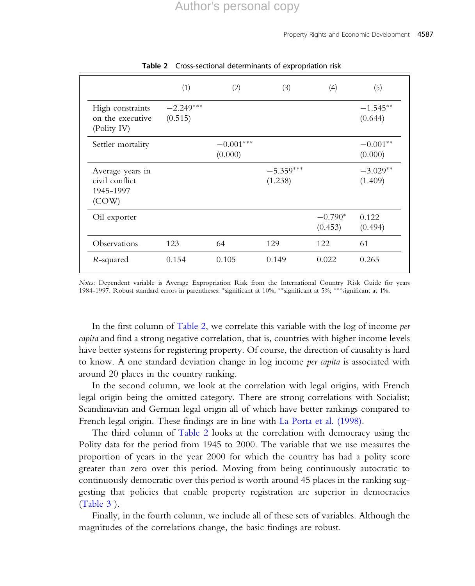<span id="page-63-0"></span>

|                                                          | (1)                    | (2)                    | (3)                    | (4)                  | (5)                   |
|----------------------------------------------------------|------------------------|------------------------|------------------------|----------------------|-----------------------|
| High constraints<br>on the executive<br>(Polity IV)      | $-2.249***$<br>(0.515) |                        |                        |                      | $-1.545**$<br>(0.644) |
| Settler mortality                                        |                        | $-0.001***$<br>(0.000) |                        |                      | $-0.001**$<br>(0.000) |
| Average years in<br>civil conflict<br>1945-1997<br>(COW) |                        |                        | $-5.359***$<br>(1.238) |                      | $-3.029**$<br>(1.409) |
| Oil exporter                                             |                        |                        |                        | $-0.790*$<br>(0.453) | 0.122<br>(0.494)      |
| Observations                                             | 123                    | 64                     | 129                    | 122                  | 61                    |
| R-squared                                                | 0.154                  | 0.105                  | 0.149                  | 0.022                | 0.265                 |

Table 2 Cross-sectional determinants of expropriation risk

Notes: Dependent variable is Average Expropriation Risk from the International Country Risk Guide for years 1984-1997. Robust standard errors in parentheses: \*significant at 10%; \*\*significant at 5%; \*\*\*significant at 1%.

In the first column of Table 2, we correlate this variable with the log of income per capita and find a strong negative correlation, that is, countries with higher income levels have better systems for registering property. Of course, the direction of causality is hard to know. A one standard deviation change in log income *per capita* is associated with around 20 places in the country ranking.

In the second column, we look at the correlation with legal origins, with French legal origin being the omitted category. There are strong correlations with Socialist; Scandinavian and German legal origin all of which have better rankings compared to French legal origin. These findings are in line with [La Porta et al. \(1998\).](#page-70-0)

The third column of Table 2 looks at the correlation with democracy using the Polity data for the period from 1945 to 2000. The variable that we use measures the proportion of years in the year 2000 for which the country has had a polity score greater than zero over this period. Moving from being continuously autocratic to continuously democratic over this period is worth around 45 places in the ranking suggesting that policies that enable property registration are superior in democracies ([Table 3](#page-64-0) ).

Finally, in the fourth column, we include all of these sets of variables. Although the magnitudes of the correlations change, the basic findings are robust.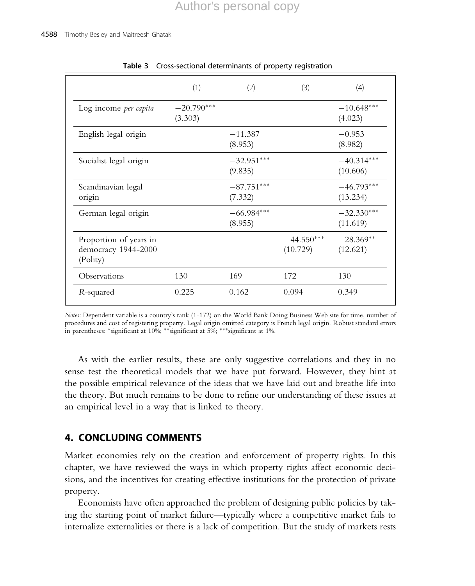<span id="page-64-0"></span>

|                                                           | (1)                     | (2)                     | (3)                      | (4)                      |
|-----------------------------------------------------------|-------------------------|-------------------------|--------------------------|--------------------------|
| Log income per capita                                     | $-20.790***$<br>(3.303) |                         |                          | $-10.648***$<br>(4.023)  |
| English legal origin                                      |                         | $-11.387$<br>(8.953)    |                          | $-0.953$<br>(8.982)      |
| Socialist legal origin                                    |                         | $-32.951***$<br>(9.835) |                          | $-40.314***$<br>(10.606) |
| Scandinavian legal<br>origin                              |                         | $-87.751***$<br>(7.332) |                          | $-46.793***$<br>(13.234) |
| German legal origin                                       |                         | $-66.984***$<br>(8.955) |                          | $-32.330***$<br>(11.619) |
| Proportion of years in<br>democracy 1944-2000<br>(Polity) |                         |                         | $-44.550***$<br>(10.729) | $-28.369**$<br>(12.621)  |
| Observations                                              | 130                     | 169                     | 172                      | 130                      |
| R-squared                                                 | 0.225                   | 0.162                   | 0.094                    | 0.349                    |
|                                                           |                         |                         |                          |                          |

Table 3 Cross-sectional determinants of property registration

Notes: Dependent variable is a country's rank (1-172) on the World Bank Doing Business Web site for time, number of procedures and cost of registering property. Legal origin omitted category is French legal origin. Robust standard errors in parentheses: \*significant at 10%; \*\*significant at 5%; \*\*\*significant at 1%.

As with the earlier results, these are only suggestive correlations and they in no sense test the theoretical models that we have put forward. However, they hint at the possible empirical relevance of the ideas that we have laid out and breathe life into the theory. But much remains to be done to refine our understanding of these issues at an empirical level in a way that is linked to theory.

## 4. CONCLUDING COMMENTS

Market economies rely on the creation and enforcement of property rights. In this chapter, we have reviewed the ways in which property rights affect economic decisions, and the incentives for creating effective institutions for the protection of private property.

Economists have often approached the problem of designing public policies by taking the starting point of market failure—typically where a competitive market fails to internalize externalities or there is a lack of competition. But the study of markets rests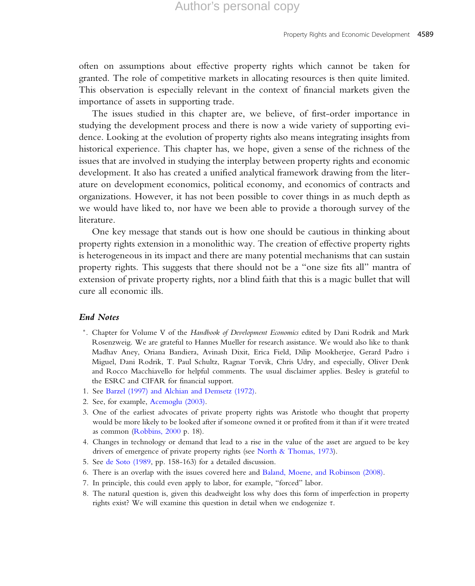# Author's personal copy

often on assumptions about effective property rights which cannot be taken for granted. The role of competitive markets in allocating resources is then quite limited. This observation is especially relevant in the context of financial markets given the importance of assets in supporting trade.

The issues studied in this chapter are, we believe, of first-order importance in studying the development process and there is now a wide variety of supporting evidence. Looking at the evolution of property rights also means integrating insights from historical experience. This chapter has, we hope, given a sense of the richness of the issues that are involved in studying the interplay between property rights and economic development. It also has created a unified analytical framework drawing from the literature on development economics, political economy, and economics of contracts and organizations. However, it has not been possible to cover things in as much depth as we would have liked to, nor have we been able to provide a thorough survey of the literature.

One key message that stands out is how one should be cautious in thinking about property rights extension in a monolithic way. The creation of effective property rights is heterogeneous in its impact and there are many potential mechanisms that can sustain property rights. This suggests that there should not be a "one size fits all" mantra of extension of private property rights, nor a blind faith that this is a magic bullet that will cure all economic ills.

#### End Notes

- \*. Chapter for Volume V of the Handbook of Development Economics edited by Dani Rodrik and Mark Rosenzweig. We are grateful to Hannes Mueller for research assistance. We would also like to thank Madhav Aney, Oriana Bandiera, Avinash Dixit, Erica Field, Dilip Mookherjee, Gerard Padro i Miguel, Dani Rodrik, T. Paul Schultz, Ragnar Torvik, Chris Udry, and especially, Oliver Denk and Rocco Macchiavello for helpful comments. The usual disclaimer applies. Besley is grateful to the ESRC and CIFAR for financial support.
- 1. See [Barzel \(1997\) and Alchian and Demsetz \(1972\).](#page-69-0)
- 2. See, for example, [Acemoglu \(2003\)](#page-68-0).
- 3. One of the earliest advocates of private property rights was Aristotle who thought that property would be more likely to be looked after if someone owned it or profited from it than if it were treated as common [\(Robbins, 2000](#page-71-0) p. 18).
- 4. Changes in technology or demand that lead to a rise in the value of the asset are argued to be key drivers of emergence of private property rights (see [North & Thomas, 1973](#page-71-0)).
- 5. See [de Soto \(1989](#page-69-0), pp. 158-163) for a detailed discussion.
- 6. There is an overlap with the issues covered here and [Baland, Moene, and Robinson \(2008\).](#page-68-0)
- 7. In principle, this could even apply to labor, for example, "forced" labor.
- 8. The natural question is, given this deadweight loss why does this form of imperfection in property rights exist? We will examine this question in detail when we endogenize  $\tau$ .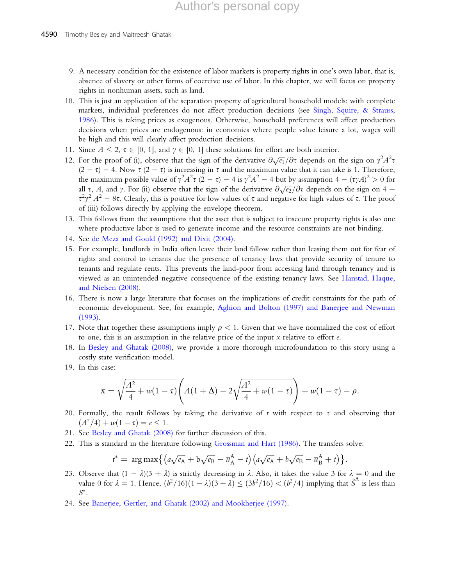- 9. A necessary condition for the existence of labor markets is property rights in one's own labor, that is, absence of slavery or other forms of coercive use of labor. In this chapter, we will focus on property rights in nonhuman assets, such as land.
- 10. This is just an application of the separation property of agricultural household models: with complete markets, individual preferences do not affect production decisions (see [Singh, Squire, & Strauss,](#page-71-0) [1986\)](#page-71-0). This is taking prices as exogenous. Otherwise, household preferences will affect production decisions when prices are endogenous: in economies where people value leisure a lot, wages will be high and this will clearly affect production decisions.
- 11. Since  $A \le 2$ ,  $\tau \in [0, 1]$ , and  $\gamma \in [0, 1]$  these solutions for effort are both interior.
- 12. For the proof of (i), observe that the sign of the derivative  $\partial \sqrt{\epsilon_1}/\partial \tau$  depends on the sign on  $\gamma^2 A^2 \tau$  $(2 - \tau) - 4$ . Now  $\tau$   $(2 - \tau)$  is increasing in  $\tau$  and the maximum value that it can take is 1. Therefore, the maximum possible value of  $\gamma^2 A^2 \tau (2 - \tau) - 4$  is  $\gamma^2 A^2 - 4$  but by assumption  $4 - (\tau \gamma A)^2 > 0$  for all  $\tau$ ,  $A$  and  $\gamma$ . For (ii) observe that the sign of the derivative  $\partial$ ,  $\partial \tau$  ( $\partial \tau$  depends on the sign on all  $\tau$ , A, and  $\gamma$ . For (ii) observe that the sign of the derivative  $\partial \sqrt{\epsilon_2}/\partial \tau$  depends on the sign on 4 +  $\tau_2^2$ ,  $\epsilon_1^2$  = 8 $\tau$ . Clearly, this is positive for low values of  $\tau$  and peoptive for high values  $\tau^2 \gamma^2 A^2 - 8\tau$ . Clearly, this is positive for low values of  $\tau$  and negative for high values of  $\tau$ . The proof of (iii) follows directly by applying the envelope theorem.
- 13. This follows from the assumptions that the asset that is subject to insecure property rights is also one where productive labor is used to generate income and the resource constraints are not binding.
- 14. See [de Meza and Gould \(1992\) and Dixit \(2004\)](#page-69-0).
- 15. For example, landlords in India often leave their land fallow rather than leasing them out for fear of rights and control to tenants due the presence of tenancy laws that provide security of tenure to tenants and regulate rents. This prevents the land-poor from accessing land through tenancy and is viewed as an unintended negative consequence of the existing tenancy laws. See [Hanstad, Haque,](#page-70-0) [and Nielsen \(2008\).](#page-70-0)
- 16. There is now a large literature that focuses on the implications of credit constraints for the path of economic development. See, for example, [Aghion and Bolton \(1997\) and Banerjee and Newman](#page-68-0) [\(1993\)](#page-68-0).
- 17. Note that together these assumptions imply  $\rho < 1$ . Given that we have normalized the cost of effort to one, this is an assumption in the relative price of the input  $x$  relative to effort  $e$ .
- 18. In [Besley and Ghatak \(2008\)](#page-69-0), we provide a more thorough microfoundation to this story using a costly state verification model.
- 19. In this case:

$$
\pi = \sqrt{\frac{A^2}{4} + w(1-\tau)} \left( A(1+\Delta) - 2\sqrt{\frac{A^2}{4} + w(1-\tau)} \right) + w(1-\tau) - \rho.
$$

- 20. Formally, the result follows by taking the derivative of r with respect to  $\tau$  and observing that  $(A^{2}/4) + w(1 - \tau) = e \le 1.$
- 21. See [Besley and Ghatak \(2008\)](#page-69-0) for further discussion of this.
- 22. This is standard in the literature following [Grossman and Hart \(1986\).](#page-70-0) The transfers solve:

$$
t^* = \arg \max \left\{ \left( a \sqrt{e_A} + b \sqrt{e_B} - \overline{u}_A^A - t \right) \left( a \sqrt{e_A} + b \sqrt{e_B} - \overline{u}_B^A + t \right) \right\}.
$$

- 23. Observe that  $(1 \lambda)(3 + \lambda)$  is strictly decreasing in  $\lambda$ . Also, it takes the value 3 for  $\lambda = 0$  and the value 0 for  $\lambda = 1$ . Hence  $(h^2/16)(1 \lambda)(3 + \lambda) < (3h^2/16) < (h^2/4)$  implying that  $\hat{S}^A$  is less than value 0 for  $\lambda = 1$ . Hence,  $(b^2/16)(1 - \lambda)(3 + \lambda) \le (3b^2/16) < (b^2/4)$  implying that  $\hat{S}^A$  is less than  $S^*$ .
- 24. See [Banerjee, Gertler, and Ghatak \(2002\) and Mookherjee \(1997\).](#page-69-0)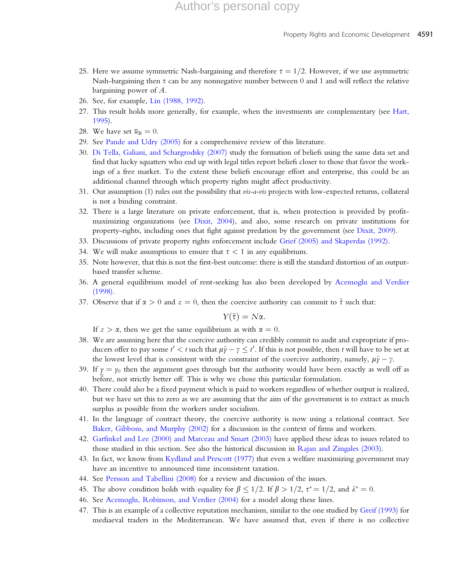- <span id="page-67-0"></span>25. Here we assume symmetric Nash-bargaining and therefore  $\tau = 1/2$ . However, if we use asymmetric Nash-bargaining then  $\tau$  can be any nonnegative number between 0 and 1 and will reflect the relative bargaining power of A.
- 26. See, for example, [Lin \(1988, 1992\)](#page-70-0).
- 27. This result holds more generally, for example, when the investments are complementary (see [Hart,](#page-70-0) [1995\)](#page-70-0).
- 28. We have set  $\overline{u}_{\text{B}} = 0$ .
- 29. See [Pande and Udry \(2005\)](#page-71-0) for a comprehensive review of this literature.
- 30. [Di Tella, Galiani, and Schargrodsky \(2007\)](#page-69-0) study the formation of beliefs using the same data set and find that lucky squatters who end up with legal titles report beliefs closer to those that favor the workings of a free market. To the extent these beliefs encourage effort and enterprise, this could be an additional channel through which property rights might affect productivity.
- 31. Our assumption (1) rules out the possibility that vis-a-vis projects with low-expected returns, collateral is not a binding constraint.
- 32. There is a large literature on private enforcement, that is, when protection is provided by profitmaximizing organizations (see [Dixit, 2004](#page-69-0)), and also, some research on private institutions for property-rights, including ones that fight against predation by the government (see [Dixit, 2009](#page-69-0)).
- 33. Discussions of private property rights enforcement include [Grief \(2005\) and Skaperdas \(1992\)](#page-70-0).
- 34. We will make assumptions to ensure that  $\tau < 1$  in any equilibrium.
- 35. Note however, that this is not the first-best outcome: there is still the standard distortion of an outputbased transfer scheme.
- 36. A general equilibrium model of rent-seeking has also been developed by [Acemoglu and Verdier](#page-68-0) [\(1998\)](#page-68-0).
- 37. Observe that if  $\alpha > 0$  and  $z = 0$ , then the coercive authority can commit to  $\tilde{\tau}$  such that:

$$
Y(\tilde{\tau}) = N\alpha.
$$

If  $z > \alpha$ , then we get the same equilibrium as with  $\alpha = 0$ .<br>We are essuming here that the coargive surfacity can eredibly

- 38. We are assuming here that the coercive authority can credibly commit to audit and expropriate if producers offer to pay some  $t' < t$  such that  $\mu \hat{y} - y \le t'$ . If this is not possible, then t will have to be set at the lowest level that is consistent with the constraint of the coercive authority, namely,  $\mu \hat{y} - y$ the lowest level that is consistent with the constraint of the coercive authority, namely,  $\mu\hat{y} - \gamma$ .
- 39. If  $y = y_0$  then the argument goes through but the authority would have been exactly as well off as before, not strictly better off. This is why we chose this particular formulation.
- 40. There could also be a fixed payment which is paid to workers regardless of whether output is realized, but we have set this to zero as we are assuming that the aim of the government is to extract as much surplus as possible from the workers under socialism.
- 41. In the language of contract theory, the coercive authority is now using a relational contract. See [Baker, Gibbons, and Murphy \(2002\)](#page-68-0) for a discussion in the context of firms and workers.
- 42. [Garfinkel and Lee \(2000\) and Marceau and Smart \(2003\)](#page-70-0) have applied these ideas to issues related to those studied in this section. See also the historical discussion in [Rajan and Zingales \(2003\).](#page-71-0)
- 43. In fact, we know from [Kydland and Prescott \(1977\)](#page-70-0) that even a welfare maximizing government may have an incentive to announced time inconsistent taxation.
- 44. See [Persson and Tabellini \(2008\)](#page-71-0) for a review and discussion of the issues.
- 45. The above condition holds with equality for  $\beta \le 1/2$ . If  $\beta > 1/2$ ,  $\tau^* = 1/2$ , and  $\lambda^* = 0$ .
- 46. See [Acemoglu, Robinson, and Verdier \(2004\)](#page-68-0) for a model along these lines.
- 47. This is an example of a collective reputation mechanism, similar to the one studied by [Greif \(1993\)](#page-70-0) for mediaeval traders in the Mediterranean. We have assumed that, even if there is no collective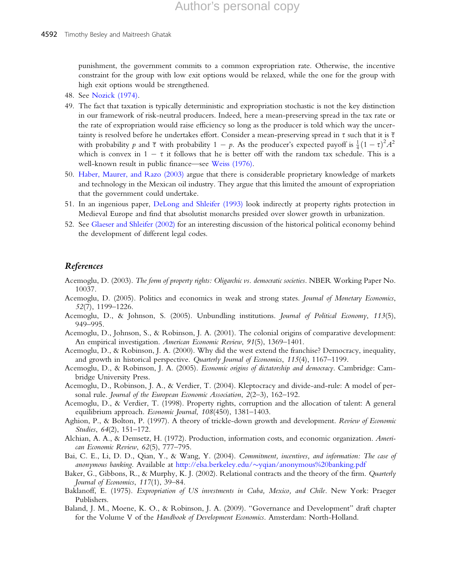<span id="page-68-0"></span>punishment, the government commits to a common expropriation rate. Otherwise, the incentive constraint for the group with low exit options would be relaxed, while the one for the group with high exit options would be strengthened.

- 48. See [Nozick \(1974\).](#page-71-0)
- 49. The fact that taxation is typically deterministic and expropriation stochastic is not the key distinction in our framework of risk-neutral producers. Indeed, here a mean-preserving spread in the tax rate or the rate of expropriation would raise efficiency so long as the producer is told which way the uncertainty is resolved before he undertakes effort. Consider a mean-preserving spread in  $\tau$  such that it is  $\overline{\tau}$ with probability p and  $\bar{\tau}$  with probability  $1 - p$ . As the producer's expected payoff is  $\frac{1}{4}(1 - \tau)^2 A^2$ <br>which is convex in  $1 - \tau$  it follows that he is better off with the random tax schedule. This is a which is convex in  $1 - \tau$  it follows that he is better off with the random tax schedule. This is a well-known result in public finance—see [Weiss \(1976\)](#page-71-0).
- 50. [Haber, Maurer, and Razo \(2003\)](#page-70-0) argue that there is considerable proprietary knowledge of markets and technology in the Mexican oil industry. They argue that this limited the amount of expropriation that the government could undertake.
- 51. In an ingenious paper, [DeLong and Shleifer \(1993\)](#page-69-0) look indirectly at property rights protection in Medieval Europe and find that absolutist monarchs presided over slower growth in urbanization.
- 52. See [Glaeser and Shleifer \(2002\)](#page-70-0) for an interesting discussion of the historical political economy behind the development of different legal codes.

#### References

- Acemoglu, D. (2003). The form of property rights: Oligarchic vs. democratic societies. NBER Working Paper No. 10037.
- Acemoglu, D. (2005). Politics and economics in weak and strong states. Journal of Monetary Economics, 52(7), 1199–1226.
- Acemoglu, D., & Johnson, S. (2005). Unbundling institutions. Journal of Political Economy, 113(5), 949–995.
- Acemoglu, D., Johnson, S., & Robinson, J. A. (2001). The colonial origins of comparative development: An empirical investigation. American Economic Review, 91(5), 1369–1401.
- Acemoglu, D., & Robinson, J. A. (2000). Why did the west extend the franchise? Democracy, inequality, and growth in historical perspective. Quarterly Journal of Economics, 115(4), 1167–1199.
- Acemoglu, D., & Robinson, J. A. (2005). Economic origins of dictatorship and democracy. Cambridge: Cambridge University Press.
- Acemoglu, D., Robinson, J. A., & Verdier, T. (2004). Kleptocracy and divide-and-rule: A model of personal rule. Journal of the European Economic Association, 2(2–3), 162–192.
- Acemoglu, D., & Verdier, T. (1998). Property rights, corruption and the allocation of talent: A general equilibrium approach. Economic Journal, 108(450), 1381–1403.
- Aghion, P., & Bolton, P. (1997). A theory of trickle-down growth and development. Review of Economic Studies, 64(2), 151–172.
- Alchian, A. A., & Demsetz, H. (1972). Production, information costs, and economic organization. American Economic Review, 62(5), 777–795.
- Bai, C. E., Li, D. D., Qian, Y., & Wang, Y. (2004). Commitment, incentives, and information: The case of anonymous banking. Available at [http://elsa.berkeley.edu/](http://elsa.berkeley.edu/~yqian/anonymous%20banking.pdf)~[yqian/anonymous%20banking.pdf](http://elsa.berkeley.edu/~yqian/anonymous%20banking.pdf)
- Baker, G., Gibbons, R., & Murphy, K. J. (2002). Relational contracts and the theory of the firm. Quarterly Journal of Economics, 117(1), 39–84.
- Baklanoff, E. (1975). Expropriation of US investments in Cuba, Mexico, and Chile. New York: Praeger Publishers.
- Baland, J. M., Moene, K. O., & Robinson, J. A. (2009). "Governance and Development" draft chapter for the Volume V of the Handbook of Development Economics. Amsterdam: North-Holland.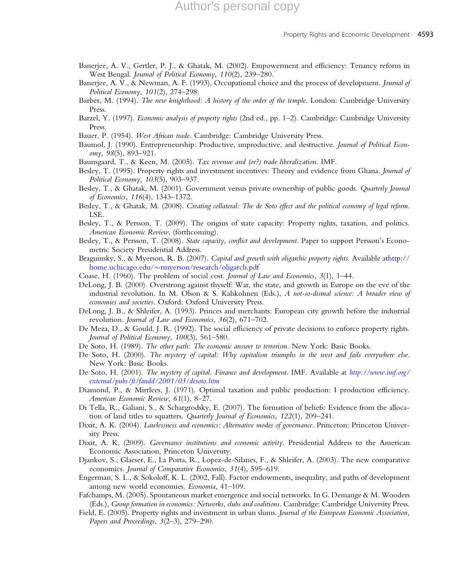- <span id="page-69-0"></span>Banerjee, A. V., Gertler, P. J., & Ghatak, M. (2002). Empowerment and efficiency: Tenancy reform in West Bengal. Journal of Political Economy, 110(2), 239–280.
- Banerjee, A. V., & Newman, A. F. (1993). Occupational choice and the process of development. Journal of Political Economy, 101(2), 274–298.
- Barber, M. (1994). The new knighthood: A history of the order of the temple. London: Cambridge University Press.
- Barzel, Y. (1997). Economic analysis of property rights (2nd ed., pp. 1–2). Cambridge: Cambridge University Press.
- Bauer, P. (1954). West African trade. Cambridge: Cambridge University Press.
- Baumol, J. (1990). Entrepreneurship: Productive, unproductive, and destructive. Journal of Political Economy, 98(5), 893–921.
- Baunsgaard, T., & Keen, M. (2005). Tax revenue and (or?) trade liberalization. IMF.
- Besley, T. (1995). Property rights and investment incentives: Theory and evidence from Ghana. Journal of Political Economy, 103(5), 903–937.
- Besley, T., & Ghatak, M. (2001). Government versus private ownership of public goods. Quarterly Journal of Economics, 116(4), 1343–1372.
- Besley, T., & Ghatak, M. (2008). Creating collateral: The de Soto effect and the political economy of legal reform. LSE.
- Besley, T., & Persson, T. (2009). The origins of state capacity: Property rights, taxation, and politics. American Economic Review, (forthcoming).
- Besley, T., & Persson, T. (2008). State capacity, conflict and development. Paper to support Persson's Econometric Society Presidential Address.
- Braguinsky, S., & Myerson, R. B. (2007). Capital and growth with oligarchic property rights. Available a[thttp://](http://home.uchicago.edu/~rmyerson/research/oligarch.pdf) [home.uchicago.edu/](http://home.uchicago.edu/~rmyerson/research/oligarch.pdf) $\sim$ [rmyerson/research/oligarch.pdf](http://home.uchicago.edu/~rmyerson/research/oligarch.pdf)
- Coase, H. (1960). The problem of social cost. Journal of Law and Economics, 3(1), 1–44.
- DeLong, J. B. (2000). Overstrong against thyself: War, the state, and growth in Europe on the eve of the industrial revolution. In M. Olson & S. Kahkohnen (Eds.), A not-so-dismal science: A broader view of economies and societies. Oxford: Oxford University Press.
- DeLong, J. B., & Shleifer, A. (1993). Princes and merchants: European city growth before the industrial revolution. Journal of Law and Economics, 36(2), 671–702.
- De Meza, D., & Gould, J. R. (1992). The social efficiency of private decisions to enforce property rights. Journal of Political Economy, 100(3), 561–580.
- De Soto, H. (1989). The other path: The economic answer to terrorism. New York: Basic Books.
- De Soto, H. (2000). The mystery of capital: Why capitalism triumphs in the west and fails everywhere else. New York: Basic Books.
- De Soto, H. (2001). The mystery of capital. Finance and development. IMF. Available at [http://www.imf.org/](http://www.imf.org/external/pubs/ft/fandd/2001/03/desoto.htm) [external/pubs/ft/fandd/2001/03/desoto.htm](http://www.imf.org/external/pubs/ft/fandd/2001/03/desoto.htm)
- Diamond, P., & Mirrlees, J. (1971). Optimal taxation and public production: I production efficiency. American Economic Review, 61(1), 8–27.
- Di Tella, R., Galiani, S., & Schargrodsky, E. (2007). The formation of beliefs: Evidence from the allocation of land titles to squatters. Quarterly Journal of Economics, 122(1), 209–241.
- Dixit, A. K. (2004). Lawlessness and economics: Alternative modes of governance. Princeton: Princeton University Press.
- Dixit, A. K. (2009). Governance institutions and economic activity. Presidential Address to the American Economic Association, Princeton University.
- Djankov, S., Glaeser, E., La Porta, R., Lopez-de-Silanes, F., & Shleifer, A. (2003). The new comparative economics. Journal of Comparative Economics, 31(4), 595–619.
- Engerman, S. L., & Sokoloff, K. L. (2002, Fall). Factor endowments, inequality, and paths of development among new world economies. Economia, 41–109.
- Fafchamps, M. (2005). Spontaneous market emergence and social networks. In G. Demange & M. Wooders (Eds.), Group formation in economics: Networks, clubs and coalitions. Cambridge: Cambridge University Press.
- Field, E. (2005). Property rights and investment in urban slums. Journal of the European Economic Association, Papers and Proceedings, 3(2–3), 279–290.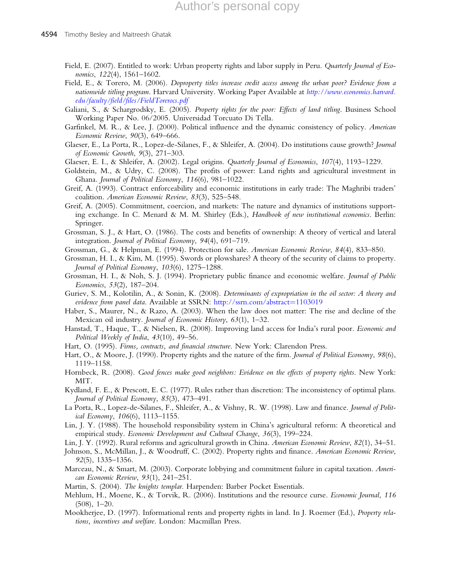# Author's personal copy

- <span id="page-70-0"></span>Field, E. (2007). Entitled to work: Urban property rights and labor supply in Peru. *Quarterly Journal of Eco*nomics, 122(4), 1561–1602.
- Field, E., & Torero, M. (2006). Doproperty titles increase credit access among the urban poor? Evidence from a nationwide titling program. Harvard University. Working Paper Available at [http://www.economics.harvard.](http://www.economics.harvard.edu/faculty/field/files/FieldTorerocs.pdf) [edu/faculty/field/files/FieldTorerocs.pdf](http://www.economics.harvard.edu/faculty/field/files/FieldTorerocs.pdf)
- Galiani, S., & Schargrodsky, E. (2005). Property rights for the poor: Effects of land titling. Business School Working Paper No. 06/2005. Universidad Torcuato Di Tella.
- Garfinkel, M. R., & Lee, J. (2000). Political influence and the dynamic consistency of policy. American Economic Review, 90(3), 649–666.
- Glaeser, E., La Porta, R., Lopez-de-Silanes, F., & Shleifer, A. (2004). Do institutions cause growth? Journal of Economic Growth, 9(3), 271–303.
- Glaeser, E. I., & Shleifer, A. (2002). Legal origins. Quarterly Journal of Economics, 107(4), 1193–1229.
- Goldstein, M., & Udry, C. (2008). The profits of power: Land rights and agricultural investment in Ghana. Journal of Political Economy, 116(6), 981–1022.
- Greif, A. (1993). Contract enforceability and economic institutions in early trade: The Maghribi traders' coalition. American Economic Review, 83(3), 525–548.
- Greif, A. (2005). Commitment, coercion, and markets: The nature and dynamics of institutions supporting exchange. In C. Menard & M. M. Shirley (Eds.), Handbook of new institutional economics. Berlin: Springer.
- Grossman, S. J., & Hart, O. (1986). The costs and benefits of ownership: A theory of vertical and lateral integration. Journal of Political Economy, 94(4), 691–719.
- Grossman, G., & Helpman, E. (1994). Protection for sale. American Economic Review, 84(4), 833–850.
- Grossman, H. I., & Kim, M. (1995). Swords or plowshares? A theory of the security of claims to property. Journal of Political Economy, 103(6), 1275–1288.
- Grossman, H. I., & Noh, S. J. (1994). Proprietary public finance and economic welfare. Journal of Public Economics, 53(2), 187–204.
- Guriev, S. M., Kolotilin, A., & Sonin, K. (2008). Determinants of expropriation in the oil sector: A theory and evidence from panel data. Available at SSRN: [http://ssrn.com/abstract](http://ssrn.com/abstract=1103019)=[1103019](http://ssrn.com/abstract=1103019)
- Haber, S., Maurer, N., & Razo, A. (2003). When the law does not matter: The rise and decline of the Mexican oil industry. Journal of Economic History, 63(1), 1–32.
- Hanstad, T., Haque, T., & Nielsen, R. (2008). Improving land access for India's rural poor. *Economic and* Political Weekly of India, 43(10), 49–56.
- Hart, O. (1995). Firms, contracts, and financial structure. New York: Clarendon Press.
- Hart, O., & Moore, J. (1990). Property rights and the nature of the firm. Journal of Political Economy, 98(6), 1119–1158.
- Hornbeck, R. (2008). Good fences make good neighbors: Evidence on the effects of property rights. New York: MIT.
- Kydland, F. E., & Prescott, E. C. (1977). Rules rather than discretion: The inconsistency of optimal plans. Journal of Political Economy, 85(3), 473–491.
- La Porta, R., Lopez-de-Silanes, F., Shleifer, A., & Vishny, R. W. (1998). Law and finance. Journal of Political Economy, 106(6), 1113–1155.
- Lin, J. Y. (1988). The household responsibility system in China's agricultural reform: A theoretical and empirical study. Economic Development and Cultural Change, 36(3), 199–224.
- Lin, J. Y. (1992). Rural reforms and agricultural growth in China. American Economic Review, 82(1), 34–51.
- Johnson, S., McMillan, J., & Woodruff, C. (2002). Property rights and finance. American Economic Review, 92(5), 1335–1356.
- Marceau, N., & Smart, M. (2003). Corporate lobbying and commitment failure in capital taxation. American Economic Review, 93(1), 241–251.
- Martin, S. (2004). The knights templar. Harpenden: Barber Pocket Essentials.
- Mehlum, H., Moene, K., & Torvik, R. (2006). Institutions and the resource curse. Economic Journal, 116 (508), 1–20.
- Mookherjee, D. (1997). Informational rents and property rights in land. In J. Roemer (Ed.), Property relations, incentives and welfare. London: Macmillan Press.